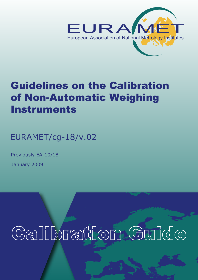

# Guidelines on the Calibration of Non-Automatic Weighing **Instruments**

EURAMET/cg-18/v.02

January 2009 Previously EA-10/18

Calibration Guide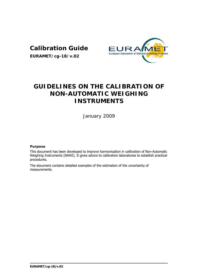# **Calibration Guide**

**EURAMET/cg-18/v.02**



# **GUIDELINES ON THE CALIBRATION OF NON-AUTOMATIC WEIGHING INSTRUMENTS**

January 2009

# **Purpose**

This document has been developed to improve harmonisation in calibration of Non-Automatic Weighing Instruments (NAWI). It gives advice to calibration laboratories to establish practical procedures.

The document contains detailed examples of the estimation of the uncertainty of measurements.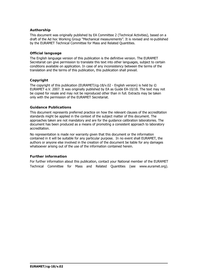# **Authorship**

This document was originally published by EA Committee 2 (Technical Activities), based on a draft of the Ad hoc Working Group "Mechanical measurements". It is revised and re-published by the EURAMET Technical Committee for Mass and Related Quantities.

# **Official language**

The English language version of this publication is the definitive version. The EURAMET Secretariat can give permission to translate this text into other languages, subject to certain conditions available on application. In case of any inconsistency between the terms of the translation and the terms of this publication, this publication shall prevail.

# **Copyright**

The copyright of this publication (EURAMET/cg-18/v.02 - English version) is held by © EURAMET e.V. 2007. It was originally published by EA as Guide EA-10/18. The text may not be copied for resale and may not be reproduced other than in full. Extracts may be taken only with the permission of the EURAMET Secretariat.

# **Guidance Publications**

This document represents preferred practice on how the relevant clauses of the accreditation standards might be applied in the context of the subject matter of this document. The approaches taken are not mandatory and are for the guidance calibration laboratories. The document has been produced as a means of promoting a consistent approach to laboratory accreditation.

No representation is made nor warranty given that this document or the information contained in it will be suitable for any particular purpose. In no event shall EURAMET, the authors or anyone else involved in the creation of the document be liable for any damages whatsoever arising out of the use of the information contained herein.

# **Further information**

For further information about this publication, contact your National member of the EURAMET Technical Committee for Mass and Related Quantities (see www.euramet.org).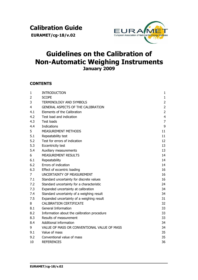**EURAMET/cg-18/v.02**



# **Guidelines on the Calibration of Non-Automatic Weighing Instruments January 2009**

# **CONTENTS**

| $\mathbf{1}$   | <b>INTRODUCTION</b>                         | 1              |
|----------------|---------------------------------------------|----------------|
| $\overline{2}$ | <b>SCOPE</b>                                | $\mathbf{1}$   |
| 3              | TERMINOLOGY AND SYMBOLS                     | $\overline{2}$ |
| 4              | <b>GENERAL ASPECTS OF THE CALIBRATION</b>   | $\overline{2}$ |
| 4.1            | Elements of the Calibration                 | $\overline{2}$ |
| 4.2            | Test load and indication                    | $\overline{4}$ |
| 4.3            | <b>Test loads</b>                           | $\overline{7}$ |
| 4.4            | <b>Indications</b>                          | 9              |
| 5              | MEASUREMENT METHODS                         | 11             |
| 5.1            | Repeatability test                          | 11             |
| 5.2            | Test for errors of indication               | 12             |
| 5.3            | Eccentricity test                           | 13             |
| 5.4            | Auxiliary measurements                      | 13             |
| 6              | <b>MEASUREMENT RESULTS</b>                  | 14             |
| 6.1            | Repeatability                               | 14             |
| 6.2            | Errors of indication                        | 14             |
| 6.3            | Effect of eccentric loading                 | 16             |
| 7              | UNCERTAINTY OF MEASUREMENT                  | 16             |
| 7.1            | Standard uncertainty for discrete values    | 16             |
| 7.2            | Standard uncertainty for a characteristic   | 24             |
| 7.3            | Expanded uncertainty at calibration         | 34             |
| 7.4            | Standard uncertainty of a weighing result   | 34             |
| 7.5            | Expanded uncertainty of a weighing result   | 31             |
| 8              | <b>CALIBRATION CERTIFICATE</b>              | 32             |
| 8.1            | General Information                         | 33             |
| 8.2            | Information about the calibration procedure | 33             |
| 8.3            | Results of measurement                      | 33             |
| 8.4            | Additional information                      | 34             |
| 9              | VALUE OF MASS OR CONVENTIONAL VALUE OF MASS | 34             |
| 9.1            | Value of mass                               | 35             |
| 9.2            | Conventional value of mass                  | 35             |
| 10             | <b>REFERENCES</b>                           | 36             |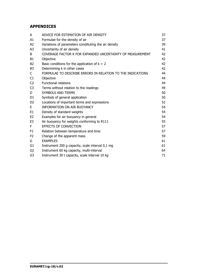# **APPENDICES**

| A              | ADVICE FOR ESTIMATION OF AIR DENSITY                       | 37 |
|----------------|------------------------------------------------------------|----|
| A1             | Formulae for the density of air                            | 37 |
| A2             | Variations of parameters constituting the air density      | 39 |
| A <sub>3</sub> | Uncertainty of air density                                 | 41 |
| B              | COVERAGE FACTOR K FOR EXPANDED UNCERTAINTY OF MEASUREMENT  | 42 |
| B <sub>1</sub> | Objective                                                  | 42 |
| <b>B2</b>      | Basic conditions for the application of $k = 2$            | 42 |
| B <sub>3</sub> | Determining k in other cases                               | 42 |
| C              | FORMULAE TO DESCRIBE ERRORS IN RELATION TO THE INDICATIONS | 44 |
| C1             | Objective                                                  | 44 |
| C <sub>2</sub> | <b>Functional relations</b>                                | 44 |
| C <sub>3</sub> | Terms without relation to the readings                     | 49 |
| D              | <b>SYMBOLS AND TERMS</b>                                   | 50 |
| D <sub>1</sub> | Symbols of general application                             | 50 |
| D <sub>2</sub> | Locations of important terms and expressions               | 52 |
| E              | <b>INFORMATION ON AIR BUOYANCY</b>                         | 54 |
| E <sub>1</sub> | Density of standard weights                                | 54 |
| E <sub>2</sub> | Examples for air buoyancy in general                       | 54 |
| E <sub>3</sub> | Air buoyancy for weights conforming to R111                | 55 |
| F              | <b>EFFECTS OF CONVECTION</b>                               | 57 |
| F1             | Relation between temperature and time                      | 57 |
| F <sub>2</sub> | Change of the apparent mass                                | 59 |
| G              | <b>EXAMPLES</b>                                            | 61 |
| G <sub>1</sub> | Instrument 200 g capacity, scale interval 0,1 mg           | 61 |
| G2             | Instrument 60 kg capacity, multi-interval                  | 64 |
| G3             | Instrument 30 t capacity, scale interval 10 kg             | 71 |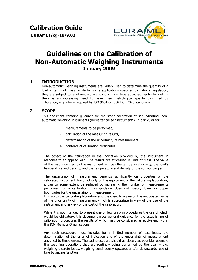**Calibration Guide** 

 **EURAMET/cg-18/v.02**



# **Guidelines on the Calibration of Non-Automatic Weighing Instruments January 2009**

# **1 INTRODUCTION**

Non-automatic weighing instruments are widely used to determine the quantity of a load in terms of mass. While for some applications specified by national legislation, they are subject to legal metrological control  $-$  i.e. type approval, verification etc.  $$ there is an increasing need to have their metrological quality confirmed by calibration, e.g. where required by ISO 9001 or ISO/IEC 17025 standards.

# **2 SCOPE**

This document contains guidance for the static calibration of self-indicating, nonautomatic weighing instruments (hereafter called "instrument"), in particular for

- 1. measurements to be performed,
- 2. calculation of the measuring results,
- 3. determination of the uncertainty of measurement,
- 4. contents of calibration certificates.

The obiect of the calibration is the indication provided by the instrument in response to an applied load. The results are expressed in units of mass. The value of the load indicated by the instrument will be affected by local gravity, the load's temperature and density, and the temperature and density of the surrounding air.

The uncertainty of measurement depends significantly on properties of the calibrated instrument itself, not only on the equipment of the calibrating laboratory; it can to some extent be reduced by increasing the number of measurements performed for a calibration. This guideline does not specify lower or upper boundaries for the uncertainty of measurement.

It is up to the calibrating laboratory and the client to agree on the anticipated value of the uncertainty of measurement which is appropriate in view of the use of the instrument and in view of the cost of the calibration.

While it is not intended to present one or few uniform procedures the use of which would be obligatory, this document gives general guidance for the establishing of calibration procedures the results of which may be considered as equivalent within the SIM Member Organisations.

Any such procedure must include, for a limited number of test loads, the determination of the error of indication and of the uncertainty of measurement assigned to these errors. The test procedure should as closely as possible resemble the weighing operations that are routinely being performed by the user  $-$  e.g. weighing discrete loads, weighing continuously upwards and/or downwards, use of tare balancing function.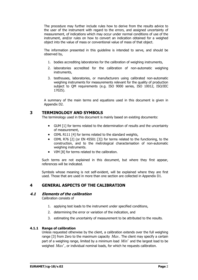The procedure may further include rules how to derive from the results advice to the user of the instrument with regard to the errors, and assigned uncertainty of measurement, of indications which may occur under normal conditions of use of the instrument, and/or rules on how to convert an indication obtained for a weighed object into the value of mass or conventional value of mass of that object.

The information presented in this guideline is intended to serve, and should be observed by,

- 1. bodies accrediting laboratories for the calibration of weighing instruments,
- 2. laboratories accredited for the calibration of non-automatic weighing instruments,
- 3. testhouses, laboratories, or manufacturers using calibrated non-automatic weighing instruments for measurements relevant for the quality of production subject to QM requirements (e.g. ISO 9000 series, ISO 10012, ISO/IEC 17025).

A summary of the main terms and equations used in this document is given in Appendix D2.

# **3 TERMINOLOGY AND SYMBOLS**

The terminology used in this document is mainly based on existing documents:

- GUM [1] for terms related to the determination of results and the uncertainty of measurement,
- OIML R111 [4] for terms related to the standard weights,
- OIML R76 [2] (or EN 45501 [3]) for terms related to the functioning, to the construction, and to the metrological characterisation of non-automatic weighing instruments.
- VIM [8] for terms related to the calibration.

Such terms are not explained in this document, but where they first appear, references will be indicated.

Symbols whose meaning is not self-evident, will be explained where they are first used. Those that are used in more than one section are collected in Appendix D1.

# **4 GENERAL ASPECTS OF THE CALIBRATION**

# **4.1 Elements of the calibration**

Calibration consists of

- 1. applying test loads to the instrument under specified conditions,
- 2. determining the error or variation of the indication, and
- 3. estimating the uncertainty of measurement to be attributed to the results.

# **4.1.1 Range of calibration**

Unless requested otherwise by the client, a calibration extends over the full weighing range [3] from Zero to the maximum capacity *Max* . The client may specify a certain part of a weighing range, limited by a minimum load *Min*′ and the largest load to be weighed *Max*′, or individual nominal loads, for which he requests calibration.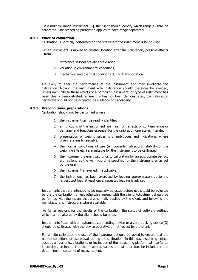On a multiple range instrument [3], the client should identify which range(s) shall be calibrated. The preceding paragraph applies to each range separately.

# **4.1.2 Place of calibration**

Calibration is normally performed on the site where the instrument is being used.

If an instrument is moved to another location after the calibration, possible effects from

- 1. difference in local gravity acceleration,
- 2. variation in environmental conditions,
- 3. mechanical and thermal conditions during transportation.

are likely to alter the performance of the instrument and may invalidate the calibration. Moving the instrument after calibration should therefore be avoided, unless immunity to these effects of a particular instrument, or type of instrument has been clearly demonstrated. Where this has not been demonstrated, the calibration certificate should not be accepted as evidence of traceability.

# **4.1.3 Preconditions, preparations**

Calibration should not be performed unless

- 1. the instrument can be readily identified,
- 2. all functions of the instrument are free from effects of contamination or damage, and functions essential for the calibration operate as intended,
- 3. presentation of weight values is unambiguous and indications, where given, are easily readable,
- 4. the normal conditions of use (air currents, vibrations, stability of the weighing site etc.) are suitable for the instrument to be calibrated,
- 5. the instrument is energized prior to calibration for an appropriate period, e.g. as long as the warm-up time specified for the instrument, or as set by the user,
- 6. the instrument is levelled, if applicable,
- 7. the instrument has been exercised by loading approximately up to the largest test load at least once, repeated loading is advised.

Instruments that are intended to be regularly adjusted before use should be adjusted before the calibration, unless otherwise agreed with the client. Adjustment should be performed with the means that are normally applied by the client, and following the manufacturer's instructions where available.

 As far as relevant for the results of the calibration, the status of software settings which can be altered by the client should be noted.

Instruments fitted with an automatic zero-setting device or a zero-tracking device [3] should be calibrated with the device operative or not, as set by the client.

For on site calibration the user of the instrument should be asked to ensure that the normal conditions of use prevail during the calibration. In this way disturbing effects such as air currents, vibrations, or inclination of the measuring platform will, so far as is possible, be inherent to the measured values and will therefore be included in the determined uncertainty of measurement.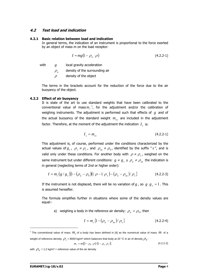# **4.2 Test load and indication**

#### **4.2.1 Basic relation between load and indication**

In general terms, the indication of an instrument is proportional to the force exerted by an object of mass m on the load receptor:

$$
I \sim mg(1 - \rho_a/\rho) \tag{4.2.2-1}
$$

with *g* local gravity acceleration

 $\rho$ <sub>*a*</sub> density of the surrounding air

 $\rho$  density of the object

The terms in the brackets account for the reduction of the force due to the air buoyancy of the object.

#### **4.2.2 Effect of air buoyancy**

It is state of the art to use standard weights that have been calibrated to the conventional value of mass $m_c^{-1}$  $m_c^{-1}$  $m_c^{-1}$ , for the adjustment and/or the calibration of weighing instruments. The adjustment is performed such that effects of *g* and of the actual buoyancy of the standard weight  $m_{cs}$  are included in the adjustment factor. Therefore, at the moment of the adjustment the indication  $I<sub>s</sub>$  is:

$$
I_s = m_{cs} \tag{4.2.2-1}
$$

This adjustment is, of course, performed under the conditions characterized by the actual values of  $g_s$ ,  $\rho_s \neq \rho_c$ , and  $\rho_{as} \neq \rho_0$ , identified by the suffix "s", and is valid only under these conditions. For another body with  $\rho \neq \rho_{\rm s}$ , weighed on the same instrument but under different conditions:  $g \neq g_s$ ,  $\gamma \rho_a \neq \rho_a$ , the indication is in general (neglecting terms of 2nd or higher order):

$$
I = m_c (g/g_s)[1 - (\rho_a - \rho_0)(1/\rho - 1/\rho_s) - (\rho_a - \rho_{as})/\rho_s]
$$
 (4.2.2-3)

If the instrument is not displaced, there will be no variation of *g*, so  $g/g_s = 1$ . This is assumed hereafter.

The formula simplifies further in situations where some of the density values are equal:-

a) weighing a body in the reference air density:  $\rho_a = \rho_0$ , then

$$
I = m_c \{1 - (\rho_a - \rho_{as}) / \rho_s\}
$$
 (4.2.2-4)

$$
m_c = m\{(1 - \rho_0/\rho)/(1 - \rho_0/\rho_c)\}\tag{4.2.2-2}
$$

with  $\rho_0 = 1.2 \text{ kg/m}^3$  = reference value of the air density

 $\overline{a}$ 

<span id="page-8-0"></span><sup>&</sup>lt;sup>1</sup> The conventional value of mass  $m_c$  of a body has been defined in [4] as the numerical value of mass  $m$  of a weight of reference density  $\rho_c$  = 8000 kg/m<sup>3</sup> which balances that body at 20 °C in air of density  $\rho_0$ :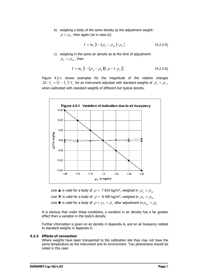b) weighing a body of the same density as the adjustment weight:  $\rho = \rho_s$ , then again (as in case a))

$$
I = m_c \{1 - (\rho_a - \rho_{as}) / \rho_s\}
$$
 (4.2.2-5)

c) weighing in the same air density as at the time of adjustment:  $\rho_a = \rho_{as}$ , then

$$
I = m_c \left\{ 1 - \left( \rho_a - \rho_0 \right) \left( 1/\rho - 1/\rho_s \right) \right\}
$$
 (4.2.2-6)

Figure 4.2-1 shows examples for the magnitude of the relative changes  $\Delta I/I_s = (I - I_s)/I_s$  for an instrument adjusted with standard weights of  $\rho_s = \rho_c$ , when calibrated with standard weights of different but typical density.



Line  $\triangle$  is valid for a body of  $\rho = 7 810$  kg/m<sup>3</sup>, weighed in  $\rho_a = \rho_{as}$ Line **×** is valid for a body of  $\rho = 8,400 \text{ kg/m}^3$ , weighed in  $\rho_a = \rho_{as}$ Line  $\blacklozenge$  is valid for a body of  $\rho = \rho_s = \rho_c$  after adjustment in  $\rho_{as} = \rho_0$ 

It is obvious that under these conditions, a variation in air density has a far greater effect than a variation in the body's density.

Further information is given on air density in Appendix A, and on air buoyancy related to standard weights in Appendix E.

#### **4.2.3 Effects of convection**

Where weights have been transported to the calibration site they may not have the same temperature as the instrument and its environment. Two phenomena should be noted in this case: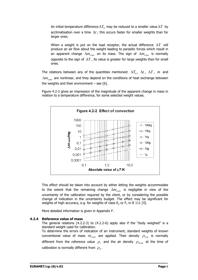An initial temperature difference  $\Delta T_0$  may be reduced to a smaller value  $\Delta T$  by acclimatisation over a time  $\Delta t$ ; this occurs faster for smaller weights than for larger ones.

When a weight is put on the load receptor, the actual difference Δ*T* will produce an air flow about the weight leading to parasitic forces which result in an apparent change  $\Delta m_{conv}$  on its mass. The sign of  $\Delta m_{conv}$  is normally opposite to the sign of  $\Delta T$ , its value is greater for large weights than for small ones.

The relations between any of the quantities mentioned:  $\Delta T_0$ ,  $\Delta t$ ,  $\Delta T$ ,  $m$  and  $\Delta m_{\text{conv}}$  are nonlinear, and they depend on the conditions of heat exchange between the weights and their environment  $-$  see [6].

Figure 4.2-2 gives an impression of the magnitude of the apparent change in mass in relation to a temperature difference, for some selected weight values.



This effect should be taken into account by either letting the weights accommodate to the extent that the remaining change  $\Delta m_{conv}$  is negligible in view of the uncertainty of the calibration required by the client, or by considering the possible change of indication in the uncertainty budget. The effect may be significant for weights of high accuracy, e.g. for weights of class  $E_2$  or  $F_1$  in R 111 [4].

More detailed information is given in Appendix F.

# **4.2.4 Reference value of mass**

The general relations (4.2.2-3) to (4.2.2-6) apply also if the "body weighed" is a standard weight used for calibration.

To determine the errors of indication of an instrument, standard weights of known conventional value of mass  $m_{cC}$  are applied. Their density  $\rho_{C}$  is normally different from the reference value  $\rho_c$  and the air density  $\rho_{acal}$  at the time of calibration is normally different from  $\rho_0$ .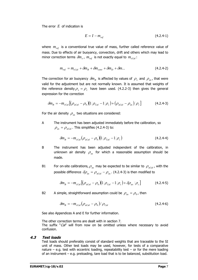The error *E* of indication is

$$
E = I - m_{ref} \tag{4.2.4-1}
$$

where  $m_{ref}$  is a conventional true value of mass, further called reference value of mass. Due to effects of air buoyancy, convection, drift and others which may lead to minor correction terms  $\delta m_x$ ,  $m_{ref}$  is not exactly equal to  $m_{cCal}$ :

$$
m_{ref} = m_{cCal} + \delta m_B + \delta m_{conv} + \delta m_D + \delta m...
$$
 (4.2.4-2)

The correction for air buoyancy  $\delta m_B$  is affected by values of  $\rho_s$  and  $\rho_a$ , that were valid for the adjustment but are not normally known. It is assumed that weights of the reference density  $\rho_s = \rho_c$  have been used. (4.2.2-3) then gives the general expression for the correction

$$
\delta m_B = -m_{cCal} \left[ (\rho_{acal} - \rho_0) (1/\rho_{Cal} - 1/\rho_c) + (\rho_{acal} - \rho_{as})/\rho_c \right]
$$
(4.2.4-3)

For the air density  $\rho_{as}$  two situations are considered:

A The instrument has been adjusted immediately before the calibration, so  $\rho_{as} = \rho_{aCal}$ . This simplifies (4.2.4-3) to:

$$
\delta m_B = -m_{cCal} \left( \rho_{aCal} - \rho_0 \right) \left( 1/\rho_{Cal} - 1/\rho_c \right) \tag{4.2.4-4}
$$

- B The instrument has been adjusted independent of the calibration, in unknown air density  $\rho_{as}$  for which a reasonable assumption should be made.
- B1 For on-site calibrations,  $\rho_{as}$  may be expected to be similar to  $\rho_{acal}$ , with the possible difference  $\delta \rho_{as} = \rho_{acal} - \rho_{as}$ . (4.2.4-3) is then modified to

$$
\delta m_B = -m_{cCal} \left[ (\rho_{acal} - \rho_0) \left( 1/\rho_{Cal} - 1/\rho_c \right) + \delta \rho_{as} / \rho_c \right]
$$
(4.2.4-5)

B2 A simple, straightforward assumption could be  $\rho_{as} = \rho_{0}$ , then

$$
\delta m_B = -m_{cCal} \left(\rho_{aCal} - \rho_0\right) / \rho_{Cal} \tag{4.2.4-6}
$$

See also Appendices A and E for further information.

The other correction terms are dealt with in section 7. The suffix "Cal" will from now on be omitted unless where necessary to avoid confusion.

#### **4.3 Test loads**

Test loads should preferably consist of standard weights that are traceable to the SI unit of mass. Other test loads may be used, however, for tests of a comparative nature – e.g. test with eccentric loading, repeatability test – or for the mere loading of an instrument – e.g. preloading, tare load that is to be balanced, substitution load.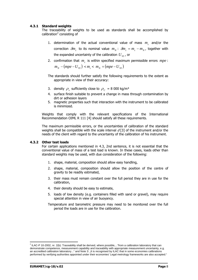# **4.3.1 Standard weights**

The traceability of weights to be used as standards shall be accomplished by calibration<sup>[2](#page-12-0)</sup> consisting of

- 1. determination of the actual conventional value of mass  $m<sub>a</sub>$  and/or the correction  $\delta m_c$  to its nominal value  $m_N$ :  $\delta m_c = m_c - m_N$ , together with the expanded uncertainty of the calibration  $U_{\text{os}}$ , or
- 2. confirmation that  $m<sub>a</sub>$  is within specified maximum permissible errors  $mpe$ :  $m_N - (mpe - U_{95}) < m_c < m_N + (mpe - U_{95})$

The standards should further satisfy the following requirements to the extent as appropriate in view of their accuracy:

- 3. density  $\rho_s$  sufficiently close to  $\rho_c = 8000 \text{ kg/m}^3$
- 4. surface finish suitable to prevent a change in mass through contamination by dirt or adhesion layers
- 5. magnetic properties such that interaction with the instrument to be calibrated is minimized.

Weights that comply with the relevant specifications of the International Recommendation OIML R 111 [4] should satisfy all these requirements.

The maximum permissible errors, or the uncertainties of calibration of the standard weights shall be compatible with the scale interval  $d[3]$  of the instrument and/or the needs of the client with regard to the uncertainty of the calibration of his instrument.

# **4.3.2 Other test loads**

For certain applications mentioned in 4.3, 2nd sentence, it is not essential that the conventional value of mass of a test load is known. In these cases, loads other than standard weights may be used, with due consideration of the following:

- 1. shape, material, composition should allow easy handling,
- 2. shape, material, composition should allow the position of the centre of gravity to be readily estimated,
- 3. their mass must remain constant over the full period they are in use for the calibration,
- 4. their density should be easy to estimate,
- 5. loads of low density (e.g. containers filled with sand or gravel), may require special attention in view of air buoyancy.
- Temperature and barometric pressure may need to be monitored over the full period the loads are in use for the calibration.

 $\overline{a}$ 

<span id="page-12-0"></span><sup>&</sup>lt;sup>2</sup> ILAC-P 10-2002, nr. 2(b): Traceability shall be derived, where possible,..."from a calibration laboratory that can demonstrate competence, measurement capability and traceability with appropriate measurement uncertainty, e.g. an accredited calibration laboratory..." and Note 3: "It is recognised by ILAC that in some economies calibrations performed by verifying authorities appointed under their economies' Legal metrology frameworks are also accepted."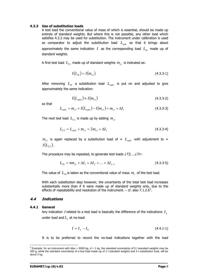#### **4.3.3 Use of substitution loads**

A test load the conventional value of mass of which is essential, should be made up entirely of standard weights. But where this is not possible, any other load which satisfies 4.3.2 may be used for substitution. The instrument under calibration is used as comparator to adjust the substitution load  $L_{sub}$  so that it brings about approximately the same indication *I* as the corresponding load  $L_{S_t}$  made up of standard weights.

A first test load  $L_{T1}$  made up of standard weights  $m_{c1}$  is indicated as:

$$
I(L_{St}) = I(m_{c1})
$$
\n(4.3.3-1)

After removing  $L_{\text{S}t}$  a substitution load  $L_{\text{sub}}$  is put on and adjusted to give approximately the same indication:

$$
I(L_{sub1}) \approx I(m_{c1}) \tag{4.3.3-2}
$$

so that

$$
L_{\text{sub1}} = m_{c1} + I(L_{\text{sub1}}) - I(m_{c1}) = m_{c1} + \Delta I_1
$$
\n(4.3.3-3)

The next test load  $L_{T2}$  is made up by adding  $m_{c1}$ 

$$
L_{T2} = L_{sub1} + m_{c1} = 2m_{c1} + \Delta I_1
$$
\n(4.3.3-4)

 $m_{c1}$  is again replaced by a substitution load of  $\approx L_{sub1}$  with adjustment to  $\approx$  $I(L_{T2})$ .

The procedure may be repeated, to generate test loads  $LT3$ , ... $LTn$ :

$$
L_{T_n} = nm_{c1} + \Delta I_1 + \Delta I_2 + \dots + \Delta I_{n-1}
$$
\n(4.3.3-5)

The value of  $L_{T_n}$  is taken as the conventional value of mass  $m_c$  of the test load.

With each substitution step however, the uncertainty of the total test load increases substantially more than if it were made up of standard weights only, due to the effects of repeatability and resolution of the instrument.  $-$  cf. also 7.1.2.6<sup>[3](#page-13-0)</sup>.

# **4.4 Indications**

#### **4.4.1 General**

Any indication I related to a test load is basically the difference of the indications *<sup>L</sup> I* under load and  $I_0$  at no-load:

$$
I = I_L - I_0 \tag{4.4.1-1}
$$

It is to be preferred to record the no-load indications together with the load

<span id="page-13-0"></span><sup>3</sup> Example: for an instrument with *Max* = 5000 kg, *d* = 1 kg, the standard uncertainty of 5 t standard weights may be 200 g, while the standard uncertainty of a test load made up of 1 t standard weights and 4 t substitution load, will be about 2 kg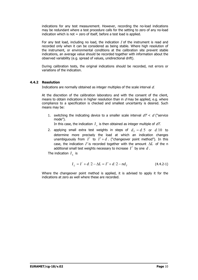indications for any test measurement. However, recording the no-load indications may be redundant where a test procedure calls for the setting to zero of any no-load indication which is not = zero of itself, before a test load is applied.

For any test load, including no load, the indication  $I$  of the instrument is read and recorded only when it can be considered as being stable. Where high resolution of the instrument, or environmental conditions at the calibration site prevent stable indications, an average value should be recorded together with information about the observed variability (e.g. spread of values, unidirectional drift).

During calibration tests, the original indications should be recorded, not errors or variations of the indication.

# **4.4.2 Resolution**

Indications are normally obtained as integer multiples of the scale interval  $d$ .

At the discretion of the calibration laboratory and with the consent of the client, means to obtain indications in higher resolution than in  $d$  may be applied, e.g. where compliance to a specification is checked and smallest uncertainty is desired. Such means may be:

1. switching the indicating device to a smaller scale interval  $dT < d$  ("service mode").

In this case, the indication  $I<sub>r</sub>$  is then obtained as integer multiple of  $dT$ .

2. applying small extra test weights in steps of  $d<sub>r</sub> = d/5$  or  $d/10$  to determine more precisely the load at which an indication changes unambiguously from  $I'$  to  $I' + d$ . ("changeover point method"). In this case, the indication I' is recorded together with the amount Δ*L* of the n additional small test weights necessary to increase *I*′ by one *d* .

The indication  $I_L$  is

$$
I_L = I' + d/2 - \Delta L = I' + d/2 - nd_T
$$
 (4.4.2-1)

Where the changeover point method is applied, it is advised to apply it for the indications at zero as well where these are recorded.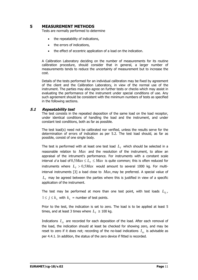# **5 MEASUREMENT METHODS**

Tests are normally performed to determine

- the repeatability of indications,
- the errors of indications,
- the effect of eccentric application of a load on the indication.

A Calibration Laboratory deciding on the number of measurements for its routine calibration procedure, should consider that in general, a larger number of measurements tends to reduce the uncertainty of measurement but to increase the cost.

Details of the tests performed for an individual calibration may be fixed by agreement of the client and the Calibration Laboratory, in view of the normal use of the instrument. The parties may also agree on further tests or checks which may assist in evaluating the performance of the instrument under special conditions of use. Any such agreement should be consistent with the minimum numbers of tests as specified in the following sections.

# **5.1 Repeatability test**

The test consists in the repeated deposition of the same load on the load receptor, under identical conditions of handling the load and the instrument, and under constant test conditions, both as far as possible.

The test load(s) need not be calibrated nor verified, unless the results serve for the determination of errors of indication as per 5.2. The test load should, as far as possible, consist of one single body.

The test is performed with at least one test load  $L<sub>T</sub>$  which should be selected in a reasonable relation to *Max* and the resolution of the instrument, to allow an appraisal of the intrument's performance. For instruments with a constant scale interval d a load of  $0.5$ *Max*  $\le L_r \le$  *Max* is quite common; this is often reduced for instruments where  $L<sub>T</sub> > 0.5$ *Max* would amount to several 1000 kg. For multiinterval instruments [3] a load close to  $Max_1$  may be preferred. A special value of  $L<sub>T</sub>$  may be agreed between the parties where this is justified in view of a specific application of the instrument.

The test may be performed at more than one test point, with test loads  $L_{\tau_i}$ ,  $1 \le j \le k$ , with  $k_i$  = number of test points.

Prior to the test, the indication is set to zero. The load is to be applied at least 5 times, and at least 3 times where  $L_r \geq 100$  kg.

Indications *Li I* are recorded for each deposition of the load. After each removal of the load, the indication should at least be checked for showing zero, and may be reset to zero if it does not; recording of the no-load indications  $I_{0i}$  is advisable as per 4.4.1. In addition, the status of the zero device if fitted is recorded.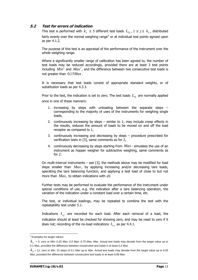# **5.2 Test for errors of indication**

This test is performed with  $k_L \geq 5$  different test loads  $L_{T_i}$ ,  $1 \leq j \leq k_L$ , distributed fairly evenly over the normal weighing range<sup>[4](#page-16-0)</sup> or at individual test points agreed upon as per 4.1.2.

The purpose of this test is an appraisal of the performance of the instrument over the whole weighing range.

Where a significantly smaller range of calibration has been agreed to, the number of test loads may be reduced accordingly, provided there are at least 3 test points including *Min*′ and *Max*′, and the difference between two consecutive test loads is not greater than 0,15*Max* .

It is necessary that test loads consist of appropriate standard weights, or of substitution loads as per 4.3.3.

Prior to the test, the indication is set to zero. The test loads  $L_{T_i}$  are normally applied once in one of these manners:

- 1. increasing by steps with unloading between the separate steps corresponding to the majority of uses of the instruments for weighing single loads,
- 2. continuously increasing by steps similar to 1; may include creep effects in the results, reduces the amount of loads to be moved on and off the load receptor as compared to 1,
- 3. continuously increasing and decreasing by steps procedure prescribed for verification tests in [3], same comments as for 2,
- 4. continuously decreasing by steps starting from *Max* simulates the use of an instrument as hopper weigher for subtractive weighing, same comments as for 2.

On multi-interval instruments – see [3], the methods above may be modified for load steps smaller than *Max* , by applying increasing and/or decreasing tare loads, operating the tare balancing function, and applying a test load of close to but not more than  $Max_1$  to obtain indications with  $d1$ .

Further tests may be performed to evaluate the performance of the instrument under special conditions of use, e.g. the indication after a tare balancing operation, the variation of the indication under a constant load over a certain time, etc.

The test, or individual loadings, may be repeated to combine the test with the repeatability test under 5.1.

Indications  $I_{ij}$  are recorded for each load. After each removal of a load, the indication should at least be checked for showing zero, and may be reset to zero if it does not; recording of the no-load indications  $I_{0i}$  as per 4.4.1.

 4 Examples for target values:

<span id="page-16-0"></span> $k_L$  = 5: zero or *Min*; 0,25 Max; 0,5 Max; 0,75 Max; Max. Actual test loads may deviate from the target value up to 0,1 *Max*, provided the difference between consecutive test loads is at least *0,2 Max*.

*<sup>L</sup> k* = 11: zero or *Min*, 10 steps of *0,1 Max* up to *Max*. Actual test loads may deviate from the target value up to *0,05 Max*, provided the difference between consecutive test loads is at least *0,08 Max*.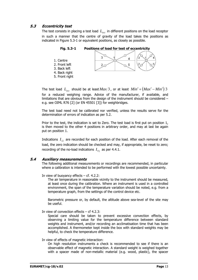# **5.3 Eccentricity test**

The test consists in placing a test load  $L_{ecc}$  in different positions on the load receptor in such a manner that the centre of gravity of the load takes the positions as indicated in Figure 5.3-1 or equivalent positions, as closely as possible.

 $\overline{3}$  $\boldsymbol{\Lambda}$ 1. Centre 2. Front left  $2c$ 5  $\mathcal{P}$ 3. Back left 4. Back right

**Fig. 5.3-1 Positions of load for test of eccentricity** 

The test load  $L_{\text{acc}}$  should be at least  $Max/3$ , or at least  $Min' + (Max' - Min')/3$ for a reduced weighing range. Advice of the manufacturer, if available, and limitations that are obvious from the design of the instrument should be considered – e.g. see OIML R76 [2] (or EN 45501 [3]) for weighbridges.

The test load need not be calibrated nor verified, unless the results serve for the determination of errors of indication as per 5.2.

Prior to the test, the indication is set to Zero. The test load is first put on position 1, is then moved to the other 4 positions in arbitrary order, and may at last be again put on position 1.

Indications  $I_{I}$  are recorded for each position of the load. After each removal of the load, the zero indication should be checked and may, if appropriate, be reset to zero; recording of the no-load indications  $I_{0i}$  as per 4.4.1.

# **5.4 Auxiliary measurements**

5. Front right

The following additional measurements or recordings are recommended, in particular where a calibration is intended to be performed with the lowest possible uncertainty.

In view of buoyancy effects  $-$  cf. 4.2.2:

The air temperature in reasonable vicinity to the instrument should be measured, at least once during the calibration. Where an instrument is used in a controlled environment, the span of the temperature variation should be noted, e.g. from a temperature graph, from the settings of the control device etc.

Barometric pressure or, by default, the altitude above sea-level of the site may be useful.

In view of convection effects  $-$  cf 4.2.3:

Special care should be taken to prevent excessive convection effects, by observing a limiting value for the temperature difference between standard weights and instrument, and/or recording an acclimatisation time that has been accomplished. A thermometer kept inside the box with standard weights may be helpful, to check the temperature difference.

#### In view of effects of magnetic interaction:

On high resolution instruments a check is recommended to see if there is an observable effect of magnetic interaction. A standard weight is weighed together with a spacer made of non-metallic material (e.g. wood, plastic), the spacer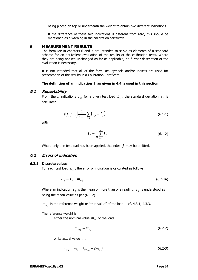being placed on top or underneath the weight to obtain two different indications.

If the difference of these two indications is different from zero, this should be mentioned as a warning in the calibration certificate.

# **6 MEASUREMENT RESULTS**

The formulae in chapters 6 and 7 are intended to serve as elements of a standard scheme for an equivalent evaluation of the results of the calibration tests. Where they are being applied unchanged as far as applicable, no further description of the evaluation is necessary.

It is not intended that all of the formulae, symbols and/or indices are used for presentation of the results in a Calibration Certificate.

#### **The definition of an indication** *I* **as given in 4.4 is used in this section.**

# **6.1 Repeatability**

From the *n* indications  $I_{ii}$  for a given test load  $L_{Ti}$ , the standard deviation  $s_i$  is calculated

$$
s(I_j) = \sqrt{\frac{1}{n-1} \sum_{i=1}^{n} (I_{ji} - \bar{I}_j)^2}
$$
 (6.1-1)

with

$$
\bar{I}_j = \frac{1}{n} \sum_{i=1}^n I_{ji}
$$
 (6.1-2)

Where only one test load has been applied, the index *j* may be omitted.

# **6.2 Errors of indication**

#### **6.2.1 Discrete values**

For each test load  $L_{\tau i}$ , the error of indication is calculated as follows:

$$
E_j = I_j - m_{refj} \tag{6.2-1a}
$$

Where an indication  $I_j$  is the mean of more than one reading,  $I_j$  is understood as being the mean value as per (6.1-2).

 $m_{ref}$  is the reference weight or "true value" of the load. – cf. 4.3.1, 4.3.3.

The reference weight is

either the nominal value  $m_N$  of the load,

$$
m_{refj} = m_{Nj} \tag{6.2-2}
$$

or its actual value  $m<sub>c</sub>$ 

$$
m_{refj} = m_{cj} = (m_{Nj} + \delta m_{cj})
$$
 (6.2-3)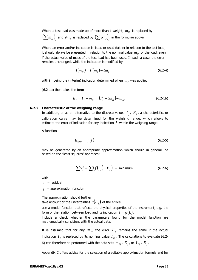Where a test load was made up of more than 1 weight,  $m_{Nj}$  is replaced by  $\left( \sum m_N \right)_i$  and  $\delta m_{cj}$  is replaced by  $\left( \sum \delta m_c \right)_i$  in the formulae above.

Where an error and/or indication is listed or used further in relation to the test load, it should always be presented in relation to the nominal value  $m_N$  of the load, even if the actual value of mass of the test load has been used. In such a case, the error remains unchanged, while the indication is modified by

$$
I(m_N) = I'(m_c) - \delta m_c \tag{6.2-4}
$$

with  $I'$  being the (interim) indication determined when  $m_c$  was applied.

(6.2-1a) then takes the form

$$
E_j = I_j - m_{Nj} = (I'_j - \delta m_{cj}) - m_{Nj}
$$
 (6.2-1b)

#### **6.2.2 Characteristic of the weighing range**

In addition, or as an alternative to the discrete values  $I_i$ ,  $E_i$ , a characteristic, or calibration curve may be determined for the weighing range, which allows to estimate the error of indication for any indication *I* within the weighing range.

A function

$$
E_{\text{appr}} = f(I) \tag{6.2-5}
$$

may be generated by an appropriate approximation which should in general, be based on the "least squares" approach:

$$
\sum v_j^2 = \sum (f(I_j) - E_j)^2 = \text{minimum} \tag{6.2-6}
$$

with

 $v_i$  = residual

 $f =$ approximation function

The approximation should further

take account of the uncertainties  $\,u(E_{\scriptscriptstyle i}\,)$  of the errors,

use a model function that reflects the physical properties of the instrument, e.g. the form of the relation between load and its indication  $I = g(L)$ ,

include a check whether the parameters found for the model function are mathematically consistent with the actual data.

It is assumed that for any  $m_{Ni}$  the error  $E_i$  remains the same if the actual indication  $I_i$  is replaced by its nominal value  $I_{Ni}$ . The calculations to evaluate (6.2-6) can therefore be performed with the data sets  $m_{Ni}$ ,  $E_i$ , or  $I_{Ni}$ ,  $E_i$ .

Appendix C offers advice for the selection of a suitable approximation formula and for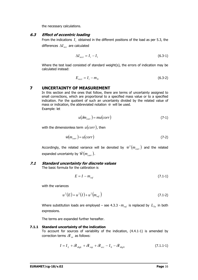the necessary calculations.

# **6.3 Effect of eccentric loading**

From the indications  $I_i$  obtained in the different positions of the load as per 5.3, the differences  $\Delta I_{acc}$  are calculated

$$
\Delta I_{ecci} = I_i - I_1 \tag{6.3-1}
$$

Where the test load consisted of standard weight(s), the errors of indication may be calculated instead:

$$
E_{ecci} = I_i - m_N \tag{6.3-2}
$$

# **7 UNCERTAINTY OF MEASUREMENT**

In this section and the ones that follow, there are terms of uncertainty assigned to small corrections, which are proportional to a specified mass value or to a specified indication. For the quotient of such an uncertainty divided by the related value of mass or indication, the abbreviated notation  $\hat{w}$  will be used. Example: let

$$
u(\delta m_{corr}) = mu(corr)
$$
 (7-1)

with the dimensionless term *u*(*corr*), then

$$
\hat{w}(m_{corr}) = u(corr) \tag{7-2}
$$

Accordingly, the related variance will be denoted by  $\hat{w}^2 \big( m_{corr} \big)$  and the related expanded uncertainty by  $\hat{W}(m_{corr})$ .

# **7.1 Standard uncertainty for discrete values**

The basic formula for the calibration is

$$
E = I - m_{ref} \tag{7.1-1}
$$

with the variances

$$
u^{2}(E) = u^{2}(I) + u^{2}(m_{ref})
$$
\n(7.1-2)

Where substitution loads are employed – see 4.3.3 -  $m_{ref}$  is replaced by  $L_{T_n}$  in both expressions.

The terms are expanded further hereafter.

# **7.1.1 Standard uncertainty of the indication**

To account for sources of variability of the indication, (4.4.1-1) is amended by correction terms  $\delta I_{rr}$  as follows:

$$
I = I_L + \delta I_{\text{digl.}} + \delta I_{\text{rep}} + \delta I_{\text{ecc}} - I_0 - \delta I_{\text{digl.}} \tag{7.1.1-1}
$$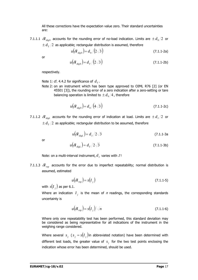All these corrections have the expectation value zero. Their standard uncertainties are:

7.1.1.1  $\delta I_{div0}$  accounts for the rounding error of no-load indication. Limits are  $\pm d_0/2$  or  $\pm d_{\tau}/2$  as applicable; rectangular distribution is assumed, therefore

$$
u(\mathcal{J}_{\text{dig}}) = d_0 / (2\sqrt{3})
$$
 (7.1.1-2a)

or

$$
u(\mathcal{S}_{\text{diag }0}) = d_{\text{T}}/(2\sqrt{3})
$$
\n(7.1.1-2b)

respectively.

Note 1: cf. 4.4.2 for significance of  $d<sub>T</sub>$ .

Note 2: on an instrument which has been type approved to OIML R76 [2] (or EN 45501 [3]), the rounding error of a zero indication after a zero-setting or tare balancing operation is limited to  $\pm d_0/4$ , therefore

$$
u(\delta I_{\text{dig0}}) = d_0 / (4\sqrt{3})
$$
\n(7.1.1-2c)

7.1.1.2  $\delta I_{diel}$  accounts for the rounding error of indication at load. Limits are  $\pm d_I/2$  or  $\pm$   $d_{\scriptscriptstyle T}/2\,$  as applicable; rectangular distribution to be assumed, therefore

$$
u(\delta I_{\rm disl}) = d_1/2\sqrt{3} \tag{7.1.1-3a}
$$

or

$$
u(\delta I_{\text{dis}}) = d_T / 2\sqrt{3} \tag{7.1.1-3b}
$$

Note: on a multi-interval instrument,  $d<sub>t</sub>$  varies with  $I!$ 

7.1.1.3  $\delta I_{rep}$  accounts for the error due to imperfect repeatability; normal distribution is assumed, estimated

$$
u(\delta I_{rep}) = s(I_j) \tag{7.1.1-5}
$$

with  $s(I_i)$  as per 6.1.

Where an indication  $I_i$  is the mean of  $n$  readings, the corresponding standards uncertainty is

$$
u(\delta I_{rep}) = s(I_j)/\sqrt{n} \tag{7.1.1-6}
$$

Where only one repeatability test has been performed, this standard deviation may be considered as being representative for all indications of the instrument in the weighing range considered.

Where several  $s_j$  ( $s_j = s(I_j)$  in abbreviated notation) have been determined with different test loads, the greater value of  $s<sub>i</sub>$  for the two test points enclosing the indication whose error has been determined, should be used.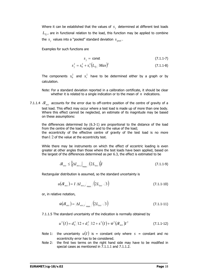Where it can be established that the values of  $s<sub>i</sub>$  determined at different test loads  $L_{T_i}$ , are in functional relation to the load, this function may be applied to combine the  $s_i$  values into a "pooled" standard deviation  $s_{pool}$ .

Examples for such functions are

$$
s_j = \text{const} \tag{7.1.1-7}
$$

$$
s_j^2 = s_0^2 + s_r^2 \left( L_{Tj} / Max \right)^2 \tag{7.1.1-8}
$$

The components  $s_0^2$  and  $s_r^2$  have to be determined either by a graph or by calculation.

- Note: For a standard deviation reported in a calibration certificate, it should be clear whether it is related to a single indication or to the mean of *n* indications.
- 7.1.1.4  $\delta I_{\text{acc}}$  accounts for the error due to off-centre position of the centre of gravity of a test load. This effect may occur where a test load is made up of more than one body. Where this effect cannot be neglected, an estimate of its magnitude may be based on these assumptions:

the differences determined by (6.3-1) are proportional to the distance of the load from the centre of the load receptor and to the value of the load; the eccentricity of the effective centre of gravity of the test load is no more than  $1/2$  of the value at the eccentricity test.

While there may be instruments on which the effect of eccentric loading is even greater at other angles than those where the test loads have been applied, based on the largest of the differences determined as per 6.3, the effect is estimated to be

$$
\delta I_{ecc} \leq \left\{ \Delta I_{ecc,i} \right\}_{\text{max}} / (2L_{ecc}) \left\} I \tag{7.1.1-9}
$$

Rectangular distribution is assumed, so the standard uncertainty is

$$
u(\delta I_{ecc}) = I \left| \Delta I_{ecc,i} \right|_{\text{max}} / (2L_{ecc} \sqrt{3}) \tag{7.1.1-10}
$$

or, in relative notation,

$$
\hat{w}(\delta I_{ecc}) = \left| \Delta I_{ecc,i} \right|_{\text{max}} / \left( 2L_{ecc} \sqrt{3} \right)
$$
\n(7.1.1-11)

7.1.1.5 The standard uncertainty of the indication is normally obtained by

$$
u^{2}(I) = d_{0}^{2}/12 + d_{I}^{2}/12 + s^{2}(I) + \hat{w}^{2}(\delta I_{ecc})I^{2}
$$
 (7.1.1-12)

- Note 1: the uncertainty  $u(I)$  is = constant only where  $s =$  constant and no eccentricity error has to be considered.
- Note 2: the first two terms on the right hand side may have to be modified in special cases as mentioned in 7.1.1.1 and 7.1.1.2.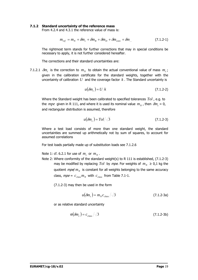#### **7.1.2 Standard uncertainty of the reference mass**

From 4.2.4 and 4.3.1 the reference value of mass is:

$$
m_{ref} = m_N + \delta m_c + \delta m_B + \delta m_D + \delta m_{conv} + \delta m_{\dots} \tag{7.1.2-1}
$$

The rightmost term stands for further corrections that may in special conditions be necessary to apply, it is not further considered hereafter.

The corrections and their standard uncertainties are:

7.1.2.1  $\delta m_c$  is the correction to  $m_N$  to obtain the actual conventional value of mass  $m_c$ ; given in the calibration certificate for the standard weights, together with the uncertainty of calibration *U* and the coverage factor *k* . The Standard uncertainty is

$$
u(\delta m_c) = U/k \tag{7.1.2-2}
$$

Where the Standard weight has been calibrated to specified tolerances *Tol* , e.g. to the *mpe* given in R 111, and where it is used its nominal value  $m_N$ , then  $\delta m_c = 0$ , and rectangular distribution is assumed, therefore

$$
u(\delta m_c) = T o l / \sqrt{3} \tag{7.1.2-3}
$$

Where a test load consists of more than one standard weight, the standard uncertainties are summed up arithmetically not by sum of squares, to account for assumed correlations

For test loads partially made up of substitution loads see 7.1.2.6

Note 1: cf. 6.2.1 for use of  $m_c$  or  $m_N$ .

Note 2: Where conformity of the standard weight(s) to R 111 is established, (7.1.2-3) may be modified by replacing *Tol* by mpe. For weights of  $m_N \geq 0.1$  kg the quotient *mpe/*  $m_N$  is constant for all weights belonging to the same accuracy class,  $mpe = c_{class} m_N$  with  $c_{class}$  from Table 7.1-1.

(7.1.2-3) may then be used in the form

$$
u(\delta m_c) = m_N c_{class} / \sqrt{3}
$$
 (7.1.2-3a)

or as relative standard uncertainty

$$
\hat{w}(\delta m_c) = c_{class}/\sqrt{3} \tag{7.1.2-3b}
$$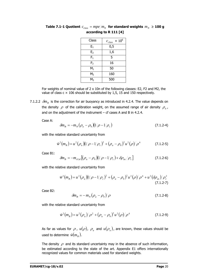| Class          | $\times$ 10 <sup>6</sup><br>$c_{\text{class}}$ |
|----------------|------------------------------------------------|
| $E_1$          | 0,5                                            |
| E <sub>2</sub> | 1,6                                            |
| $F_1$          | 5                                              |
| F <sub>2</sub> | 16                                             |
| $M_1$          | 50                                             |
| M <sub>2</sub> | 160                                            |
| $M_3$          | 500                                            |

**Table 7.1-1 Quotient**  $c_{class} = mpe/m_N$  for standard weights  $m_N \ge 100$  g **according to R 111 [4]** 

For weights of nominal value of 2 x 10n of the following classes: E2, F2 and M2, the value of class  $c \times 106$  should be substituted by 1,5, 15 and 150 respectively.

7.1.2.2  $\delta m_B$  is the correction for air buoyancy as introduced in 4.2.4. The value depends on the density  $\rho$  of the calibration weight, on the assumed range of air density  $\rho_a$ , and on the adjustment of the instrument  $-$  cf cases A and B in 4.2.4.

Case A:

$$
\delta m_B = -m_N \left( \rho_a - \rho_0 \right) \left( 1/\rho - 1/\rho_c \right) \tag{7.1.2-4}
$$

with the relative standard uncertainty from

$$
\hat{w}^2(m_B) = u^2 (\rho_a) (1/\rho - 1/\rho_c)^2 + (\rho_a - \rho_0)^2 u^2 (\rho) / \rho^4
$$
 (7.1.2-5)

Case B1:

$$
\delta m_B = -m_{cCal} \left[ (\rho_a - \rho_0) (1/\rho - 1/\rho_c) + \delta \rho_{as} / \rho_c \right]
$$
 (7.1.2-6)

with the relative standard uncertainty from

$$
\hat{w}^2(m_B) = u^2 (\rho_a) (1/\rho - 1/\rho_c)^2 + (\rho_a - \rho_0)^2 u^2 (\rho) / \rho^4 + u^2 (\delta \rho_{as}) / \rho_c^2
$$
\n(7.1.2-7)

Case B2:

$$
\delta m_B = -m_N \left(\rho_a - \rho_0\right) / \rho \tag{7.1.2-8}
$$

with the relative standard uncertainty from

$$
\hat{w}^2(m_B) = u^2(\rho_a)/\rho^2 + (\rho_a - \rho_0)^2 u^2(\rho)/\rho^4
$$
\n(7.1.2-9)

As far as values for  $\rho$ ,  $u(\rho)$ ,  $\rho_a$  and  $u(\rho_a)$ , are known, these values should be used to determine  $\hat{w}(m_{B})$ .

The density  $\rho$  and its standard uncertainty may in the absence of such information, be estimated according to the state of the art. Appendix E1 offers internationally recognized values for common materials used for standard weights.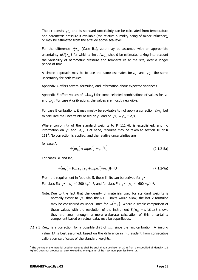The air density  $\rho_a$  and its standard uncertainty can be calculated from temperature and barometric pressure if available (the relative humidity being of minor influence), or may be estimated from the altitude above sea-level.

For the difference  $\delta \rho_{as}$  (Case B1), zero may be assumed with an appropriate uncertainty  $u(\delta \rho_{as})$  for which a limit  $\Delta \rho_{as}$  should be estimated taking into account the variability of barometric pressure and temperature at the site, over a longer period of time.

A simple approach may be to use the same estimates for  $\rho_a$  and  $\rho_{as}$  the same uncertainty for both values.

Appendix A offers several formulae, and information about expected variances.

Appendix E offers values of  $\hat{w}(m_B)$  for some selected combinations of values for  $\rho$ and  $\rho_a$ . For case A calibrations, the values are mostly negligible.

For case B calibrations, it may mostly be advisable to not apply a correction  $\delta m_B$  but to calculate the uncertainty based on  $\rho$  and on  $\rho_a = \rho_0 \pm \Delta \rho_a$ 

Where conformity of the standard weights to R 111[4], is established, and no information on  $\rho$  and  $\rho_a$ , is at hand, recourse may be taken to section 10 of R  $111<sup>5</sup>$  $111<sup>5</sup>$  $111<sup>5</sup>$ . No correction is applied, and the relative uncertainties are

for case A,

$$
\hat{w}(m_B) \approx mpe/(4m_N \sqrt{3})\tag{7.1.2-5a}
$$

For cases B1 and B2,

$$
\hat{w}(m_B) \approx (0.1 \rho_0/\rho_c + mpe/(4m_N))/\sqrt{3}
$$
\n(7.1.2-9a)

From the requirement in footnote 5, these limits can be derived for  $\rho$ : For class E<sub>2</sub>:  $|\rho - \rho_c|$  ≤ 200 kg/m<sup>3</sup>, and for class F<sub>1</sub>:  $|\rho - \rho_c|$  ≤ 600 kg/m<sup>3</sup>.

- Note: Due to the fact that the density of materials used for standard weights is normally closer to  $\rho_c$  than the R111 limits would allow, the last 2 formulae may be considered as upper limits for  $\hat{w}(m_B)$ . Where a simple comparison of these values with the resolution of the instrument  $\left( \frac{1}{n_{M}} \right) = d / M a x$  shows they are small enough, a more elaborate calculation of this uncertainty component based on actual data, may be superfluous.
- 7.1.2.3  $\delta m_D$  is a correction for a possible drift of  $m_c$  since the last calibration. A limiting value  $D$  is best assumed, based on the difference in  $m_c$  evident from consecutive calibration certificates of the standard weights.

 $\overline{a}$ 

<span id="page-25-0"></span> $5$  The density of the material used for weights shall be such that a deviation of 10 % from the specified air density (1.2) kg/m<sup>3</sup>) does not produce an error exceeding one quarter of the maximum permissible error.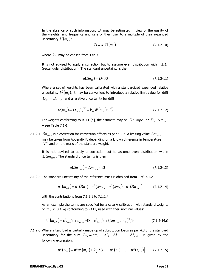In the absence of such information, *D* may be estimated in view of the quality of the weights, and frequency and care of their use, to a multiple of their expanded uncertainty  $U(m_{\circ})$ :

$$
D = k_D U \big( m_c \big) \tag{7.1.2-10}
$$

where  $k_p$  may be chosen from 1 to 3.

It is not advised to apply a correction but to assume even distribution within  $\pm D$ (rectangular distribution). The standard uncertainty is then

$$
u(\delta m_D) = D/\sqrt{3} \tag{7.1.2-11}
$$

Where a set of weights has been calibrated with a standardized expanded relative uncertainty  $\hat{W}(m_c)$ , it may be convenient to introduce a relative limit value for drift  $D_{rel} = D/m_N$  and a relative uncertainty for drift

$$
\hat{w}(m_D) = D_{rel} / \sqrt{3} = k_D \hat{w}(m_N) / \sqrt{3}
$$
\n(7.1.2-12)

For weights conforming to R111 [4], the estimate may be  $D \leq mpe$ , or  $D_{rel} \leq c_{class}$  $-$  see Table 7.1-1

7.1.2.4  $\delta m_{conv}$  is a correction for convection effects as per 4.2.3. A limiting value  $\Delta m_{conv}$ may be taken from Appendix F, depending on a known difference in temperature Δ*T* and on the mass of the standard weight.

It is not advised to apply a correction but to assume even distribution within  $\pm \Delta m_{conv}$ . The standard uncertainty is then

$$
u(\delta m_{conv}) = \Delta m_{conv} / \sqrt{3}
$$
 (7.1.2-13)

7.1.2.5 The standard uncertainty of the reference mass is obtained from – cf. 7.1.2

$$
u^{2}(m_{ref}) = u^{2}(\delta m_{c}) + u^{2}(\delta m_{B}) + u^{2}(\delta m_{D}) + u^{2}(\delta m_{conv})
$$
 (7.1.2-14)

with the contributions from 7.1.2.1 to 7.1.2.4

As an example the terms are specified for a case A calibration with standard weights of  $m_N \geq 0.1$  kg conforming to R111, used with their nominal values:

$$
\hat{w}^2 \left( m_{ref} \right) = c_{class}^2 / 3 + c_{class}^2 / 48 + c_{class}^2 / 3 + \left( \Delta m_{conv} / m_N \right)^2 / 3 \tag{7.1.2-14a}
$$

7.1.2.6 Where a test load is partially made up of substitution loads as per 4.3.3, the standard uncertainty for the sum  $L_{T_n} = nm_{c1} + \Delta I_1 + \Delta I_2 + ... + \Delta I_{n-1}$  is given by the following expression:

$$
u^{2}(L_{T_{n}}) = n^{2}u^{2}(m_{c1}) + 2[u^{2}(I_{1}) + u^{2}(I_{2}) + ... + u^{2}(I_{n-1})]
$$
 (7.1.2-15)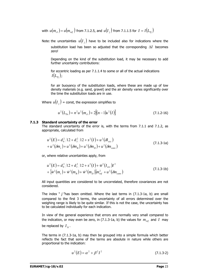with  $u(m_{c1}) = u(m_{ref})$  from 7.1.2.5, and  $u(I_i)$  from 7.1.1.5 for  $I = I(L_{Tr})$ 

Note: the uncertainties  $u(I_i)$  have to be included also for indications where the substitution load has been so adjusted that the corresponding Δ*I* becomes zero!

Depending on the kind of the substitution load, it may be necessary to add further uncertainty contributions:

for eccentric loading as per 7.1.1.4 to some or all of the actual indications  $I(L_{T_i})$ ;

for air buoyancy of the substitution loads, where these are made up of low density materials (e.g. sand, gravel) and the air density varies significantly over the time the substitution loads are in use.

Where  $u(I_i)$  = const, the expression simplifies to

$$
u^{2}(L_{T_{n}}) = n^{2}u^{2}(m_{c1}) + 2[(n-1)u^{2}(I)]
$$
\n(7.1.2-16)

#### **7.1.3 Standard uncertainty of the error**

The standard uncertainty of the error is, with the terms from 7.1.1 and 7.1.2, as appropriate, calculated from

$$
u^{2}(E) = d_{0}^{2}/12 + d_{1}^{2}/12 + s^{2}(I) + u^{2}(\delta I_{ecc})
$$
  
+ 
$$
u^{2}(\delta m_{c}) + u^{2}(\delta m_{B}) + u^{2}(\delta m_{D}) + u^{2}(\delta m_{conv})
$$
 (7.1.3-1a)

or, where relative uncertainties apply, from

$$
u^{2}(E) = d_{0}^{2}/12 + d_{I}^{2}/12 + s^{2}(I) + \hat{w}^{2}(I_{ecc})I^{2}
$$
  
+ { $\hat{w}^{2}(m_{c}) + \hat{w}^{2}(m_{B}) + \hat{w}^{2}(m_{D})m_{ref}^{2} + u^{2}(\delta m_{conv})$  (7.1.3-1b)

All input quantities are considered to be uncorrelated, therefore covariances are not considered.

The index " *j* "has been omitted. Where the last terms in (7.1.3-1a, b) are small compared to the first 3 terms, the uncertainty of all errors determined over the weighing range is likely to be quite similar. If this is not the case, the uncertainty has to be calculated individually for each indication.

In view of the general experience that errors are normally very small compared to the indication, or may even be zero, in (7.1.3-1a, b) the values for  $m_{ref}$  and  $I$  may be replaced by  $I_{N}$ .

The terms in (7.1.3-1a, b) may then be grouped into a simple formula which better reflects the fact that some of the terms are absolute in nature while others are proportional to the indication:

$$
u^{2}(E) = \alpha^{2} + \beta^{2} I^{2}
$$
 (7.1.3-2)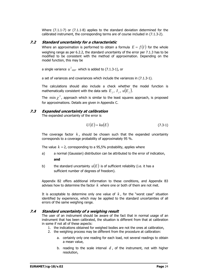Where (7.1.1-7) or (7.1.1-8) applies to the standard deviation determined for the calibrated instrument, the corresponding terms are of course included in (7.1.3-2).

# **7.2 Standard uncertainty for a characteristic**

Where an approximation is performed to obtain a formula  $E = f(I)$  for the whole weighing range as per 6.2.2, the standard uncertainty of the error per 7.1.3 has to be modified to be consistent with the method of approximation. Depending on the model function, this may be

a single variance  $u^2_{\textit{appr}}$  which is added to (7.1.3-1), or

a set of variances and covariances which include the variances in (7.1.3-1).

The calculations should also include a check whether the model function is mathematically consistent with the data sets  $E_i$ ,  $I_i$ ,  $u(E_i)$ .

The  $\min \chi^2$ , approach which is similar to the least squares approach, is proposed for approximations. Details are given in Appendix C.

# **7.3 Expanded uncertainty at calibration**

The expanded uncertainty of the error is

$$
U(E) = ku(E) \tag{7.3-1}
$$

The coverage factor *k* , should be chosen such that the expanded uncertainty corresponds to a coverage probability of approximately 95 %.

The value  $k = 2$ , corresponding to a 95,5% probability, applies where

- a) a normal (Gaussian) distribution can be attributed to the error of indication, **and**
- b) the standard uncertainty  $u(E)$  is of sufficient reliability (i.e. it has a sufficient number of degrees of freedom).

Appendix B2 offers additional information to these conditions, and Appendix B3 advises how to determine the factor *k* where one or both of them are not met.

It is acceptable to determine only one value of  $k$ , for the "worst case" situation identified by experience, which may be applied to the standard uncertainties of all errors of the same weighing range.

# **7.4 Standard uncertainty of a weighing result**

The user of an instrument should be aware of the fact that in normal usage of an instrument that has been calibrated, the situation is different from that at calibration in some if not all of these aspects:

- 1. the indications obtained for weighed bodies are not the ones at calibration,
- 2. the weighing process may be different from the procedure at calibration:
	- a. certainly only one reading for each load, not several readings to obtain a mean value,
	- b. reading to the scale interval *d* , of the instrument, not with higher resolution,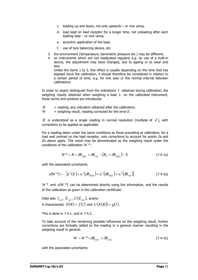- c. loading up and down, not only upwards  $-$  or vice versa,
- d. load kept on load receptor for a longer time, not unloading after each loading step – or vice versa,
- e. eccentric application of the load,
- f. use of tare balancing device, etc.
- 3. the environment (temperature, barometric pressure etc.) may be different,
- 4. on instruments which are not readjusted regularly e.g. by use of a built-in device, the adjustment may have changed, due to ageing or to wear and tear.

Unlike the items 1 to 3, this effect is usually depending on the time that has elapsed since the calibration, it should therefore be considered in relation to a certain period of time, e.g. for one year or the normal interval between calibrations.

In order to clearly distinguish from the indications *I* obtained during calibration, the weighing results obtained when weighing a load *L* on the calibrated instrument, these terms and symbols are introduced:

- $R$  = reading, any indication obtained after the calibration;
- $W =$  weighing result, reading corrected for the error  $E$ .

*R* is understood as a single reading in normal resolution (multiple of *d* ), with corrections to be applied as applicable.

For a reading taken under the same conditions as those prevailing at calibration, for a load well centred on the load receptor, only corrections to account for points 2a and 2b above apply. The result may be denominated as the weighing result under the conditions of the calibration *W* \*:

$$
W^* = R + \delta R_{\text{digL}} + \delta R_{\text{rep}} - \left(R_0 + \delta R_{\text{dig0}}\right) - E \tag{7.4-1a}
$$

with the associated uncertainty

$$
u(W^*) = \sqrt{\{u^2(E) + u^2(\delta R_{\text{dig}})\} + u^2(\delta R_{\text{dig}}) + u^2(\delta R_{\text{rep}})\}}
$$
(7.4-2a)

 $W^*$  and  $u(W^*)$  can be determined directly using the information, and the results of the calibration as given in the calibration certificate:

Data sets  $I_{cal}$ ,  $E_{cal}$ ,  $U(E_{cal})$ , and/or A characteristic  $E(R) = f(I)$  and  $U(E(R)) = g(I)$ .

This is done in 7.4.1. and in 7.4.2.

To take account of the remaining possible influences on the weighing result, further corrections are formally added to the reading in a general manner resulting in the weighing result in general:

$$
W = W^* + \delta R_{\text{instr}} + \delta R_{\text{proc}} \tag{7.4-1b}
$$

with the associated uncertainty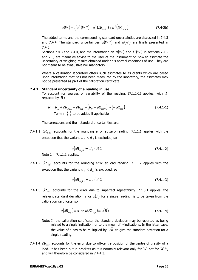$$
u(W) = \sqrt{u^2(W^*) + u^2(\delta R_{\text{instr}}) + u^2(\delta R_{\text{proc}})}
$$
 (7.4-2b)

The added terms and the corresponding standard uncertainties are discussed in 7.4.3 and 7.4.4. The standard uncertainties  $u(W^*)$  and  $u(W)$  are finally presented in 7.4.5.

Sections 7.4.3 and 7.4.4, and the information on  $u(W)$  and  $U(W)$  in sections 7.4.5 and 7.5, are meant as advice to the user of the instrument on how to estimate the uncertainty of weighing results obtained under his normal conditions of use. They are not meant to be exhaustive nor mandatory.

Where a calibration laboratory offers such estimates to its clients which are based upon information that has not been measured by the laboratory, the estimates may not be presented as part of the calibration certificate.

#### **7.4.1 Standard uncertainty of a reading in use**

To account for sources of variability of the reading, (7.1.1-1) applies, with *I* replaced by *R* :

$$
R = R_L + \delta R_{\text{disl}} + \delta R_{\text{rep}} - (R_0 + \delta R_{\text{disl}}) \cdots \{ + \delta R_{\text{ecc}} \}
$$
\nTerm in  $\{\}$  to be added if applicable

The corrections and their standard uncertainties are:

7.4.1.1  $\delta R_{div0}$  accounts for the rounding error at zero reading. 7.1.1.1 applies with the exception that the variant  $d<sub>T</sub> < d$ , is excluded, so

$$
u(\delta R_{\text{dig}}) = d_0 / \sqrt{12}
$$
 (7.4.1-2)

Note 2 in 7.1.1.1 applies.

7.4.1.2  $\delta R_{diel}$  accounts for the rounding error at load reading. 7.1.1.2 applies with the exception that the variant  $d<sub>T</sub> < d<sub>L</sub>$  is excluded, so

$$
u(\delta R_{\text{dis}}) = d_L / \sqrt{12} \tag{7.4.1-3}
$$

7.4.1.3  $\delta R_{\text{ren}}$  accounts for the error due to imperfect repeatability. 7.1.3.1 applies, the relevant standard deviation *s* or  $s(I)$  for a single reading, is to be taken from the calibration certificate, so

$$
u(\delta R_{rep}) = s \text{ or } u(\delta R_{rep}) = s(R) \tag{7.4.1-4}
$$

- Note: In the calibration certificate, the standard deviation may be reported as being related to a single indication, or to the mean of  $n$  indications. In the latter case, the value of s has to be multiplied by  $\sqrt{n}$  to give the standard deviation for a single reading.
- 7.4.1.4  $\delta R_{\text{acc}}$  accounts for the error due to off-centre position of the centre of gravity of a load. It has been put in brackets as it is normally relevant only for *W* not for *W* \*, and will therefore be considered in 7.4.4.3.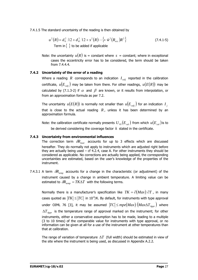7.4.1.5 The standard uncertainty of the reading is then obtained by

$$
u^{2}(R) = d_{0}^{2}/12 + d_{R}^{2}/12 + s^{2}(R) \cdots \{ + \hat{w}^{2}(R_{ecc})R^{2} \}
$$
 (7.4.1-5)  
Term in { } to be added if applicable

Note: the uncertainty  $u(R)$  is = constant where  $s$  = constant; where in exceptional cases the eccentricity error has to be considered, the term should be taken from 7.4.4.4.

# **7.4.2 Uncertainty of the error of a reading**

Where a reading  $R$  corresponds to an indication  $I_{cal}$  reported in the calibration certificate,  $u ( E_{cal} )$  may be taken from there. For other readings,  $u ( E ( R ) )$  may be calculated by (7.1.3-2) if  $\alpha$  and  $\beta$  are known, or it results from interpolation, or from an approximation formula as per 7.2.

The uncertainty  $u(E(R))$  is normally not smaller than  $u(E_{cal})$  for an indication *I*<sub>i</sub> that is close to the actual reading  $R$ , unless it has been determined by an approximation formula.

Note: the calibration certificate normally presents  $U_{.95}(E_{.cd})$  from which  $u(E_{.cd})$  is to be derived considering the coverage factor  $k$  stated in the certificate.

# **7.4.3 Uncertainty from environmental influences**

The correction term  $\delta R_{\text{instr}}$  accounts for up to 3 effects which are discussed hereafter. They do normally not apply to instruments which are adjusted right before they are actually being used – cf  $4.2.4$ , case A. For other instruments they should be considered as applicable. No corrections are actually being applied, the corresponding uncertainties are estimated, based on the user's knowledge of the properties of the instrument.

7.4.3.1 A term  $\delta R_{temp}$  accounts for a change in the characteristic (or adjustment) of the instrument caused by a change in ambient temperature. A limiting value can be estimated to  $\delta R_{temp} = TK\Delta T$  with the following terms.

Normally there is a manufacturer's specification like  $TK = \partial (Max)/\partial T$ , in many cases quoted as  $|TK| \le |TC|$  in 10<sup>-6</sup>/K. By default, for instruments with type approval under OIML 76 [3], it may be assumed  $|TC| \leq mpe (Max) / (Max \Delta T_{Appr})$  where  $\Delta T_{A_{DDF}}$  is the temperature range of approval marked on the instrument; for other instruments, either a conservative assumption has to be made, leading to a multiple (3 to 10 times) of the comparable value for instruments with type approval, or no information can be given at all for a use of the instrument at other temperatures than that at calibration.

The range of variation of temperature Δ*T* (full width) should be estimated in view of the site where the instrument is being used, as discussed in Appendix A.2.2.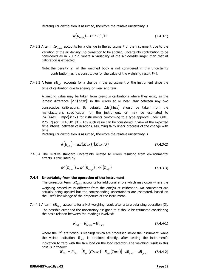Rectangular distribution is assumed, therefore the relative uncertainty is

$$
\hat{w}(R_{temp}) = TC\Delta T / \sqrt{12} \tag{7.4.3-1}
$$

7.4.3.2 A term  $\delta R_{\text{low}}$  accounts for a change in the adjustment of the instrument due to the variation of the air density; no correction to be applied, uncertainty contribution to be considered as in 7.1.2.2, where a variability of the air density larger than that at calibration is expected.

Note: the density  $\rho$  of the weighed body is not considered in this uncertainty contribution, as it is constitutive for the value of the weighing result *W* !.

7.4.3.3 A term  $\delta R_{adi}$  accounts for a change in the adjustment of the instrument since the time of calibration due to ageing, or wear and tear.

A limiting value may be taken from previous calibrations where they exist, as the largest difference  $|\Delta E(Max)|$  in the errors at or near Max between any two consecutive calibrations. By default, Δ*E*(*Max*) should be taken from the manufacturer's specification for the instrument, or may be estimated to  $\Delta E(Max) = mpe(Max)$  for instruments conforming to a type approval under OIML R76 [2] (or EN 45501 [3]). Any such value can be considered in view of the expected time interval between calibrations, assuming fairly linear progress of the change with time.

Rectangular distribution is assumed, therefore the relative uncertainty is

$$
\hat{w}(R_{adj}) = |\Delta E(Max)| / (Max\sqrt{3}) \tag{7.4.3-2}
$$

7.4.3.4 The relative standard uncertainty related to errors resulting from environmental effects is calculated by

$$
\hat{w}^2(R_{\text{instr}}) = \hat{w}^2(R_{\text{temp}}) + \hat{w}^2(R_{\text{adj}})
$$
\n(7.4.3-3)

#### **7.4.4 Uncertainty from the operation of the instrument**

The correction term  $\delta R_{\text{prec}}$  accounts for additional errors which may occur where the weighing procedure is different from the one(s) at calibration. No corrections are actually being applied but the corresponding uncertainties are estimated, based on the user's knowledge of the properties of the instrument.

7.4.4.1 A term  $\delta R_{Tare}$  accounts for a Net weighing result after a tare balancing operation [3]. The possible error and the uncertainty assigned to it should be estimated considering the basic relation between the readings involved:

$$
R_{Net} = R'_{Gross} - R'_{Tare} \tag{7.4.4-1}
$$

where the *R'* are fictitious readings which are processed inside the instrument, while the visible indication  $R'_{\text{Net}}$  is obtained directly, after setting the instrument's indication to zero with the tare load on the load receptor. The weighing result in this case is in theory:

$$
W_{Net} = R_{Net} - [E_{cal}(Gross) - E_{cal}(Tare)] - \delta R_{instr} - \delta R_{proc} \qquad (7.4.4-2)
$$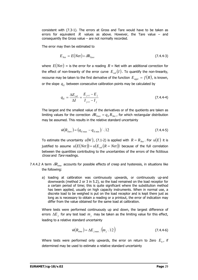consistent with (7.3-1). The errors at Gross and Tare would have to be taken as errors for equivalent  $R$  values as above. However, the Tare value – and consequently the Gross value – are not normally recorded.

The error may then be estimated to

$$
E_{Net} = E(Net) + \delta R_{Tare}
$$
\n(7.4.4-3)

where  $E(Net)$  = is the error for a reading  $R$  = Net with an additional correction for the effect of non-linearity of the error curve  $E_{col}(I)$ . To quantify the non-linearity, recourse may be taken to the first derivative of the function  $E_{appr} = f(R)$ , is known, or the slope  $q_E$  between consecutive calibration points may be calculated by

$$
q_E = \frac{\Delta E_{cal}}{\Delta I} = \frac{E_{j+1} - E_j}{I_{j+1} - I_j}
$$
(7.4.4-4)

The largest and the smallest value of the derivatives or of the quotients are taken as limiting values for the correction  $\delta R_{Tare} = q_E R_{Net}$ , for which rectangular distribution may be assumed. This results in the relative standard uncertainty

$$
\hat{w}(R_{Tare}) = (q_{E\max} - q_{E\min}) / \sqrt{12}
$$
\n(7.4.4-5)

To estimate the uncertainty  $u(W)$ , (7.1-2) is applied with  $R = R_{N_{e^t}}$ . For  $u(E)$  it is justified to assume  $u(E(Net)) = u(E_{cal}(R = Net))$  because of the full correlation between the quantities contributing to the uncertainties of the errors of the fictitious Gross and Tare readings.

- 7.4.4.2 A term  $\delta R_{\text{time}}$  accounts for possible effects of creep and hysteresis, in situations like the following:
	- a) loading at calibration was continuously upwards, or continuously up-and downwards (method 2 or 3 in 5.2), so the load remained on the load receptor for a certain period of time; this is quite significant where the substitution method has been applied, usually on high capacity instruments. When in normal use, a discrete load to be weighed is put on the load receptor and is kept there just as long as is necessary to obtain a reading or a printout, the error of indication may differ from the value obtained for the same load at calibration.

Where tests were performed continuously up and down, the largest difference of errors  $\Delta E_i$  for any test load  $m_i$  may be taken as the limiting value for this effect, leading to a relative standard uncertainty

$$
\hat{w}(R_{time}) = \Delta E_{j\max} / (m_j \sqrt{12})
$$
\n(7.4.4-6)

Where tests were performed only upwards, the error on return to Zero  $E_0$ , if determined may be used to estimate a relative standard uncertainty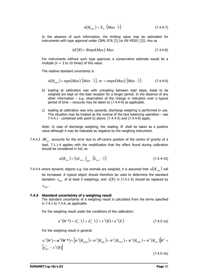$$
\hat{w}(R_{time}) = E_0 / (Max\sqrt{3}) \tag{7.4.4-7}
$$

In the absence of such information, the limiting value may be estimated for instruments with type approval under OIML R76 [2] (or EN 45501 [3]). Any as

$$
\Delta E(R) = Rmpe(Max)/Max \qquad (7.4.4-8)
$$

For instruments without such type approval, a conservative estimate would be a multiple ( $n = 3$  to 10 times) of this value.

The relative standard uncertainty is

$$
\hat{w}(R_{time}) = mpe(Max)/(Max\sqrt{3}), \text{ or } = nmpe(Max)/(Max\sqrt{3})
$$
 (7.4.4-9)

- b) loading at calibration was with unloading between load steps, loads to be weighed are kept on the load receptor for a longer period. In the absence of any other information – e.g. observation of the change in indication over a typical period of time – recourse may be taken to (7.4.4-9) as applicable.
- c) loading at calibration was only upwards, discharge weighing is performed in use. This situation may be treated as the inverse of the tare balancing operation  $-$  see 7.4.4.1 - combined with point b) above. (7.4.4-5) and (7.4.4-9) apply.

Note: In case of discharge weighing, the reading  $R$  shall be taken as a positive value although it may be indicated as negative by the weighing instrument.

7.4.4.3  $\delta R_{\text{acc}}$  accounts for the error due to off-centre position of the centre of gravity of a load. 7.1.1.4 applies with the modification that the effect found during calibration should be considered in full, so

$$
w(R_{ecc}) = \left(\Delta I_{ecc,i}\right)_{\text{max}} / \left(L_{ecc} \sqrt{3}\right)
$$
\n(7.4.4-10)

7.4.4.4 where dynamic objects e.g. live animals are weighed, it is assumed that  $u(\delta I_{\text{max}})$  will be increased. A typical object should therefore be used to determine the standard deviation  $s_{dyn}$  of at least 5 weighings, and  $s(R)$  in (7.4.1-5) should be replaced by

 $S_{dyn}$ .

#### **7.4.5 Standard uncertainty of a weighing result**

The standard uncertainty of a weighing result is calculated from the terms specified in 7.4.1 to 7.4.4, as applicable.

For the weighing result under the conditions of the calibration:

$$
u^{2}(W^{*}) = d_{0}^{2}/12 + d_{L}^{2}/12 + s^{2}(R) + u^{2}(E)
$$
 (7.4.5-1a)

For the weighing result in general:

$$
u^{2}(W) = u^{2}(W^{*}) + \left[\hat{w}^{2}(R_{temp}) + \hat{w}^{2}(R_{adj}) + \hat{w}^{2}(R_{Tare}) + \hat{w}^{2}(R_{time}) + \hat{w}^{2}(R_{ecc})\right]R^{2} + \left[s_{dyn}^{2} - s^{2}(R)\right]
$$
\n(7.4.5-1b)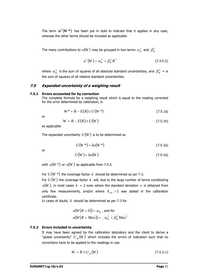The term  $u^2(W^*)$  has been put in bold to indicate that it applies in any case, whereas the other terms should be included as applicable.

The many contributions to  $u(W)$  may be grouped in two terms  $\alpha_w^2$  and  $\beta_w^2$ 

$$
u^{2}(W) = \alpha_{W}^{2} + \beta_{W}^{2} R^{2}
$$
 (7.4.5-2)

where  $\alpha_w^2$  is the sum of squares of all absolute standard uncertainties, and  $\beta_w^2$  = is the sum of squares of all relative standard uncertainties.

# **7.5 Expanded uncertainty of a weighing result**

#### **7.5.1 Errors accounted for by correction**

The complete formula for a weighing result which is equal to the reading corrected for the error determined by calibration, is

$$
W^* = R - E(R) \pm U(W^*)
$$
 (7.5.1a)

or

$$
W = R - E(R) \pm U(W) \tag{7.5.1b}
$$

as applicable.

The expanded uncertainty  $U(W)$  is to be determined as

$$
U(W^*) = ku(W^*)
$$
\n<sup>(7.5-2a)</sup>

or

$$
U(W) = ku(W) \tag{7.5-2a}
$$

with  $u(W^*)$  or  $u(W)$  as applicable from 7.4.5.

For  $U(W^*)$  the coverage factor  $k$  should be determined as per 7.3.

For  $U(W)$  the coverage factor k will, due to the large number of terms constituting  $u(W)$ , in most cases  $k = 2$  even where the standard deviation *s* is obtained from only few measurements, and/or where  $k_{cal} > 2$  was stated in the calibration certificate.

In cases of doubt, *k* should be determined as per 7.3 for

$$
u(W(R = 0)) = \alpha_W
$$
, and for  

$$
u(W(R = Max)) = \sqrt{\alpha_W^2 + \beta_W^2 Max^2}
$$

# **7.5.2 Errors included in uncertainty**

It may have been agreed by the calibration laboratory and the client to derive a "global uncertainty"  $U_{gl}(W)$  which includes the errors of indication such that no corrections have to be applied to the readings in use:

$$
W = R \pm U_{gl}(W) \tag{7.5.2-1}
$$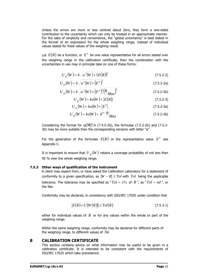Unless the errors are more or less centred about Zero, they form a one-sided contribution to the uncertainty which can only be treated in an approximate manner. For the sake of simplicity and convenience, the "global uncertainty" is best stated in the format of an expression for the whole weighing range, instead of individual values stated for fixed values of the weighing result.

Let  $E(R)$  be a function, or  $E^0$  be one value representative for all errors stated over the weighing range in the calibration certificate, then the combination with the uncertainties in use may in principle take on one of these forms:

$$
U_{gl}(W) = k \sqrt{u^2(W) + (E(R))^2}
$$
 (7.5.2-2)

$$
U_{gl}(W) = k \sqrt{u^2(W) + (E^0)^2}
$$
 (7.5.2-2a)

$$
U_{gl}(W) = k \sqrt{u^2(W) + (E^0)^2 (R_{Max})^2}
$$
 (7.5.2-2b)

$$
U_{gl}(W) = ku(W) + |E(R)| \tag{7.5.2-3}
$$

$$
U_{gl}(W) = ku(W) + |E^{0}|
$$
 (7.5.2-3a)

$$
U_{gl}(W) = ku(W) + \left| E^{0} \right| \frac{R}{Max}
$$
 (7.5.2-3b)

Considering the format for  $u(W)$  in (7.4.5-2b), the formulae (7.5.2-2b) and (7.5.2-3b) may be more suitable than the corresponding versions with letter "a".

For the generation of the formulae  $E(R)$  or the representative value  $E^0$  see Appendix C.

It is important to ensure that  $U_{el}(W)$  retains a coverage probability of not less than 95 % over the whole weighing range.

#### **7.5.3 Other ways of qualification of the instrument**

A client may expect from, or have asked the Calibration Laboratory for a statement of conformity to a given specification, as  $|W - R| \leq Tol$  with  $Tol$  being the applicable tolerance. The tolerance may be specified as " $Tol = x\%$  of R", as " $Tol = nd$ ", or the like.

Conformity may be declared, in consistency with ISO/IEC 17025 under condition that

$$
|E(R) + U(W(R))| \leq Tol(R)
$$
\n(7.5.3-1)

either for individual values of *R* or for any values within the whole or part of the weighing range.

Within the same weighing range, conformity may be declared for different parts of the weighing range, to different values of Tol.

#### **8 CALIBRATION CERTIFICATE**

This section contains advice on what information may be useful to be given in a calibration certificate. It is intended to be consistent with the requirements of ISO/IEC 17025 which take precedence.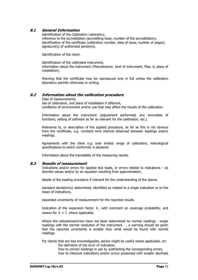## **8.1 General Information**

Identification of the Calibration Laboratory, reference to the accreditation (accrediting body, number of the accreditation), identification of the certificate (calibration number, date of issue, number of pages), signature(s) of authorised person(s).

Identification of the client.

Identification of the calibrated instrument, information about the instrument (Manufacturer, kind of instrument, Max, d, place of installation).

Warning that the certificate may be reproduced only in full unless the calibration laboratory permits otherwise in writing.

## **8.2 Information about the calibration procedure**

Date of measurements, site of calibration, and place of installation if different, conditions of environment and/or use that may affect the results of the calibration.

Information about the instrument (adjustment performed, any anomalies of functions, setting of software as far as relevant for the calibration, etc.).

Reference to, or description of the applied procedure, as far as this is not obvious from the certificate, e.g. constant time interval observed between loadings and/or readings.

Agreements with the client e.g. over limited range of calibration, metrological specifications to which conformity is declared.

Information about the traceability of the measuring results.

## **8.3 Results of measurement**

Indications and/or errors for applied test loads, or errors related to indications – as discrete values and/or by an equation resulting from approximation,

details of the loading procedure if relevant for the understanding of the above,

standard deviation(s) determined, identified as related to a single indication or to the mean of indications,

expanded uncertainty of measurement for the reported results.

Indication of the expansion factor  $k$ , with comment on coverage probability, and reason for  $k \neq 2$  where applicable.

Where the indications/errors have not been determined by normal readings - single readings with the normal resolution of the instrument - , a warning should be given that the reported uncertainty is smaller than what would be found with normal readings.

For clients that are less knowledgeable, advice might be useful where applicable, on: the definition of the error of indication,

how to correct readings in use by subtracting the corresponding errors, how to interpret indications and/or errors presented with smaller decimals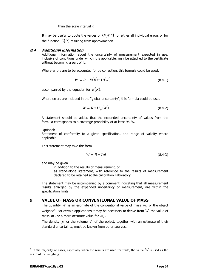than the scale interval *d* .

It may be useful to quote the values of  $U(W^*)$  for either all individual errors or for the function  $E(R)$  resulting from approximation.

## **8.4 Additional information**

Additional information about the uncertainty of measurement expected in use, inclusive of conditions under which it is applicable, may be attached to the certificate without becoming a part of it.

Where errors are to be accounted for by correction, this formula could be used:

$$
W = R - E(R) \pm U(W) \tag{8.4-1}
$$

accompanied by the equation for  $E(R)$ .

Where errors are included in the "global uncertainty", this formula could be used:

$$
W = R \pm U_{gl}(W) \tag{8.4-2}
$$

A statement should be added that the expanded uncertainty of values from the formula corresponds to a coverage probability of at least 95 %.

Optional:

Statement of conformity to a given specification, and range of validity where applicable.

This statement may take the form

$$
W = R \pm Tol \tag{8.4-3}
$$

and may be given

in addition to the results of measurement, or

as stand-alone statement, with reference to the results of measurement declared to be retained at the calibration Laboratory.

The statement may be accompanied by a comment indicating that all measurement results enlarged by the expanded uncertainty of measurement, are within the specification limits.

## **9 VALUE OF MASS OR CONVENTIONAL VALUE OF MASS**

The quantity *W* is an estimate of the conventional value of mass  $m<sub>c</sub>$  of the object weighed<sup>[6](#page-38-0)</sup>. For certain applications it may be necessary to derive from  $W$  the value of mass  $m$ , or a more accurate value for  $m_c$ .

The density  $\rho$  or the volume V of the object, together with an estimate of their standard uncertainty, must be known from other sources.

 $\overline{a}$ 

<span id="page-38-0"></span><sup>6</sup> In the majority of cases, especially when the results are used for trade, the value *W* is used as the result of the weighing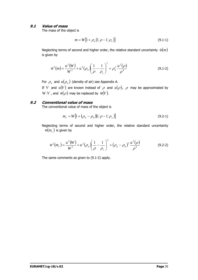## **9.1 Value of mass**

The mass of the object is

$$
m = W[1 + \rho_a (1/\rho - 1/\rho_c)] \tag{9.1-1}
$$

Neglecting terms of second and higher order, the relative standard uncertainty  $\hat{w}(m)$ is given by

$$
\hat{w}^2(m) = \frac{u^2(W)}{W^2} + u^2(\rho_a) \left(\frac{1}{\rho} - \frac{1}{\rho_c}\right)^2 + \rho_a^2 \frac{u^2(\rho)}{\rho^4}
$$
\n(9.1-2)

For  $\rho_a$  and  $u(\rho_a)$  (density of air) see Appendix A.

If *V* and  $u(V)$  are known instead of  $\rho$  and  $u(\rho)$ ,  $\rho$  may be approximated by *W*/*V*, and  $\hat{w}(\rho)$  may be replaced by  $\hat{w}(V)$ .

## **9.2 Conventional value of mass**

The conventional value of mass of the object is

$$
m_c = W[1 + (\rho_a - \rho_0)(1/\rho - 1/\rho_c)] \tag{9.2-1}
$$

Neglecting terms of second and higher order, the relative standard uncertainty  $\hat{w}(m_c)$  is given by

$$
\hat{w}^2(m_c) = \frac{u^2(W)}{W^2} + u^2(\rho_a) \left(\frac{1}{\rho} - \frac{1}{\rho_c}\right)^2 + (\rho_a - \rho_0)^2 \frac{u^2(\rho)}{\rho^4}
$$
(9.2-2)

The same comments as given to (9.1-2) apply.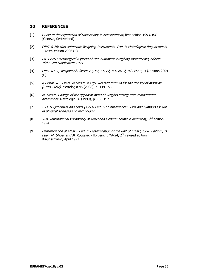## **10 REFERENCES**

- [1] Guide to the expression of Uncertainty in Measurement, first edition 1993, ISO (Geneva, Switzerland)
- [2] OIML R 76: Non-automatic Weighing Instruments Part 1: Metrological Requirements - Tests, edition 2006 (E)
- [3] EN 45501: Metrological Aspects of Non-automatic Weighing Instruments, edition 1992 with supplement 1994
- [4] OIML R111, Weights of Classes E1, E2, F1, F2, M1, M1-2, M2, M2-3, M3, Edition 2004 (E)
- [5] A Picard, R S Davis, M Gläser, K Fujii: Revised formula for the density of moist air (CIPM-2007). Metrologia 45 (2008), p. 149-155.
- [6] M. Gläser: Change of the apparent mass of weights arising from temperature differences Metrologia 36 (1999), p. 183-197
- [7] ISO 31 Quantities and Units (1993) Part 11: Mathematical Signs and Symbols for use in physical sciences and technology
- [8] *VIM, International Vocabulary of Basic and General Terms in Metrology*, 2<sup>nd</sup> edition 1994
- [9] Determination of Mass Part 1: Dissemination of the unit of mass", by R. Balhorn, D. Buer, M. Gläser and M. Kochsiek PTB-Bericht MA-24, 2<sup>nd</sup> revised edition, Braunschweig, April 1992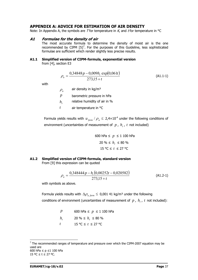## **APPENDIX A: ADVICE FOR ESTIMATION OF AIR DENSITY**

Note: In Appendix A, the symbols are T for temperature in  $K$ , and t for temperature in  $^{\circ}C$ 

### **A1 Formulae for the density of air**

The most accurate formula to determine the density of moist air is the one recommended by CIPM  $[5]^7$  $[5]^7$ . For the purposes of this Guideline, less sophisticated formulae are sufficient which render slightly less precise results.

#### **A1.1 Simplified version of CIPM-formula, exponential version**  from [4], section E3

$$
\rho_a = \frac{0.34848p - 0.009h_r \exp(0.061t)}{273.15 + t}
$$
\n(A1.1-1)

with

 $\rho$ <sub>a</sub> air density in kg/m<sup>3</sup>

*p* barometric pressure in hPa

- $h_r$  relative humidity of air in %
- *t* air temperature in °C

Formula yields results with  $u_{form} / \rho_a \leq 2.4 \times 10^{-4}$  under the following conditions of environment (uncertainties of measurement of  $p$ ,  $h_r$ ,  $t$  not included)

$$
600 \text{ hPa} \le p \le 1 \text{ } 100 \text{ hPa}
$$
\n
$$
20 \% \le h_r \le 80 \%
$$
\n
$$
15 \text{ }^{\circ}\text{C} \le t \le 27 \text{ }^{\circ}\text{C}
$$

#### **A1.2 Simplified version of CIPM-formula, standard version**  From [9] this expression can be quoted

$$
\rho_a = \frac{0,348444p - h_r(0,00252t - 0,020582)}{273,15 + t}
$$
\n(A1.2-1)

with symbols as above.

Formula yields results with  $\Delta \rho_{a-form} \leq 0.001$  41 kg/m<sup>3</sup> under the following conditions of environment (uncertainties of measurement of  $p$ ,  $h_r$ ,  $t$  not included):

> *p* 600 hPa ≤ *p* ≤ 1 100 hPa *h*<sub>r</sub> 20 % ≤ *h*<sub>r</sub> ≤ 80 % *t* 15 °C ≤ *t* ≤ 27 °C

 $\overline{a}$ 

<span id="page-41-0"></span> $<sup>7</sup>$  The recommended ranges of temperature and pressure over which the CIPM-2007 equation may be</sup> used are 600 hPa ≤ p ≤1 100 hPa 15 °C ≤ t ≤ 27 °C.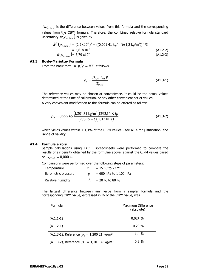$\Delta\rho_{a, form}$  is the difference between values from this formula and the corresponding values from the CIPM formula. Therefore, the combined relative formula standard uncertainty  $\hat{w}(\rho_{a\ form})$  is given by

$$
\hat{w}^2(\rho_{a, form}) = (2,2 \times 10^{-5})^2 + ((0,001 \ 41 \ kg/m^3)/(1,2 \ kg/m^3))^2 / 3
$$
  
= 4,61×10<sup>-7</sup>  

$$
\hat{w}(\rho_{a, form}) = 6,79 \times 10^{-4}
$$
 (A1.2-3)

#### **A1.3 Boyle-Mariotte- Formula**

From the basic formula  $p/\rho = RT$  it follows

$$
\rho_a = \frac{\rho_{a,ref} T_{ref} p}{T p_{ref}}
$$
\n(A1.3-1)

The reference values may be chosen at convenience. It could be the actual values determined at the time of calibration, or any other convenient set of values.

A very convenient modification to this formula can be offered as follows:

$$
\rho_a = 0.99265 \frac{\left(1,20131 \text{ kg/m}^3\right)\left(293,15 \text{ K}\right)p}{\left(273,15 + t\right)\left(1015 \text{ hPa}\right)}
$$
(A1.3-2)

which yields values within  $\pm$  1,1% of the CIPM values - see A1.4 for justification, and range of validity.

### **A1.4 Formula errors**

Sample calculations using EXCEL spreadsheets were performed to compare the results of air density obtained by the formulae above, against the CIPM values based on  $x_{CO-2} = 0,0004$ .

Comparisons were performed over the following steps of parameters:

| Temperature         | $\mathbf{r}$ | $= 15$ °C to 27 °C       |
|---------------------|--------------|--------------------------|
| Barometric pressure |              | $= 600$ hPa to 1 100 hPa |
| Relative humidity   |              | $h_r$ = 20 % to 80 %     |

The largest difference between any value from a simpler formula and the corresponding CIPM value, expressed in % of the CIPM value, was

| Formula                                                    | Maximum Difference<br>(absolute) |
|------------------------------------------------------------|----------------------------------|
| $(A.1.1-1)$                                                | 0,024%                           |
| $(A.1.2-1)$                                                | 0,20%                            |
| (A.1.3-1), Reference $\rho_a = 1,200$ 21 kg/m <sup>3</sup> | 1,4 %                            |
| (A.1.3-2), Reference $\rho_a = 1,20139$ kg/m <sup>3</sup>  | 0.9%                             |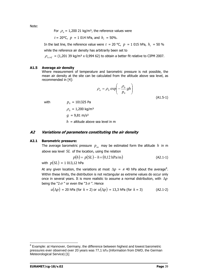Note:

For  $\rho_a = 1,200$  21 kg/m<sup>3</sup>, the reference values were

 $t = 20$ °C,  $p = 1014$  hPa, and  $h<sub>r</sub> = 50$ %.

In the last line, the reference value were  $t = 20$  °C,  $p = 1015$  hPa,  $h<sub>r</sub> = 50$  % while the reference air density has arbitrarily been set to

 $\rho_{\text{a} \text{ ref}} = (1,201 \, 39 \, \text{kg/m}^3 \times 0,994 \, 62)$  to obtain a better fit relative to CIPM 2007.

#### **A1.5 Average air density**

Where measurement of temperature and barometric pressure is not possible, the mean air density at the site can be calculated from the altitude above sea level, as recommended in [4]:

$$
\rho_a = \rho_0 \exp\left(-\frac{\rho_0}{p_0}gh\right)
$$
\n(A1.5-1)

with  $p_0 = 101325 \text{ Pa}$ 

 $\rho_{0} = 1,200 \text{ kg/m}^3$  $g = 9.81 \text{ m/s}^2$  $h =$  altitude above sea level in m

### **A2 Variations of parameters constituting the air density**

#### **A2.1 Barometric pressure:**

The average barometric pressure  $p_{av}$  may be estimated form the altitude  $h$  in m above sea level *SL* of the location, using the relation

$$
p(h) = p(SL) - h \times (0.12 \text{ hPa/m})
$$
 (A2.1-1)

with  $p(SL) = 1$  013,12 hPa

At any given location, the variations at most  $\Delta p = \pm 40$  hPa about the average<sup>[8](#page-43-0)</sup>. Within these limits, the distribution is not rectangular as extreme values do occur only once in several years. It is more realistic to assume a normal distribution, with Δ*p* being the "2 $\sigma$ " or even the "3 $\sigma$ ". Hence

$$
u(\Delta p) = 20
$$
 hPa (for  $k = 2$ ) or  $u(\Delta p) = 13.3$  hPa (for  $k = 3$ ) (A2.1-2)

 $\overline{a}$ 

<span id="page-43-0"></span> $8$  Example: at Hannover, Germany, the difference between highest and lowest barometric pressures ever observed over 20 years was 77,1 hPa (Information from DWD, the German Meteorological Service) [1]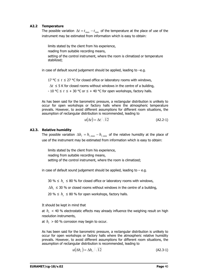### **A2.2 Temperature**

The possible variation  $\Delta t = t_{\text{max}} - t_{\text{min}}$  of the temperature at the place of use of the instrument may be estimated from information which is easy to obtain:

limits stated by the client from his experience, reading from suitable recording means, setting of the control instrument, where the room is climatized or temperature stabilized;

in case of default sound judgement should be applied, leading to –e.g.

17 °C ≤  $t \le 27$  °C for closed office or laboratory rooms with windows,

 $\Delta t \leq 5$  K for closed rooms without windows in the centre of a building,

 $-10$  °C  $\le t \le +30$  °C or  $\le +40$  °C for open workshops, factory halls.

As has been said for the barometric pressure, a rectangular distribution is unlikely to occur for open workshops or factory halls where the atmospheric temperature prevails. However, to avoid different assumptions for different room situations, the assumption of rectangular distribution is recommended, leading to

$$
u(\Delta t) = \Delta t / \sqrt{12} \tag{A2.2-1}
$$

### **A2.3. Relative humidity**

The possible variation  $\Delta h_r = h_{r, \text{max}} - h_{r, \text{min}}$  of the relative humidity at the place of use of the instrument may be estimated from information which is easy to obtain:

limits stated by the client from his experience, reading from suitable recording means, setting of the control instrument, where the room is climatized;

in case of default sound judgement should be applied, leading to  $-$  e.g.

30 %  $\leq h_r \leq 80$  % for closed office or laboratory rooms with windows,

 $\Delta h_r \leq 30$  % or closed rooms without windows in the centre of a building,

20 %  $\leq h_r \leq 80$  % for open workshops, factory halls.

It should be kept in mind that

at  $h_r$  < 40 % electrostatic effects may already influence the weighing result on high resolution instruments,

at  $h_r > 60$  % corrosion may begin to occur.

As has been said for the barometric pressure, a rectangular distribution is unlikely to occur for open workshops or factory halls where the atmospheric relative humidity prevails. However, to avoid different assumptions for different room situations, the assumption of rectangular distribution is recommended, leading to

$$
u(\Delta h_r) = \Delta h_r / \sqrt{12}
$$
 (A2.3-1)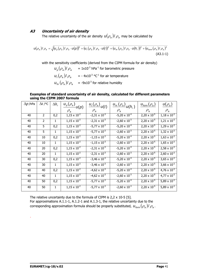## **A3 Uncertainty of air density**

The relative uncertainty of the air density  $\frac{u(\rho_a)}{\rho_a}$  may be calculated by

$$
u(\rho_a)/\rho_a = \sqrt{(u_p(\rho_a)/\rho_a \cdot u(p))^2 + (u_t(\rho_a)/\rho_a \cdot u(t))^2 + (u_{hr}(\rho_a)/\rho_a \cdot u(h_r))^2 + (u_{form}(\rho_a)/\rho_a)^2}
$$
\n(A3.1-1)

with the sensitivity coefficients (derived from the CIPM formula for air density)

 $u_p(\rho_a)/\rho_a$  = 1x10<sup>-3</sup> hPa<sup>-1</sup> for barometric pressure  $u_t(\rho_a)/\rho_a = -4x10^{-3}$  °C<sup>-1</sup> for air temperature  $u_{hr}(\rho_a)/\rho_a$  = -9x10<sup>-3</sup> for relative humidity

#### **Examples of standard uncertainty of air density, calculated for different parameters using the CIPM 2007 formula**

| $\Delta p$ /hPa | $\Delta t$ /°C | $\Delta h_r$ | $\overline{u_{p}(\rho_{a})}$ <sub><math>u(p)</math></sub> | $\overline{u_t(\rho_a)}u(t)$ | $u_{hr}(\rho_a)$ <sub>u</sub> $(h_r)$ | $u_{\text{form}}(\rho_a)$ | $u(\rho_a)$                   |
|-----------------|----------------|--------------|-----------------------------------------------------------|------------------------------|---------------------------------------|---------------------------|-------------------------------|
|                 |                |              | $\rho_{\scriptscriptstyle a}$                             | $\rho_a$                     | $\rho_{\scriptscriptstyle a}$         | $\rho_{\sf a}$            | $\rho_{\scriptscriptstyle a}$ |
| 40              | $\overline{2}$ | 0,2          | $1,15 \times 10^{-2}$                                     | $-2,31 \times 10^{-3}$       | $-5,20 \times 10^{-4}$                | $2,20 \times 10^{-5}$     | $1,18 \times 10^{-2}$         |
| 40              | $\overline{2}$ | 1            | $1,15 \times 10^{-2}$                                     | $-2,31 \times 10^{-3}$       | $-2,60 \times 10^{-3}$                | $2,20 \times 10^{-5}$     | $1,21 \times 10^{-2}$         |
| 40              | 5              | 0,2          | $1,15 \times 10^{-2}$                                     | $-5,77 \times 10^{-3}$       | $-5,20 \times 10^{-4}$                | $2,20 \times 10^{-5}$     | $1,29 \times 10^{-2}$         |
| 40              | 5              | 1            | $1,15 \times 10^{-2}$                                     | $-5,77 \times 10^{-3}$       | $-2,60 \times 10^{-3}$                | $2,20 \times 10^{-5}$     | $1,32 \times 10^{-2}$         |
| 40              | 10             | 0,2          | $1,15 \times 10^{-2}$                                     | $-1,15 \times 10^{-3}$       | $-5,20 \times 10^{-4}$                | $2,20 \times 10^{-5}$     | $1,63 \times 10^{-2}$         |
| 40              | 10             | $\mathbf{1}$ | $1,15 \times 10^{-2}$                                     | $-1,15 \times 10^{-3}$       | $-2,60 \times 10^{-3}$                | $2,20 \times 10^{-5}$     | $1,65 \times 10^{-2}$         |
| 40              | 20             | 0,2          | $1,15 \times 10^{-2}$                                     | $-2,31 \times 10^{-3}$       | $-5,20 \times 10^{-4}$                | $2,20 \times 10^{-5}$     | $2,58 \times 10^{-2}$         |
| 40              | 20             | $\mathbf{1}$ | $1,15 \times 10^{-2}$                                     | $-2,31 \times 10^{-3}$       | $-2,60 \times 10^{-3}$                | $2,20 \times 10^{-5}$     | $2,60 \times 10^{-2}$         |
| 40              | 30             | 0,2          | $1,15 \times 10^{-2}$                                     | $-3,46 \times 10^{-3}$       | $-5,20 \times 10^{-4}$                | $2,20 \times 10^{-5}$     | $3,65 \times 10^{-2}$         |
| 40              | 30             | $\mathbf{1}$ | $1,15 \times 10^{-2}$                                     | $-3,46 \times 10^{-3}$       | $-2,60 \times 10^{-3}$                | $2,20 \times 10^{-5}$     | $3,66 \times 10^{-2}$         |
| 40              | 40             | 0,2          | $1,15 \times 10^{-2}$                                     | $-4,62 \times 10^{-3}$       | $-5,20 \times 10^{-4}$                | $2,20 \times 10^{-5}$     | $4,76 \times 10^{-2}$         |
| 40              | 40             | $\mathbf{1}$ | $1,15 \times 10^{-2}$                                     | $-4,62 \times 10^{-3}$       | $-2,60 \times 10^{-3}$                | $2,20 \times 10^{-5}$     | $4,77 \times 10^{-2}$         |
| 40              | 50             | 0,2          | $1,15 \times 10^{-2}$                                     | $-5,77 \times 10^{-3}$       | $-5,20 \times 10^{-4}$                | $2,20 \times 10^{-5}$     | $5,89 \times 10^{-2}$         |
| 40              | 50             | 1            | $1,15 \times 10^{-2}$                                     | $-5,77 \times 10^{-3}$       | $-2,60 \times 10^{-3}$                | $2,20 \times 10^{-5}$     | $5,89 \times 10^{-2}$         |

The relative uncertainty due to the formula of CIPM is  $2,2 \times 10-5$  [5]. For approximations A.1.1-1, A.1.2-1 and A.1.3-1, the relative uncertainty due to the corresponding approximation formula should be properly substituted,  $u_{\text{form}}(\rho_a)/\rho_a$ .

.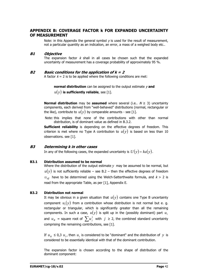## **APPENDIX B: COVERAGE FACTOR k FOR EXPANDED UNCERTAINTY OF MEASUREMENT**

Note: in this Appendix the general symbol  $y$  is used for the result of measurement, not a particular quantity as an indication, an error, a mass of a weighed body etc..

### **B1 Objective**

The expansion factor  $k$  shall in all cases be chosen such that the expanded uncertainty of measurement has a coverage probability of approximately 95 %.

### **B2 Basic conditions for the application of k = 2**

A factor  $k = 2$  is to be applied where the following conditions are met:

**normal distribution** can be assigned to the output estimate  $\nu$  and

 $u(y)$  is sufficiently reliable, see [1].

**Normal distribution** may be **assumed** where several (i.e..  $N \geq 3$ ) uncertainty components, each derived from "well-behaved" distributions (normal, rectangular or the like), contribute to  $u(v)$  by comparable amounts - see [1].

Note: this implies that none of the contributions with other than normal distribution, is of dominant value as defined in B.3.2.

**Sufficient reliability** is depending on the effective degrees of freedom. This criterion is met where no Type A contribution to  $u(y)$  is based on less than 10 observations. see [1].

#### **B3 Determining k in other cases**

In any of the following cases, the expanded uncertainty is  $U(y) = ku(y)$ .

**B3.1 Distribution assumed to be normal** 

Where the distribution of the output estimate *y* may be assumed to be normal, but  $u(y)$  is not sufficiently reliable – see B.2 – then the effective degrees of freedom  $U_{\text{eff}}$  have to be determined using the Welch-Satterthwaite formula, and  $k > 2$  is read from the appropriate Table, as per [1], Appendix E.

#### **B3.2 Distribution not normal**

It may be obvious in a given situation that  $u(y)$  contains one Type B uncertainty component  $u_1(y)$  from a contribution whose distribution is not normal but e. q. rectangular or triangular, which is significantly greater than all the remaining components. In such a case,  $u(y)$  is split up in the (possibly dominant) part  $u_1$ and  $u_R$  = square root of  $\sum u_j^2$  with  $j \ge 2$ , the combined standard uncertainty comprising the remaining contributions, see [1].

If  $u_R \leq 0.3$   $u_1$ , then  $u_1$  is considered to be "dominant" and the distribution of y is considered to be essentially identical with that of the dominant contribution.

The expansion factor is chosen according to the shape of distribution of the dominant component: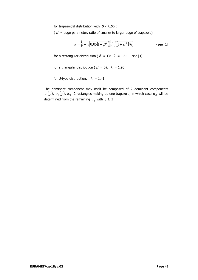for trapezoidal distribution with  $\beta$  < 0,95 :

 $(\beta =$  edge parameter, ratio of smaller to larger edge of trapezoid)

$$
k = \left\{1 - \sqrt{0.05(1 - \beta^2)}\right\} / \sqrt{[(1 + \beta^2)/6]}
$$
 - see [1]

for a rectangular distribution ( $\beta = 1$ ):  $k = 1,65$  – see [1]

for a triangular distribution ( $\beta = 0$ ):  $k = 1,90$ 

for U-type distribution:  $k = 1,41$ 

The dominant component may itself be composed of 2 dominant components  $u_1(y)$ ,  $u_2(y)$ , e.g. 2 rectangles making up one trapezoid, in which case  $u_R$  will be determined from the remaining  $u_j$  with  $j \geq 3$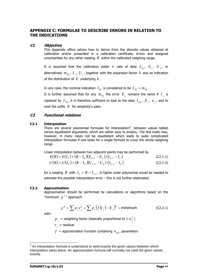## **APPENDIX C: FORMULAE TO DESCRIBE ERRORS IN RELATION TO THE INDICATIONS**

### **C1 Objective**

This Appendix offers advice how to derive from the discrete values obtained at calibration and/or presented in a calibration certificate, errors and assigned uncertainties for any other reading *R* within the calibrated weighing range.

It is assumed that the calibration yields *n* sets of data  $I_{Ni}$ ,  $E_i$ ,  $U_i$ , or alternatively  $m_{Ni}$ ,  $I_{i}$ ,  $U_{i}$ , together with the expansion factor  $k$  and an indication of the distribution of *E* underlying *k* .

In any case, the nominal indication  $I_{Ni}$  is considered to be  $I_{Ni} = m_{Ni}$ .

It is further assumed that for any  $m_{Ni}$  the error  $E_i$  remains the same if  $I_i$  is replaced by  $I_{N_i}$ , it is therefore sufficient to look at the data  $I_{N_i}$ ,  $E_i$ ,  $u_i$ , and to omit the suffix *N* for simplicity's sake.

## **C2 Functional relations**

### **C2.1 Interpolation**

There are several polynomial formulae for interpolation<sup>[9](#page-48-0)</sup>, between values tabled versus equidistant arguments, which are rather easy to employ. The test loads may, however, in many cases not be equidistant which leads to quite complicated interpolation formulae if one looks for a single formula to cover the whole weighing range.

Linear interpolation between two adjacent points may be performed by

$$
E(R) = E(I_k) + (R - I_k)(E_{k+1} - E_k)/(I_{k+1} - I_k)
$$
\n(C2.1-1)

$$
U(R) = U(I_k) + (R - I_k)(U_{k+1} - U_k)/(I_{k+1} - I_k)
$$
\n(C2.1-2)

for a reading R with  $I_k < R < I_{k+1}$ . A higher order polynomial would be needed to estimate the possible interpolation error – this is not further elaborated.

## **C2.2 Approximation**

Approximation should be performed by calculations or algorithms based on the "minimum  $\chi^2$ " approach:

$$
\chi^2 = \sum p_j v_j^2 = \sum p_j (f(I_j) - E_j)^2 = \text{minimum} \tag{C2.2-1}
$$

with:

 $p_j$  = weighting factor (basically proportional to  $1/u_j^2$ )

 $v_i$  = residual

 $f =$  approximation function containing  $n_{par}$  parameters

<span id="page-48-0"></span> $\overline{a}$  $9$  An interpolation formula is understood to yield exactly the given values between which interpolation takes place. An approximation formula will normally not yield the given values exactly.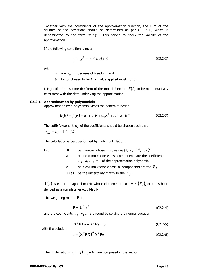Together with the coefficients of the approximation function, the sum of the squares of the deviations should be determined as per (C.2.2-1), which is denominated by the term  $\min z^2$ . This serves to check the validity of the approximation.

If the following condition is met:

$$
\left|\min \chi^2 - \upsilon\right| \leq \beta \sqrt{(2\upsilon)}\tag{C2.2-2}
$$

with

 $U = n - n_{par}$  = degrees of freedom, and

 $\beta$  = factor chosen to be 1, 2 (value applied most), or 3,

it is justified to assume the form of the model function  $E(I)$  to be mathematically consistent with the data underlying the approximation.

### **C2.2.1 Approximation by polynomials**

Approximation by a polynomial yields the general function

$$
E(R) = f(R) = a_0 + a_1 R + a_2 R^2 + \dots + a_{na} R^{na}
$$
 (C2.2-3)

The suffix/exponent  $n_a$  of the coefficients should be chosen such that  $n_{par} = n_a + 1 \le n/2$ .

The calculation is best performed by matrix calculation.

| $\mathbf{X}$ | be a matrix whose <i>n</i> rows are $(1, I_i, I_i^2, , I_i^{na})$ |
|--------------|-------------------------------------------------------------------|
| a            | be a column vector whose components are the coefficients          |
|              | $a_0$ , $a_1$ , , $a_m$ of the approximation polynomial           |
| e            | be a column vector whose <i>n</i> components are the $E_i$        |
|              |                                                                   |

 $U(e)$  be the uncertainty matrix to the  $E_i$ .

 $\mathbf{U}(\mathbf{e})$  is either a diagonal matrix whose elements are  $\,{u}_{_{jj}} = {u}^{2}\bigl(E_{_{j}}\bigr)$ , or it has been derived as a complete var/cov Matrix.

The weighting matrix **P** is

$$
\mathbf{P} = \mathbf{U}(\mathbf{e})^{-1} \tag{C2.2-4}
$$

and the coefficients  $a_0$ ,  $a_1$ ,... are found by solving the normal equation

$$
\mathbf{X}^{\mathrm{T}} \mathbf{P} \mathbf{X} \mathbf{a} - \mathbf{X}^{\mathrm{T}} \mathbf{P} \mathbf{e} = 0 \tag{C2.2-5}
$$

with the solution

$$
\mathbf{a} = (\mathbf{X}^{\mathrm{T}} \mathbf{P} \mathbf{X})^{-1} \mathbf{X}^{\mathrm{T}} \mathbf{P} \mathbf{e}
$$
 (C2.2-6)

The *n* deviations  $v_j = f(I_j) - E_j$  are comprised in the vector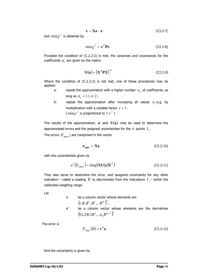$$
\mathbf{v} = \mathbf{X}\mathbf{a} - \mathbf{e} \tag{C2.2-7}
$$

and  $\min \chi^2$  is obtained by

$$
\min \chi^2 = \mathbf{v}^{\mathrm{T}} \mathbf{P} \mathbf{v} \tag{C2.2-8}
$$

Provided the condition of (C.2.2-2) is met, the variances and covariances for the coefficients  $a_i$  are given by the matrix

$$
\mathbf{U}(\mathbf{a}) = \left(\mathbf{X}^{\mathrm{T}} \mathbf{P} \mathbf{X}\right)^{-1} \tag{C2.2-9}
$$

Where the condition of (C.2.2-2) is not met, one of these procedures may be applied:

- a: repeat the approximation with a higher number  $n_a$  of coefficients, as long as  $n_a + 1 \le n/2$ ;
- b: repeat the approximation after increasing all values  $u_i$ , e.g. by multiplication with a suitable factor *c* > 1. ( $\min \chi^2$  is proportional to  $1/c^2$ )

The results of the approximation,  $\bf{a}$  and  $\bf{U}(\bf{a})$  may be used to determine the approximated errors and the assigned uncertainties for the  $n$  points  $I_j$ .

The errors  $E_{appri}$  j are comprised in the vector

$$
\mathbf{e}_{\text{appr}} = \mathbf{X}\mathbf{a} \tag{C2.2-10}
$$

with the uncertainties given by

$$
u^{2}(E_{\text{approx}}) = \text{diag}(\mathbf{X} \mathbf{U}(\mathbf{a}) \mathbf{X}^{\mathrm{T}})
$$
 (C2.2-11)

They also serve to determine the error, and assigned uncertainty for any other indication – called a reading R to discriminate from the indications  $I_i$  – within the calibrated weighing range.

Let

**r** be a column vector whose elements are  $( 1, R, R^2, R^3, ... R^{na} )^T$ , **r**<sup>'</sup> be a column vector whose elements are the derivatives  $( 0,1,2R,3R^2,...n_aR^{na-1} )^T$ 

The error is

$$
E_{\text{appr}}(R) = \mathbf{r}^{\mathrm{T}} \mathbf{a} \tag{C2.2-12}
$$

And the uncertainty is given by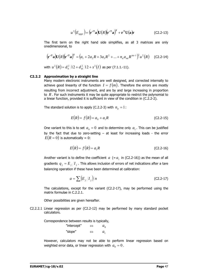$$
u^{2}(E_{\text{appr}}) = (\mathbf{r'}^{\mathrm{T}}\mathbf{a})\mathbf{U}(R)(\mathbf{r'}^{\mathrm{T}}\mathbf{a})^{\mathrm{T}} + \mathbf{r}^{\mathrm{T}}\mathbf{U}(\mathbf{a})\mathbf{r}
$$
 (C2.2-13)

The first term on the right hand side simplifies, as all 3 matrices are only onedimensional, to

$$
(\mathbf{r'}^{\mathbf{T}}\mathbf{a})\mathbf{U}(R)(\mathbf{r'}^{\mathbf{T}}\mathbf{a})^{\mathbf{T}} = (a_1 + 2a_2R + 3a_3R^2 + ... + n_a a_{na}R^{na-1})^2u^2(R) \quad \text{(C2.2-14)}
$$

with  $u^2(R) = d_0^2/12 + d_R^2/12 + s^2(I)$  $2^2(R) = d_0^2/12 + d_R^2/12 + s^2(I)$  as per (7.1.1.-11).

#### **C2.2.2 Approximation by a straight line**

Many modern electronic instruments are well designed, and corrected internally to achieve good linearity of the function  $I = f(m)$ . Therefore the errors are mostly resulting from incorrect adjustment, and are by and large increasing in proportion to *R* . For such instruments it may be quite appropriate to restrict the polynomial to a linear function, provided it is sufficient in view of the condition in (C.2.2-2).

The standard solution is to apply (C.2.2-3) with  $n_a = 1$ :

$$
E(R) = f(R) = a_0 + a_1 R
$$
 (C2.2-15)

One variant to this is to set  $a_0 = 0$  and to determine only  $a_1$ . This can be justified by the fact that due to zero-setting – at least for increasing loads - the error  $E(R = 0)$  is automatically = 0:

$$
E(R) = f(R) = a_1 R
$$
 (C2.2-16)

Another variant is to define the coefficient  $a (= a<sub>1</sub>$  in (C2.2-16)) as the mean of all gradients  $q_i = E_i / I_i$ . This allows inclusion of errors of net indications after a tare balancing operation if these have been determined at calibration:

$$
a = \sum (E_j / I_j) / n \tag{C2.2-17}
$$

The calculations, except for the variant  $(C2.2-17)$ , may be performed using the matrix formulae in C.2.2.1.

Other possibilities are given hereafter.

C2.2.2.1 Linear regression as per (C2.2-12) may be performed by many standard pocket calculators.

Correspondence between results is typically,

| "intercept" | $\Leftrightarrow$ | $a_{\alpha}$ |
|-------------|-------------------|--------------|
| "slope"     | ⇔                 | $a_{1}$      |

However, calculators may not be able to perform linear regression based on weighted error data, or linear regression with  $a_0 = 0$ .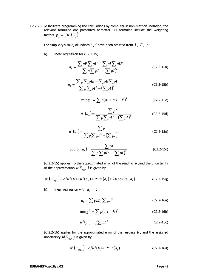C2.2.2.2 To facilitate programming the calculations by computer in non-matricial notation, the relevant formulae are presented hereafter. All formulae include the weighting factors  $p_{_j} = 1/u^2 \bigl( E_{_j} \bigr)$ 

For simplicity's sake, all indices " *j* " have been omitted from *I* , *E* , *p*

a) linear regression for (C2.2-15)

$$
a_0 = \frac{\sum pE \sum pI^2 - \sum pI \sum pIE}{\sum pI^2 - (\sum pI)^2}
$$
 (C2.2-15a)

$$
a_1 = \frac{\sum p \sum pIE - \sum pE \sum pI}{\sum p I^2 - (\sum pI)^2}
$$
 (C2.2-15b)

$$
\min \chi^2 = \sum p(a_0 + a_1 I - E)^2
$$
 (C2.2-15c)

$$
u^{2}(a_{0}) = \frac{\sum pI^{2}}{\sum p\sum pI^{2} - (\sum pI)^{2}}
$$
 (C2.2-15d)

$$
u^{2}(a_{1}) = \frac{\sum p}{\sum p \sum p I^{2} - (\sum p I)^{2}}
$$
 (C2.2-15e)

$$
cov(a_0, a_1) = \frac{\sum pl}{\sum p \sum pl^2 - (\sum pl)^2}
$$
 (C2.2-15f)

(C.2.2-15) applies fro the approximated error of the reading *R* ,and the uncertainty of the approximation  $\,u(E_{\mathit{appr}}\,)$  is given by

$$
u^{2}(E_{appr}) = a_{1}^{2}u^{2}(R) + u^{2}(a_{0}) + R^{2}u^{2}(a_{1}) + 2R \cos(a_{0}, a_{1})
$$
 (C2.2-15g)

b) linear regression with  $a_0 = 0$ 

$$
a_1 = \sum pIE / \sum pI^2
$$
 (C2.2-16a)

$$
\min \chi^2 = \sum p(a_1 I - E)^2
$$
 (C2.2-16b)

$$
u^{2}(a_{1}) = 1/\sum pI^{2}
$$
 (C2.2-16c)

(C.2.2-16) applies for the approximated error of the reading *R* , and the assigned uncertainty  $u(E_{appr})$  is given by

$$
u^{2}(E_{appr}) = a_{1}^{2}u^{2}(R) + R^{2}u^{2}(a_{1})
$$
 (C2.2-16d)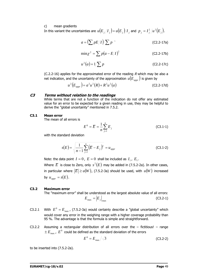#### c) mean gradients

In this variant the uncertainties are  $u(E_{\overline{j}}/I_{\overline{j}})=u(E_{\overline{j}})/I_{\overline{j}}$  and  $|p_{\overline{j}}=I_{\overline{j}}^2/u^2(E_{\overline{j}}).$ 

$$
a = \left(\sum pE/I\right)/\sum p
$$
 (C2.2-17a)

$$
\min \chi^2 = \sum p(a - E/I)^2
$$
 (C2.2-17b)

$$
u^{2}(a) = 1/\sum p
$$
 (C2.2-17c)

(C.2.2-16) applies for the approximated error of the reading  $R$  which may be also a net indication, and the uncertainty of the approximation  $u(E_{\text{max}})$  is given by

$$
u^{2}(E_{appr}) = a^{2}u^{2}(R) + R^{2}u^{2}(a)
$$
 (C2.2-17d)

### **C3 Terms without relation to the readings**

While terms that are not a function of the indication do not offer any estimated value for an error to be expected for a given reading in use, they may be helpful to derive the "global uncertainty" mentioned in 7.5.2.

## **C3.1 Mean error**

The mean of all errors is

$$
E^{0} = \overline{E} = \frac{1}{n} \sum_{j=1}^{n} E_{j}
$$
 (C3.1-1)

with the standard deviation

$$
s(E) = \sqrt{\frac{1}{n-1} \sum_{j=1}^{n} (E - E_j)^2} = u_{\text{approx}} \tag{C3.1-2}
$$

Note: the data point  $I = 0$ ,  $E = 0$  shall be included as  $I_1$ ,  $E_1$ .

Where  $\overline{E}$  is close to Zero, only  $s^2(E)$  may be added in (7.5.2-2a). In other cases, in particular where  $|\overline{E}| \ge u(W)$ , (7.5.2-3a) should be used, with  $u(W)$  increased by  $u_{appr} = s(E)$ .

#### **C3.2 Maximum error**

The "maximum error" shall be understood as the largest absolute value of all errors:  $E_{\text{max}} = |E_j|_{\text{max}}$  (C3.2-1)

- C3.2.1 With  $E^0 = E_{\text{max}}$ , (7.5.2-3a) would certainly describe a "global uncertainty" which would cover any error in the weighing range with a higher coverage probability than 95 %. The advantage is that the formula is simple and straightforward.
- C3.2.2 Assuming a rectangular distribution of all errors over the  $-$  fictitious!  $-$  range  $\pm E_{\text{max}}$ ,  $\overline{E}^0$  could be defined as the standard deviation of the errors

$$
E^0 = E_{\text{max}} / \sqrt{3} \tag{C3.2-2}
$$

to be inserted into (7.5.2-2a).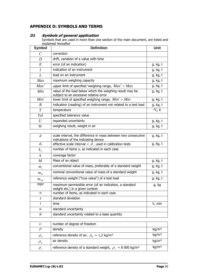# **APPENDIX D: SYMBOLS AND TERMS**

| <b>Symbol</b>               | <b>Definition</b>                                                                                  | Unit     |
|-----------------------------|----------------------------------------------------------------------------------------------------|----------|
| $\mathcal{C}_{\mathcal{C}}$ | correction                                                                                         |          |
| D                           | drift, variation of a value with time                                                              |          |
| E                           | error (of an indication)                                                                           | g, kg, t |
| $\overline{I}$              | indication of an instrument                                                                        | g, kg, t |
| L                           | load on an instrument                                                                              | g, kg, t |
| Max                         | maximum weighing capacity                                                                          | g, kg, t |
| Max'                        | upper limit of specified 'weighing range, $Max' < Max$                                             | g, kg, t |
| Min                         | value of the load below which the weighing result may be<br>subject to an excessive relative error | g, kg, t |
| Min'                        | lower limit of specified weighing range, $Min' > Min$                                              | g, kg, t |
| $\boldsymbol{R}$            | indication (reading) of an instrument not related to a test load                                   | g, kg, t |
| $\overline{T}$              | temperature                                                                                        | °C, K    |
| Tol                         | specified tolerance value                                                                          |          |
| U                           | expanded uncertainty                                                                               | g, kg, t |
| W                           | weighing result, weight in air                                                                     | g, kg, t |

## **D1 Symbols of general application**

Symbols that are used in more than one section of the main document, are listed and explained hereafter

| $\overline{d}$   | scale interval, the difference in mass between two consecutive<br>indications of the indicating device | g, kg, t |
|------------------|--------------------------------------------------------------------------------------------------------|----------|
| $d_T$            | effective scale interval $\langle d \rangle$ , used in calibration tests                               | g, kg, t |
| $k_{x}$          | number of items x, as indicated in each case                                                           |          |
| $\boldsymbol{k}$ | coverage factor                                                                                        |          |
| $\boldsymbol{M}$ | Mass of an object                                                                                      | g, kg, t |
| $m_c$            | conventional value of mass, preferably of a standard weight                                            | g, kg, t |
| $m_N^{}$         | nominal conventional value of mass of a standard weight                                                | g, kg, t |
| $m_{ref}$        | reference weight ("true value") of a test load                                                         | g, kg, t |
| mpe              | maximum permissible error (of an indication, a standard<br>weight etc.) in a given context             | g, kg    |
| n                | number of items, as indicated in each case                                                             |          |
| S                | standard deviation                                                                                     |          |
| $\mathbf{t}$     | time                                                                                                   | h, min   |
| $\boldsymbol{u}$ | standard uncertainty                                                                                   |          |
| ŵ                | standard uncertainty related to a base quantity                                                        |          |
|                  |                                                                                                        |          |

| υ           | number of degree of freedom                                            |                   |
|-------------|------------------------------------------------------------------------|-------------------|
|             | density                                                                | kg/m <sup>3</sup> |
| $\rho_{_0}$ | reference density of air, $\rho_0 = 1.2 \text{ kg/m}^3$                | kg/m <sup>3</sup> |
| $\rho_a$    | air density                                                            | kg/m <sup>3</sup> |
| $\rho_c$    | reference density of a standard weight, $\rho_c = 8000 \text{ kg/m}^3$ | kg/m <sup>3</sup> |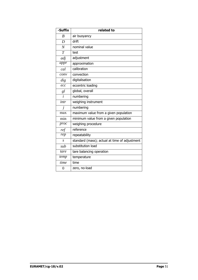| -Suffix        | related to                                    |
|----------------|-----------------------------------------------|
| $\overline{B}$ | air buoyancy                                  |
| D              | drift                                         |
| $\overline{N}$ | nominal value                                 |
| T              | test                                          |
| adj            | adjustment                                    |
| appr           | approximation                                 |
| cal            | calibration                                   |
| conv           | convection                                    |
| dig            | digitalisation                                |
| ecc            | eccentric loading                             |
| gl             | global, overall                               |
| $\overline{i}$ | numbering                                     |
| intr           | weighing instrument                           |
| j              | numbering                                     |
| max            | maximum value from a given population         |
| min            | minimum value from a given population         |
| proc           | weighing procedure                            |
| ref            | reference                                     |
| rep            | repeatability                                 |
| S              | standard (mass); actual at time of adjustment |
| sub            | substitution load                             |
| tare           | tare balancing operation                      |
| temp           | temperature                                   |
| time           | time                                          |
| $\overline{0}$ | zero, no-load                                 |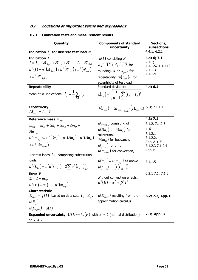# **D2 Locations of important terms and expressions**

## **D2.1 Calibration tests and measurement results**

| Quantity                                                                                                                                                                                                                                                                                                                              | <b>Components of standard</b><br>uncertainty                                                                                                                                                                                                        | Sections,<br>subsections                                                                              |
|---------------------------------------------------------------------------------------------------------------------------------------------------------------------------------------------------------------------------------------------------------------------------------------------------------------------------------------|-----------------------------------------------------------------------------------------------------------------------------------------------------------------------------------------------------------------------------------------------------|-------------------------------------------------------------------------------------------------------|
| Indication $I_j$ for discrete test load $m_j$                                                                                                                                                                                                                                                                                         |                                                                                                                                                                                                                                                     | 4.4.1; 6.2.1                                                                                          |
| Indication /<br>$I = I_L + \delta I_{digL} + \delta I_{rep} + \delta I_{ecc} - I_0 - \delta I_{div0}$<br>$u^2(I) = u^2(\delta I_{divI}) + u^2(\delta I_{ren}) + u^2(\delta I_{ecc})$<br>$+u^2(\delta I_{div0})$                                                                                                                       | $u(I)$ consisting of<br>$d_0/\sqrt{12} + d_L/\sqrt{12}$ for<br>rounding, s or $s_{pool}$ for<br>repeatability, $\hat{w}(I_{ecc})I$ for<br>eccentricity of test load                                                                                 | 4.4; 6; 7.1<br>7.1.1;<br>$7.1.1.57.1.1.1+2$<br>7.1.1.3<br>7.1.1.4                                     |
| <b>Repeatability</b>                                                                                                                                                                                                                                                                                                                  | Standard deviation:                                                                                                                                                                                                                                 | 4.4; 6.1                                                                                              |
| Mean of <i>n</i> indications: $\overline{I}_j = \frac{1}{n} \sum_{i=1}^{n} I_{ji}$                                                                                                                                                                                                                                                    | $s(I_j) = \sqrt{\frac{1}{n-1}\sum_{i=1}^{n}(I_{ji} - \bar{I}_j)^2}$                                                                                                                                                                                 |                                                                                                       |
| <b>Eccentricity</b><br>$\Delta I_{\text{ecci}} = I_i - I_1$                                                                                                                                                                                                                                                                           | $\hat{w}(I_{ecc}) =  \Delta I_{ecc,i} _{max} / (2L_{ecc} \sqrt{3} \cdot 5.3; 7.1.1.4)$                                                                                                                                                              |                                                                                                       |
| Reference mass $m_{ref}$                                                                                                                                                                                                                                                                                                              |                                                                                                                                                                                                                                                     | 4.3; 7.1                                                                                              |
| $m_{ref} = m_N + \delta m_c + \delta m_B + \delta m_D +$<br>$\delta m_{conv}$<br>$u^{2}(m_{ref}) = u^{2}(\delta m_{e}) + u^{2}(\delta m_{B}) + u^{2}(\delta m_{D})$<br>$+u^2(\delta m_{conv})$<br>For test loads $L_{T_n}$ comprising substitution<br>loads:<br>$u^{2}(L_{Tn}) = n^{2}u^{2}(m_{c1}) + 2\sum u^{2}(I_{j-1})_{i=1}^{n}$ | $u(m_{ref})$ consisting of<br>$u(\delta m_c)$ or $\hat{w}(m_c)$ for<br>calibration,<br>$\hat{w}(m_{B})$ for buoyancy,<br>$u(m_D)$ for drift,<br>$u(m_{conv})$ for convection,<br>$u(m_{c1}) = u(m_{ref})$ as above<br>$u(I_{i-1}) = u(I(L_{Ti-1}))$ | 7.1.2, 7.1.2.5<br>$+6$<br>7.1.2.1<br>7.1.2.2,<br>App. $A + E$<br>7.1.2.3 7.1.2.4<br>App. F<br>7.1.1.5 |
| Error $E$                                                                                                                                                                                                                                                                                                                             |                                                                                                                                                                                                                                                     | 6.2.1 7.1; 7.1.3                                                                                      |
| $E = I - m_{ref}$<br>$u^{2}(E) = u^{2}(I) + u^{2}(m_{ref})$                                                                                                                                                                                                                                                                           | Without convection effects:<br>$u^{2}(E) = \alpha^{2} + \beta^{2}I^{2}$                                                                                                                                                                             |                                                                                                       |
| <b>Characteristic</b><br>$E_{appr} = f(I)$ , based on data sets $I_i$ , $E_i$ ,<br>$u(E_i)$<br>$u(E_{appr})=g(I)$                                                                                                                                                                                                                     | $u(E_{\textit{appr}})$ resulting from the<br>approximation calculus                                                                                                                                                                                 | 6.2; 7.2; App. C                                                                                      |
| <b>Expanded uncertainty:</b> $U(E) = ku(E)$ with $k = 2$ (normal distribution)                                                                                                                                                                                                                                                        |                                                                                                                                                                                                                                                     | 7.3; App. B                                                                                           |
| or $k \neq 2$                                                                                                                                                                                                                                                                                                                         |                                                                                                                                                                                                                                                     |                                                                                                       |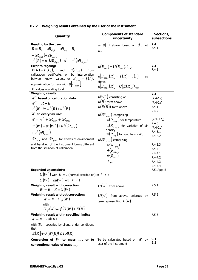|  |  |  | D2.2 Weighing results obtained by the user of the instrument |
|--|--|--|--------------------------------------------------------------|
|  |  |  |                                                              |

| Quantity                                                                              | <b>Components of standard</b>                                          | Sections,          |
|---------------------------------------------------------------------------------------|------------------------------------------------------------------------|--------------------|
|                                                                                       | uncertainty                                                            | subsections        |
| Reading by the user:                                                                  | as $u(I)$ above, based on $d$ , not                                    | 7.4                |
| $R = R_L + \delta R_{diel} + \delta R_{rep} - R_0$                                    | $d_{\tau}$                                                             | 7.4.1              |
| $-\delta R_{die0} + \delta R_{ecc}$                                                   |                                                                        |                    |
| $u^{2}(R) = u^{2}(\delta R_{digl.}) + s^{2} + u^{2}(\delta R_{diel.})$                |                                                                        |                    |
| <b>Error to reading:</b>                                                              | $u(E_{cal}) = U(E_{cal})/k_{cal}$                                      | 7.4                |
| $E(R) = E(I_i)$ , and $u(E_{cal})$<br>from                                            |                                                                        | 7.4.2              |
| calibration certificate, or by interpolation                                          | $u E_{\text{anor}}(R)  = f(R) = g(I)$<br>as                            |                    |
| between known values, or $E_{appr} = f(I)$ ,                                          | above                                                                  |                    |
| approximation formula with $u E_{appr} $                                              | $ u E_{appr}(R)  = U[E(R)]/k_{cal}$                                    |                    |
| $E$ values rounding to $d$<br><b>Weighing results</b>                                 |                                                                        | 7.4                |
| $W^*$ based on calibration data:                                                      | $u(W^*)$ consisting of                                                 | $(7.4-1a)$         |
| $W^* = R - E$                                                                         | $u(R)$ form above                                                      | $(7.4-2a)$         |
| $u^{2}(W^{*}) = u^{2}(R) + u^{2}(E)$                                                  | $u(E(R))$ form above                                                   | 7.4.1              |
| $W$ en everyday use:                                                                  | $u(\delta R_{\text{instr}})$ comprising                                | 7.4.2              |
| $W = W^* + \delta R_{\text{instr}} + \delta R_{\text{proc}}$                          | $\hat{w}(R_{\text{temp}})$ for temperature                             | $(7.4.-1b);$       |
| $u^{2}(W) = u^{2}(W^{*}) + u^{2}(\delta R_{instr})$                                   | $\hat{w}(R_{\text{hour}})$ for variation of air                        | 7.4.5              |
|                                                                                       | density                                                                | $(7.4-2b)$         |
| $+u^2(\delta R_{\text{prec}})$                                                        | $\hat{w}(R_{adi}^+)$ for long term drift                               | 7.4.3.1<br>7.4.3.2 |
| $\delta R_{\textit{instr}}$ and $\delta R_{\textit{proc}}$ for effects of environment | $u(\delta\!R_{\scriptscriptstyle\scriptscriptstyle DTOC}})$ comprising |                    |
| and handling of the instrument being different                                        | $\hat{w}(R_{Tare})$                                                    | 7.4.3.3            |
| from the situation at calibration                                                     | $\hat{w}(R_{time})$                                                    | 7.4.4              |
|                                                                                       | $\hat{w}(R_{acc})$                                                     | 7.4.4.1            |
|                                                                                       | $S_{dyn}$                                                              | 7.4.4.2<br>7.4.4.3 |
|                                                                                       |                                                                        | 7.4.4.4            |
| <b>Expanded uncertainty:</b>                                                          |                                                                        | 7.5, App. B        |
| $U(W^*)$ with $k = 2$ (normal distribution) or $k \neq 2$                             |                                                                        |                    |
| $U(W) = ku(W)$ with $k = 2$                                                           |                                                                        |                    |
| Weighing result with correction:                                                      | $U(W)$ from above                                                      | 7.5.1              |
| $W = R - E \pm U(W)$                                                                  |                                                                        |                    |
| Weighing result without correction:<br>$W = R \pm U_{el}(W)$                          | $U(W)$ from above, enlarged by                                         | 7.5.2              |
| with                                                                                  | term representing $E(R)$                                               |                    |
| $U_{el}(W) = f\{U(W) + E(R)\}\$                                                       |                                                                        |                    |
| Weighing result within specified limits:                                              |                                                                        | 7.5.3              |
| $W = R \pm Tol(R)$                                                                    |                                                                        |                    |
| with $Tol$ specified by client, under conditions<br>that                              |                                                                        |                    |
| $E(R) + U(W(R)) \leq Tol(R)$                                                          |                                                                        |                    |
| Conversion of $W$ to mass $m$ , or to                                                 | To be calculated based on $W$<br>by                                    | 9.1<br>9.2         |
| conventional value of mass $m_c$                                                      | user of the instrument                                                 |                    |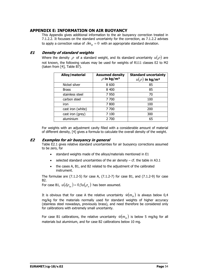## **APPENDIX E: INFORMATION ON AIR BUOYANCY**

This Appendix gives additional information to the air buoyancy correction treated in 7.1.2.2. It focusses on the standard uncertainty for the correction, as 7.1.2.2 advises to apply a correction value of  $\delta m_B = 0$  with an appropriate standard deviation.

## **E1 Density of standard weights**

Where the density  $\rho$  of a standard weight, and its standard uncertainty  $u(\rho)$  are not known, the following values may be used for weights of R111 classes E2 to M2 (taken from [4], Table B7).

| Alloy/material    | <b>Assumed density</b><br>$\rho$ in kg/m <sup>3</sup> | <b>Standard uncertainty</b><br>) in kg/m <sup>3</sup> |
|-------------------|-------------------------------------------------------|-------------------------------------------------------|
| Nickel silver     | 8 600                                                 | 85                                                    |
| <b>Brass</b>      | 8 4 0 0                                               | 85                                                    |
| stainless steel   | 7 9 5 0                                               | 70                                                    |
| carbon steel      | 7 700                                                 | 100                                                   |
| iron              | 7800                                                  | 100                                                   |
| cast iron (white) | 7 700                                                 | 200                                                   |
| cast iron (grey)  | 7 100                                                 | 300                                                   |
| aluminium         | 2 700                                                 | 65                                                    |

For weights with an adjustment cavity filled with a considerable amount of material of different density, [4] gives a formula to calculate the overall density of the weight.

## **E2 Examples for air buoyancy in general**

Table E2.1 gives relative standard uncertainties for air buoyancy corrections assumed to be zero, for

- standard weights made of the alloys/materials mentioned in E1
- selected standard uncertainties of the air density  $-$  cf. the table in A3.1
- the cases A, B1, and B2 related to the adjustment of the calibrated instrument.

The formulae are  $(7.1.2-5)$  for case A,  $(7.1.2-7)$  for case B1, and  $(7.1.2-9)$  for case B2.

For case B1,  $u(\delta \rho_{as}) = 0.5 u(\rho_{as})$  has been assumed.

It is obvious that for case A the relative uncertainty  $\hat{w}(m_B)$  is always below 0,4 mg/kg for the materials normally used for standard weights of higher accuracy (stainless steel nowadays, previously brass), and need therefore be considered only for calibrations with extremely small uncertainty.

For case B1 calibrations, the relative uncertainty  $\hat{w}(m_B)$  is below 5 mg/kg for all materials but aluminium, and for case B2 calibrations below 10 mg.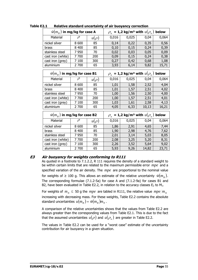| $\hat{w}(m_{_B})$ in mg/kg for case A  |         |           |       |                                                         | $\rho_a =$ 1,2 kg/m <sup>3</sup> with $u(\rho_a)$ below     |       |
|----------------------------------------|---------|-----------|-------|---------------------------------------------------------|-------------------------------------------------------------|-------|
| Material                               | $\rho$  | $u(\rho)$ | 0,016 | 0,025                                                   | 0,04                                                        | 0,064 |
| nickel silver                          | 8 600   | 85        | 0,14  | 0,22                                                    | 0,35                                                        | 0,56  |
| brass                                  | 8 4 0 0 | 85        | 0,10  | 0,15                                                    | 0,24                                                        | 0,39  |
| stainless steel                        | 7 9 5 0 | 70        | 0,02  | 0,03                                                    | 0,05                                                        | 0,09  |
| cast iron (white)                      | 7 700   | 200       | 0,09  | 0,15                                                    | 0,24                                                        | 0,38  |
| cast iron (grey)                       | 7 100   | 300       | 0,27  | 0,42                                                    | 0,68                                                        | 1,08  |
| aluminium                              | 2 700   | 65        | 3,93  | 6,14                                                    | 9,82                                                        | 15,71 |
| $\hat{w}(m_{_B})$ in mg/kg for case B1 |         |           |       | $\rho_a = 1.2$ kg/m <sup>3</sup> with $u(\rho_a)$ below |                                                             |       |
| Material                               | $\rho$  | $u(\rho)$ | 0,016 | 0,025                                                   | 0,04                                                        | 0,064 |
| nickel silver                          | 8 600   | 85        | 1,01  | 1,58                                                    | 2,52                                                        | 4,04  |
| brass                                  | 8 4 0 0 | 85        | 1,01  | 1,57                                                    | 2,51                                                        | 4,02  |
| stainless steel                        | 7950    | 70        | 1,00  | 1,56                                                    | 2,50                                                        | 4,00  |
| cast iron (white)                      | 7 700   | 200       | 1,00  | 1,57                                                    | 2,51                                                        | 4,01  |
| cast iron (grey)                       | 7 100   | 300       | 1,03  | 1,61                                                    | 2,58                                                        | 4,13  |
| aluminium                              | 2 700   | 65        | 4,05  | 6,33                                                    | 10,13                                                       | 16,21 |
| $\hat{w}(m_{_B})$ in mg/kg for case B2 |         |           |       |                                                         | $\rho_{a}$ = 1,2 kg/m <sup>3</sup> with $u(\rho_{a})$ below |       |
| Material                               | $\rho$  | $u(\rho)$ | 0,016 | 0,025                                                   | 0,04                                                        | 0,064 |
| nickel silver                          | 8 600   | 85        | 1,86  | 2,91                                                    | 4,65                                                        | 7,44  |
| brass                                  | 8 4 0 0 | 85        | 1,90  | 2,98                                                    | 4,76                                                        | 7,62  |
| stainless steel                        | 7950    | 70        | 2,01  | 3,14                                                    | 5,03                                                        | 8,05  |
| cast iron (white)                      | 7 700   | 200       | 2,08  | 3,25                                                    | 5,20                                                        | 8,31  |
| cast iron (grey)                       | 7 100   | 300       | 2,26  | 3,52                                                    | 5,64                                                        | 9,02  |
| aluminium                              | 2 700   | 65        | 5,93  | 9,26                                                    | 14,82                                                       | 23,71 |

**Table E2.1 Relative standard uncertainty of air buoyancy correction** 

## **E3 Air buoyancy for weights conforming to R111**

As quoted in a footnote to 7.1.2.2, R 111 requires the density of a standard weight to be within certain limits that are related to the maximum permissible error *mpe* and a specified variation of the air density. The *mpe* are proportional to the nominal value for weights of  $\geq 100$  g. This allows an estimate of the relative uncertainty  $\hat{w}(m_{\nu})$ . The corresponding formulae (7.1.2-5a) for case A and (7.1.2-9a) for cases B1 and B2, have been evaluated in Table E2.2, in relation to the accuracy classes  $E_2$  to  $M_1$ .

For weights of  $m_N \leq 50$  g the *mpe* are tabled in R111, the relative value  $mpe/m_N$ increasing with decreasing mass. For these weights, Table E2.2 contains the absolute standard uncertainties  $u(m_B) = \hat{w}(m_B) m_N$ .

A comparison of the relative uncertainties shows that the values from Table E2.2 are always greater than the corresponding values from Table E2.1. This is due to the fact that the assumed uncertainties  $u(\rho)$  and  $u(\rho_a)$  are greater in Table E2.2.

The values in Table E2.2 can be used for a "worst case" estimate of the uncertainty contribution for air buoyancy in a given situation.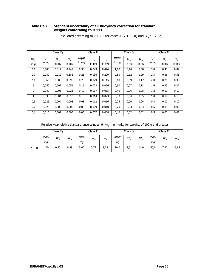### **Table E2.2: Standard uncertainty of air buoyancy correction for standard weights conforming to R 111**

|                                                                                                              |              | Class $E2$     |                  |              | Class $F_1$    |                |              | Class $F2$     |                  |              | Class $M_1$    |                |
|--------------------------------------------------------------------------------------------------------------|--------------|----------------|------------------|--------------|----------------|----------------|--------------|----------------|------------------|--------------|----------------|----------------|
| $m_N$<br>in g                                                                                                | mpe<br>in mg | $u_A$<br>in mg | $u_{R}$<br>in mg | mpe<br>in mg | $u_A$<br>in mg | $u_B$<br>in mg | mpe<br>in mg | $u_A$<br>in mg | $u_{R}$<br>in mg | mpe<br>in mg | $u_A$<br>in mg | $u_B$<br>in mg |
| 50                                                                                                           | 0,100        | 0,014          | 0,447            | 0,30         | 0,043          | 0,476          | 1,00         | 0,14           | 0,58             | 3,0          | 0,43           | 0,87           |
| 20                                                                                                           | 0,080        | 0,012          | 0,185            | 0,25         | 0,036          | 0,209          | 0,80         | 0,12           | 0,29             | 2,5          | 0,36           | 0,53           |
| 10                                                                                                           | 0,060        | 0,009          | 0,095            | 0,20         | 0,029          | 0,115          | 0,60         | 0,09           | 0,17             | 2,0          | 0,29           | 0,38           |
| 5                                                                                                            | 0,050        | 0,007          | 0,051            | 0,16         | 0,023          | 0,066          | 0,50         | 0,07           | 0,12             | 1,6          | 0,23           | 0,27           |
| 2                                                                                                            | 0,040        | 0,006          | 0,023            | 0,12         | 0,017          | 0,035          | 0,40         | 0,06           | 0,08             | 1,2          | 0,17           | 0,19           |
| 1                                                                                                            | 0,030        | 0,004          | 0,013            | 0,10         | 0,014          | 0,023          | 0,30         | 0,04           | 0,05             | 1,0          | 0,14           | 0,15           |
| 0, 5                                                                                                         | 0,025        | 0,004          | 0,008            | 0,08         | 0,012          | 0,016          | 0,25         | 0,04           | 0,04             | 0,8          | 0,12           | 0,12           |
| 0,2                                                                                                          | 0,020        | 0,003          | 0,005            | 0,06         | 0,009          | 0,010          | 0,20         | 0,03           | 0,03             | 0,6          | 0,09           | 0,09           |
| 0,1                                                                                                          | 0,016        | 0,002          | 0,003            | 0,05         | 0,007          | 0,008          | 0,16         | 0,02           | 0,02             | 0, 5         | 0,07           | 0,07           |
| Relative <i>mpe</i> relative standard uncertainties $\hat{w}(m_B)$ in mg/kg for weights of 100 g and greater |              |                |                  |              |                |                |              |                |                  |              |                |                |
|                                                                                                              |              | Class $E_2$    |                  |              | Class $F_1$    |                |              | Class $F_2$    |                  |              | Class $M_1$    |                |
|                                                                                                              | mpe/<br>mg   | $\hat{W}_A$    | $\hat{W}_R$      | mpe/<br>mg   | $\hat{W}_A$    | $\hat{W}_B$    | mpe/<br>mq   | $\hat{W}_A$    | $\hat{W}_R$      | mpe/<br>mq   | $\hat{W}_A$    | $\hat{W}_B$    |
| $\geq 100$                                                                                                   | 1,60         | 0,23           | 8,89             | 5,00         | 0,72           | 9,38           | 16,0         | 2,31           | 11,0             | 50,0         | 7,22           | 15,88          |

Calculated according to 7.1.2.2 for cases A (7.1.2-5a) and B (7.1.2-9a)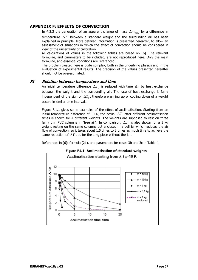## **APPENDIX F: EFFECTS OF CONVECTION**

In 4.2.3 the generation of an apparent change of mass  $\Delta m_{\text{com}}$  by a difference in

temperature Δ*T* between a standard weight and the surrounding air has been explained in principle. More detailed information is presented hereafter, to allow an assessment of situations in which the effect of convection should be considered in view of the uncertainty of calibration

All calculations of values in the following tables are based on [6]. The relevant formulae, and parameters to be included, are not reproduced here. Only the main formulae, and essential conditions are referenced.

The problem treated here is quite complex, both in the underlying physics and in the evaluation of experimental results. The precision of the values presented hereafter should not be overestimated.

## **F1 Relation between temperature and time**

An initial temperature difference  $\Delta T_0$  is reduced with time  $\Delta t$  by heat exchange between the weight and the surrounding air. The rate of heat exchange is fairly independent of the sign of  $\Delta T_0$ , therefore warming up or cooling down of a weight occurs in similar time intervals.

Figure F.1.1 gives some examples of the effect of acclimatisation. Starting from an initial temperature difference of 10 K, the actual  $\Delta T$  after different acclimatisation times is shown for 4 different weights. The weights are supposed to rest on three fairly thin PVC columns in "free air". In comparison, Δ*T* is also shown for a 1 kg weight resting on the same columns but enclosed in a bell jar which reduces the air flow of convection, so it takes about 1,5 times to 2 times as much time to achieve the same reduction of  $\Delta T$ , as for the 1 kg piece without the jar.

References in [6]: formula (21), and parameters for cases 3b and 3c in Table 4.



## **Figure F1.1: Acclimatisation of standard weights**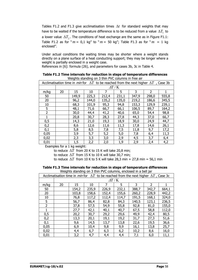Tables F1.2 and F1.3 give acclimatisation times  $\Delta t$  for standard weights that may have to be waited if the temperature difference is to be reduced from a value  $\Delta T_1$  to a lower value  $\Delta T_2$ . The conditions of heat exchange are the same as in Figure F1.1: Table F1.2 as for " $m = 0,1$  kg" to " $m = 50$  kg"; Table F1.3 as for " $m = 1$  kg enclosed".

Under actual conditions the waiting times may be shorter where a weight stands directly on a plane surface of a heat conducting support; they may be longer where a weight is partially enclosed in a weight case.

References in [6]: formula (26), and parameters for cases 3b, 3c in Table 4.

| Acclimatisation time in <i>min</i> for $\Delta T$ to be reached from the next higher $\Delta T$ , Case 3b |    |       |       |       |                              |       |               |       |
|-----------------------------------------------------------------------------------------------------------|----|-------|-------|-------|------------------------------|-------|---------------|-------|
|                                                                                                           |    |       |       |       | $\varDelta T$ / $\mathrm{K}$ |       |               |       |
| m/kg                                                                                                      | 20 | 15    | 10    |       | 5.                           | 3     | $\mathcal{P}$ |       |
| 50                                                                                                        |    | 149,9 | 225,3 | 212,4 | 231,1                        | 347,9 | 298,0         | 555,8 |
| 20                                                                                                        |    | 96,2  | 144,0 | 135,2 | 135,0                        | 219,2 | 186,6         | 345,5 |
| 10                                                                                                        |    | 68,3  | 101,9 | 95,3  | 94,8                         | 153,3 | 129,9         | 239,1 |
| 5                                                                                                         |    | 48,1  | 71,6  | 66,7  | 66,1                         | 106,5 | 89,7          | 164,2 |
| $\overline{2}$                                                                                            |    | 30,0  | 44,4  | 41,2  | 40,6                         | 65,0  | 54,4          | 98,8  |
| 1                                                                                                         |    | 20,8  | 30,7  | 28,3  | 27,8                         | 44,3  | 37,0          | 66,7  |
| 0,5                                                                                                       |    | 14,3  | 21,0  | 19,3  | 18,9                         | 30,0  | 24,9          | 44,7  |
| 0,2                                                                                                       |    | 8,6   | 12,6  | 11,6  | 11,3                         | 17,8  | 14,6          | 26,1  |
| 0,1                                                                                                       |    | 5,8   | 8,5   | 7,8   | 7,5                          | 11,8  | 9,7           | 17,2  |
| 0,05                                                                                                      |    | 3,9   | 5,7   | 5,2   | 5,0                          | 7,8   | 6,4           | 11,3  |
| 0,02                                                                                                      |    | 2,3   | 3,3   | 3,0   | 2,9                          | 4,5   | 3,7           | 6,4   |
| 0,01                                                                                                      |    | 1,5   | 2,2   | 2,0   | 1,9                          | 2,9   | 2,4           | 4,2   |

**Table F1.2 Time intervals for reduction in steps of temperature differences**  Weights standing on 3 thin PVC columns in free air

Examples for a 1 kg weight:

to reduce Δ*T* from 20 K to 15 K will take 20,8 min;

to reduce  $\Delta T$  from 15 K to 10 K will take 30.7 min;

to reduce  $\Delta T$  from 10 K to 5 K will take 28,3 min + 27,8 min = 56,1 min

| Table F1.3 Time intervals for reduction in steps of temperature differences |  |
|-----------------------------------------------------------------------------|--|
| Waights standing on 3 thin PVC columns enclosed in a hell jar               |  |

| <u>Velgrits stariumly on 3 that PVC columns, enclosed in a beir jar</u> |                                                                                                           |       |       |       |              |       |                |       |  |
|-------------------------------------------------------------------------|-----------------------------------------------------------------------------------------------------------|-------|-------|-------|--------------|-------|----------------|-------|--|
|                                                                         | Acclimatisation time in <i>min</i> for $\Delta T$ to be reached from the next higher $\Delta T$ , Case 3c |       |       |       |              |       |                |       |  |
|                                                                         |                                                                                                           |       |       |       | $\Delta T/K$ |       |                |       |  |
| m/kg                                                                    | 20                                                                                                        | 15    | 10    |       | 5.           | 3     | $\overline{2}$ |       |  |
| 50                                                                      |                                                                                                           | 154,2 | 235,9 | 226,9 | 232,1        | 388,7 | 342,7          | 664,1 |  |
| 20                                                                      |                                                                                                           | 103,8 | 158,6 | 152,4 | 155,6        | 260,2 | 228,9          | 442,2 |  |
| 10                                                                      |                                                                                                           | 76,8  | 117,2 | 112,4 | 114,7        | 191,5 | 168,1          | 324,0 |  |
| 5                                                                       |                                                                                                           | 56,7  | 86,4  | 82,8  | 84,3         | 140,5 | 123,1          | 236,5 |  |
| $\overline{2}$                                                          |                                                                                                           | 37,8  | 57,5  | 54,9  | 55,8         | 92,8  | 81,0           | 155,0 |  |
|                                                                         |                                                                                                           | 27,7  | 42,1  | 40,1  | 40,7         | 67,5  | 58,8           | 112,0 |  |
| 0,5                                                                     |                                                                                                           | 20,2  | 30,7  | 29,2  | 29,6         | 49,9  | 42,4           | 80,5  |  |
| 0,2                                                                     |                                                                                                           | 13,3  | 20,1  | 19,1  | 19,2         | 31,7  | 27,3           | 51,6  |  |
| 0,1                                                                     |                                                                                                           | 9,6   | 14,5  | 13,7  | 13,8         | 22,6  | 19,5           | 36,6  |  |
| 0,05                                                                    |                                                                                                           | 6,9   | 10,4  | 9,8   | 9,9          | 16,1  | 13,8           | 25,7  |  |
| 0,02                                                                    |                                                                                                           | 4,4   | 6,7   | 6,3   | 6,2          | 10,2  | 8,6            | 16,0  |  |
| 0,01                                                                    |                                                                                                           | 3,2   | 4,7   | 4,4   | 4,4          | 7,1   | 6,0            | 11,1  |  |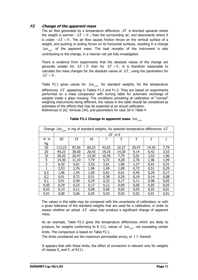## **F2 Change of the apparent mass**

The air flow generated by a temperature difference  $\Delta T$  is directed upwards where the weight is warmer  $-\Delta T > 0$  -, than the surrounding air, and downwards where it is cooler  $-\Delta T < 0$ . The air flow causes friction forces on the vertical surface of a weight, and pushing or pulling forces on its horizontal surfaces, resulting in a change  $\Delta m_{\text{conv}}$  of the apparent mass. The load receptor of the instrument is also contributing to the change, in a manner not yet fully investigated.

There is evidence from experiments that the absolute values of the change are generally smaller for  $\Delta T < 0$  than for  $\Delta T > 0$ . It is therefore reasonable to calculate the mass changes for the absolute values of  $\Delta T$ , using the parameters for  $\Delta T > 0$ .

Table F2.1 gives values for  $\Delta m_{conv}$  for standard weights, for the temperature differences  $\Delta T$  appearing in Tables F1.2 and F1.3. They are based on experiments performed on a mass comparator with turning table for automatic exchange of weights inside a glass housing. The conditions prevailing at calibration of "normal" weighing instruments being different, the values in the table should be considered as estimates of the effects that may be expected at an actual calibration. References in [6]: formula (34), and parameters for case 3d in Table 4

| Change $\Delta m_{conv}$ in mg of standard weights, for selected temperature differences $\Delta T$ |        |       |       |       |                    |       |                |      |
|-----------------------------------------------------------------------------------------------------|--------|-------|-------|-------|--------------------|-------|----------------|------|
|                                                                                                     |        |       |       |       | $\varDelta T$ in K |       |                |      |
| $m$ in                                                                                              | 20     | 15    | 10    |       | 5                  | 3     | $\mathfrak{p}$ | 1    |
| kg                                                                                                  |        |       |       |       |                    |       |                |      |
| 50                                                                                                  | 113,23 | 87,06 | 60,23 | 43,65 | 32,27              | 20,47 | 14,30          | 7,79 |
| 20                                                                                                  | 49,23  | 38,00 | 26,43 | 19,25 | 14,30              | 9,14  | 6,42           | 3,53 |
| 10                                                                                                  | 26,43  | 20,47 | 14,30 | 10,45 | 7,79               | 5,01  | 3,53           | 1,96 |
| 5                                                                                                   | 14,30  | 11,10 | 7,79  | 5,72  | 4,28               | 2,76  | 1,96           | 1,09 |
| $\overline{2}$                                                                                      | 6,42   | 5,01  | 3,53  | 2,61  | 1,96               | 1,27  | 0,91           | 0,51 |
|                                                                                                     | 3,53   | 2,76  | 1,96  | 1,45  | 1,09               | 0,72  | 0,51           | 0,29 |
| 0,5                                                                                                 | 1,96   | 1,54  | 1,09  | 0,81  | 0,61               | 0,40  | 0,29           | 0,17 |
| 0,2                                                                                                 | 0,91   | 0,72  | 0,51  | 0,38  | 0,29               | 0,19  | 0,14           | 0,08 |
| 0,1                                                                                                 | 0,51   | 0,40  | 0,29  | 0,22  | 0,17               | 0,11  | 0,08           | 0,05 |
| 0,05                                                                                                | 0,29   | 0,23  | 0,17  | 0,12  | 0,09               | 0,06  | 0,05           | 0,03 |
| 0,02                                                                                                | 0,14   | 0,11  | 0,08  | 0,06  | 0,05               | 0,03  | 0,02           | 0,01 |
| 0,01                                                                                                | 0,08   | 0,06  | 0,05  | 0,03  | 0,03               | 0,02  | 0,01           | 0,01 |

## **Table F2.1 Change in apparent mass**  $\Delta m_{conv}$

The values in this table may be compared with the uncertainty of calibration, or with a given tolerance of the standard weights that are used for a calibration, in order to assess whether an actual Δ*T* value may produce a significant change of apparent mass.

As an example, Table F2.2 gives the temperature differences which are likely to produce, for weights conforming to R 111, values of  $\Delta m_{conv}$  not exceeding certain limits. The comparison is based on Table F2.1.

The limits considered are the maximum permissible errors, or  $1/3$  thereof.

It appears that with these limits, the effect of convection is relevant only for weights of classes  $E_2$  and  $F_1$  of R111.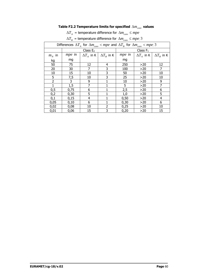# **Table F2.2 Temperature limits for specified**  $\Delta m_{conv}$  values

|  | $\Delta T_{A}$ = temperature difference for $\Delta m_{conv} \leq mpe$ |  |  |
|--|------------------------------------------------------------------------|--|--|
|--|------------------------------------------------------------------------|--|--|

|  | $\Delta T_B$ = temperature difference for $\Delta m_{conv} \leq mpe/3$ |  |
|--|------------------------------------------------------------------------|--|
|--|------------------------------------------------------------------------|--|

| Differences $\Delta T_{A}$ for $\Delta m_{conv}$ < mpe and $\Delta T_{B}$ for $\Delta m_{conv}$ < mpe/3 |               |                     |                                        |               |                     |                   |  |
|---------------------------------------------------------------------------------------------------------|---------------|---------------------|----------------------------------------|---------------|---------------------|-------------------|--|
|                                                                                                         |               | Class $E_2$         |                                        |               | Class $F_1$         |                   |  |
| $m_N$ in                                                                                                | <i>mpe</i> in | $\Delta T_{A}$ in K | $\Delta T_{\scriptscriptstyle B}$ in K | <i>mpe</i> in | $\Delta T_{A}$ in K | $\Delta T_R$ in K |  |
| kg                                                                                                      | mg            |                     |                                        | mg            |                     |                   |  |
| 50                                                                                                      | 75            | 12                  | 4                                      | 250           | >20                 | 12                |  |
| 20                                                                                                      | 30            | 7                   | 3                                      | 100           | >20                 | 7                 |  |
| 10                                                                                                      | 15            | 10                  | 3                                      | 50            | $>20$               | 10                |  |
| 5                                                                                                       | 7,5           | 10                  | 3                                      | 25            | >20                 | 10                |  |
| $\overline{2}$                                                                                          | 3             | 9                   |                                        | 10            | >20                 | 9                 |  |
|                                                                                                         | 1,5           | 7                   |                                        | 5             | >20                 | 7                 |  |
| 0,5                                                                                                     | 0,75          | 6                   |                                        | 2,5           | >20                 | 6                 |  |
| 0,2                                                                                                     | 0,30          | 5                   |                                        | 1,0           | >20                 | 5                 |  |
| 0,1                                                                                                     | 0,15          | 4                   |                                        | 0,50          | >20                 | 4                 |  |
| 0,05                                                                                                    | 0,10          | 6                   |                                        | 0,30          | >20                 | 6                 |  |
| 0,02                                                                                                    | 0,08          | 10                  | 2                                      | 0,25          | >20                 | 10                |  |
| 0,01                                                                                                    | 0,06          | 15                  | 3                                      | 0,20          | >20                 | 15                |  |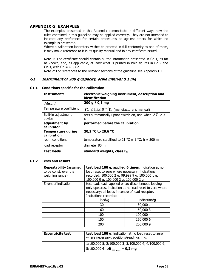## **APPENDIX G: EXAMPLES**

The examples presented in this Appendix demonstrate in different ways how the rules contained in this guideline may be applied correctly. They are not intended to indicate any preference for certain procedures as against others for which no example is presented.

Where a calibration laboratory wishes to proceed in full conformity to one of them, it may make reference to it in its quality manual and in any certificate issued.

Note 1: The certificate should contain all the information presented in Gn.1, as far as known, and, as applicable, at least what is printed in bold figures in Gn.2 and Gn.3, with  $Gn = G1$ ,  $G2...$ 

Note 2: For references to the relevant sections of the guideline see Appendix D2.

## **G1 Instrument of 200 g capacity, scale interval 0,1 mg**

| Instrument:                              | electronic weighing instrument, description and<br><b>identification</b> |
|------------------------------------------|--------------------------------------------------------------------------|
| Max/d                                    | 200 g / 0,1 mg                                                           |
| Temperature coefficient                  | $TC \leq 1.5x10^{-6}/K$ (manufacturer's manual)                          |
| Built-in adjustment<br>device            | acts automatically upon: switch-on, and when $\Delta T \geq 3$<br>ĸ      |
| adjustment by<br>calibrator              | performed before the calibration                                         |
| <b>Temperature during</b><br>calibration | 20,2 °C to 20,6 °C                                                       |
| room conditions                          | temperature stabilized to 21 °C $\pm$ 1 °C; h $\approx$ 300 m            |
| load receptor                            | diameter 80 mm                                                           |
| <b>Test loads</b>                        | standard weights, class $E_2$                                            |

#### **G1.1 Conditions specific for the calibration**

#### **G1.2 Tests and results**

| <b>Repeatability (assumed)</b><br>to be const, over the<br>weighing range) | test load 100 g, applied 6 times, indication at no<br>load reset to zero where necessary; indications<br>recorded: 100,000 2 g; 99,999 9 g; 100,000 1 g;<br>100,000 0 g; 100,000 2 g; 100,000 2 g |           |  |  |  |
|----------------------------------------------------------------------------|---------------------------------------------------------------------------------------------------------------------------------------------------------------------------------------------------|-----------|--|--|--|
| Errors of indication                                                       | test loads each applied once; discontinuous loading<br>only upwards, indication at no load reset to zero where<br>necessary; all loads in centre of load receptor.<br>Indications recorded:       |           |  |  |  |
|                                                                            | load/g<br>indication/g                                                                                                                                                                            |           |  |  |  |
|                                                                            | 30                                                                                                                                                                                                | 30,000 1  |  |  |  |
|                                                                            | 60                                                                                                                                                                                                | 60,000 3  |  |  |  |
|                                                                            | 100                                                                                                                                                                                               | 100,000 4 |  |  |  |
|                                                                            | 150,000 6<br>150                                                                                                                                                                                  |           |  |  |  |
|                                                                            | 200                                                                                                                                                                                               | 200,000 9 |  |  |  |

| <b>Eccentricity test</b> | test load 100 g; indication at no load reset to zero<br>where necessary; positions/readings in g:                                          |
|--------------------------|--------------------------------------------------------------------------------------------------------------------------------------------|
|                          | 1/100,000 5; 2/100,000 3; 3/100,000 4; 4/100,000 6;<br>$\vert 5/100,000 \vert 4 \vert 4I_{\text{ecc}} \vert_{\text{max}} = 0,2 \text{ mg}$ |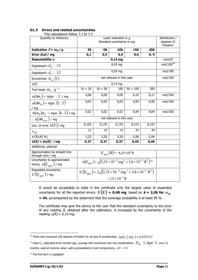| The calculations follow 7.1 to 7.3                                 |                                                                                                                  |                                                                                               |                           |       |       |                        |  |
|--------------------------------------------------------------------|------------------------------------------------------------------------------------------------------------------|-----------------------------------------------------------------------------------------------|---------------------------|-------|-------|------------------------|--|
| Quantity or Influence                                              |                                                                                                                  | Load, indication in q                                                                         |                           |       |       |                        |  |
|                                                                    |                                                                                                                  | Standard uncertainty in mg                                                                    |                           |       |       |                        |  |
|                                                                    |                                                                                                                  |                                                                                               |                           |       |       |                        |  |
| Indication $I \approx m_N / g$                                     | 30                                                                                                               | 60                                                                                            | 100                       | 150   | 200   |                        |  |
| Error <i>Ecal</i> / mg                                             | 0,1                                                                                                              | 0,3                                                                                           | 0,4                       | 0,6   | 0, 9  |                        |  |
| Repeatability s                                                    |                                                                                                                  |                                                                                               | $0,13$ mg                 |       |       | norm/5                 |  |
| Digitalisat'n $d_0/\sqrt{12}$                                      |                                                                                                                  |                                                                                               | $0,03$ mg                 |       |       | rect/100 <sup>10</sup> |  |
| Digitalisat'n $d_1/\sqrt{12}$                                      |                                                                                                                  |                                                                                               | $0,03$ mg                 |       |       | rect/100               |  |
| Eccentricity $\hat{w}_{_{ecc}}(I)$                                 |                                                                                                                  |                                                                                               | not relevant in this case |       |       | rect/100               |  |
| u(I)                                                               |                                                                                                                  |                                                                                               | $0,14$ mg                 |       |       |                        |  |
| Test loads $m_N/g^{-11}$                                           | $10 + 20$                                                                                                        | $50 + 100$<br>$10 + 50$<br>100<br>200                                                         |                           |       |       |                        |  |
| $u(\delta m_c) = mpe/\sqrt{3}$ / mg                                | 0,08                                                                                                             | 0,09                                                                                          | 0,09                      | 0,15  | 0,17  | rect/100               |  |
| $u(\delta m_D) = mpe/(3\sqrt{3})$                                  | 0,03                                                                                                             | 0,03                                                                                          | 0,03                      | 0,05  | 0,06  | rect/100               |  |
| mq                                                                 |                                                                                                                  |                                                                                               |                           |       |       |                        |  |
| $\hat{w}(m_B) m_N = mpe/(4\sqrt{3})$ / mg                          | 0,02                                                                                                             | 0,02                                                                                          | 0,02                      | 0,04  | 0,04  | rect/100               |  |
| $u(\delta m_{conv})$ / mg                                          |                                                                                                                  |                                                                                               | not relevant in this case |       |       |                        |  |
| Unc. of error $u(E)$ / mg                                          | 0,165                                                                                                            | 0,170                                                                                         | 0,170                     | 0,215 | 0,232 |                        |  |
| $U_{\it eff}$                                                      | 12                                                                                                               | 14                                                                                            | 14                        | 34    | 44    |                        |  |
| k(95, 45%)                                                         | 2,23                                                                                                             | 2,20                                                                                          | 2,20                      | 2,08  | 2,06  |                        |  |
| $\overline{U(E)}$ = $ku(E)$ /mg                                    | 0,37                                                                                                             | 0,37                                                                                          | 0,37                      | 0,45  | 0,48  |                        |  |
| additional, optional                                               |                                                                                                                  |                                                                                               |                           |       |       |                        |  |
| Approximation by straight line<br>through zero / mg                | $E_{anpr}(R) = 4,27 \times 10^{-6} R$                                                                            |                                                                                               |                           |       |       |                        |  |
| Uncertainty to approximated<br>errors, $u(E_{\textit{appr}})$ / mg | $u(E_{\text{app}}) = \sqrt{(3.25 \times 10^{-13} \text{ mg}^2 + 5.8 \times 10^{-13} \text{ R}^2)}$ <sup>12</sup> |                                                                                               |                           |       |       |                        |  |
| Expanded uncertainty<br>$U(E_{anor})$ / mg                         |                                                                                                                  | $U(E_{anpr}) = 2\sqrt{(3.25 \times 10^{-13} \text{ mg}^2 + 5.8 \times 10^{-13} \text{ R}^2)}$ |                           |       |       |                        |  |
|                                                                    | $= 1.5 \times 10^{-6} R$                                                                                         |                                                                                               |                           |       |       |                        |  |

#### **G1.3 Errors and related uncertainties**

It would be acceptable to state in the certificate only the largest value of expanded uncertainty for all the reported errors:  $U(E) = 0.48$  mg, based on  $k = 2.06$  for  $v_{\text{eff}}$ **= 44**, accompanied by the statement that the coverage probability is at least 95 %.

The certificate may give the advice to the user that the standard uncertainty to the error of any reading  $R$ , obtained after the calibration, is increased by the uncertainty of the reading  $u(R) = 0.14$  mg.

 $\overline{a}$ 

 $^{10}$  There were assumed 100 degrees of fredom for all type B uncertianties,  $|\Delta u(x_i)/u(x_i)| \approx 0.0707$  [1]  $^1$ 

<span id="page-66-1"></span><span id="page-66-0"></span><sup>&</sup>lt;sup>11</sup> Class E<sub>2</sub>, calibrated three months ago, average drift monitored over two recalibrations  $\left|D_{mc}\right| \leq mpe/3$  ; over 12 months; used at nominal value; well accomodated to room temperature,,  $\Delta T < 1$  K

<span id="page-66-2"></span><sup>&</sup>lt;sup>12</sup> The first term is negligible!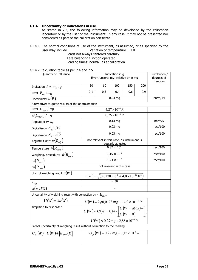### **G1.4 Uncertainty of indications in use**

As stated in 7.4, the following information may be developed by the calibration laboratory or by the user of the instrument. In any case, it may not be presented nor considered as part of the calibration certificate.

G1.4.1 The normal conditions of use of the instrument, as assumed, or as specified by the user may include Variation of temperature  $\pm$  1 K Variation of temperature  $\pm$  1 K

Loads not always centered carefully Tare balancing function operated Loading times: normal, as at calibration

| G1.4.2 Calculation table as per 7.4 and 7.5 |  |  |
|---------------------------------------------|--|--|
|---------------------------------------------|--|--|

| Quantity or Influence                                          | Error, uncertainty: relative or in mg                                                             | Distribution /<br>degrees of<br>freedom           |                         |     |     |          |
|----------------------------------------------------------------|---------------------------------------------------------------------------------------------------|---------------------------------------------------|-------------------------|-----|-----|----------|
| Indication $I \approx m_N/g$                                   | 30<br>200<br>60<br>100<br>150                                                                     |                                                   |                         |     |     |          |
| Error $E_{cal}/mg$                                             | 0,1                                                                                               | 0,3                                               | 0,4                     | 0,6 | 0,9 |          |
| Uncertainty $u(E)$                                             |                                                                                                   |                                                   | $0,23$ mg               |     |     | norm/44  |
| Alternative: to quote results of the approximation             |                                                                                                   |                                                   |                         |     |     |          |
| Error $E_{appr}$ / mg                                          |                                                                                                   |                                                   | $4,27 \times 10^{-6} R$ |     |     |          |
| $u(E_{appr})$ / mg                                             |                                                                                                   |                                                   | $0.76 \times 10^{-6} R$ |     |     |          |
| Repeatability $s_R$                                            |                                                                                                   |                                                   | $0,13$ mg               |     |     | norm/5   |
| Digitalisat'n $d_0/\sqrt{12}$                                  |                                                                                                   |                                                   | $0,03$ mg               |     |     | rect/100 |
| Digitalisat'n $d_{R}/\sqrt{12}$                                |                                                                                                   |                                                   | $0,03$ mg               |     |     | rect/100 |
| Adjustm't drift $\,\hat{w}\!\left(R_{a d i}\right)$            | not relevant in this case, as instrument is                                                       |                                                   |                         |     |     |          |
| Temperature $\hat{w}(R_{_{temp}})$                             |                                                                                                   | rect/100                                          |                         |     |     |          |
| Weighing. procedure: $\hat{w}(R_{\text{acc}})$                 | $1,15 \times 10^{-6}$                                                                             |                                                   |                         |     |     | rect/100 |
| $\hat{w}(R_{tare})$                                            | $1,23 \times 10^{-6}$                                                                             |                                                   |                         |     |     | rect/100 |
| $\overline{\hat{w}}(R_{\scriptscriptstyle time})$              | not relevant in this case                                                                         |                                                   |                         |     |     |          |
| Unc. of weighing result $u(W)$                                 | $u(W) = \sqrt{(0.0178 \text{ mg}^2 + 4.0 \times 10^{-12} \text{ R}^2)}$                           |                                                   |                         |     |     |          |
| $U_{\text{eff}}$                                               |                                                                                                   |                                                   |                         |     |     |          |
| $k(\approx 95\%)$                                              | $\overline{\phantom{a}}$                                                                          |                                                   |                         |     |     |          |
| Uncertainty of weighing result with correction by - $E_{appr}$ |                                                                                                   |                                                   |                         |     |     |          |
| $U(W) = ku(W)$                                                 | $U(W) = 2\sqrt{0.0178 \text{ mg}^2 + 4.0 \times 10^{-12} \text{ R}^2}$                            |                                                   |                         |     |     |          |
| simplified to first order                                      | $U(W) \approx U(W = 0) + \left\{ \begin{bmatrix} U(W = Max) - \\ U(W = 0) \end{bmatrix} \right\}$ |                                                   |                         |     |     |          |
|                                                                | $U(W) \approx 0.27$ mg + 2,88 × 10 <sup>-6</sup> R                                                |                                                   |                         |     |     |          |
|                                                                | Global uncertainty of weighing result without correction to the reading                           |                                                   |                         |     |     |          |
| $U_{ol}(W) = U(W) +  E_{conv}(R) $                             |                                                                                                   | $U_{el}(W) = 0.27$ mg + 7,15 × 10 <sup>-6</sup> R |                         |     |     |          |
|                                                                |                                                                                                   |                                                   |                         |     |     |          |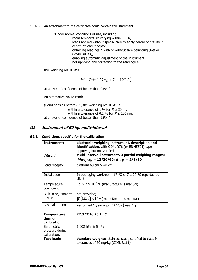G1.4.3 An attachment to the certificate could contain this statement:

"Under normal conditions of use, including

room temperature varying within  $\pm$  1 K, loads applied without special care to apply centre of gravity in centre of load receptor, obtaining readings  $R$  with or without tare balancing (Net or Gross values), enabling automatic adjustment of the instrument, not applying any correction to the readings  $R$ ,

the weighing result  $W$  is

$$
W = R \pm (0.27mg + 7.1 \times 10^{-6} R)
$$

at a level of confidence of better than 95%."

An alternative would read:

(Conditions as before).."., the weighing result *W* is within a tolerance of 1 % for  $R \ge 30$  mg, within a tolerance of 0,1 % for  $R \ge 280$  mg, at a level of confidence of better than 95%."

## **G2 Instrument of 60 kg, multi-interval**

### **G2.1 Conditions specific for the calibration**

| Instrument:                                          | electronic weighing instrument, description and<br>identification, with OIML R76 (or EN 45501) type<br>approval, but not verified |
|------------------------------------------------------|-----------------------------------------------------------------------------------------------------------------------------------|
| Max/d                                                | Multi-interval instrument, 3 partial weighing ranges:<br>$Max_i/kg = 12/30/60; d_i/g = 2/5/10$                                    |
| Load receptor                                        | platform 60 cm $\times$ 40 cm                                                                                                     |
| Installation                                         | In packaging workroom; 17 °C $\leq$ $T \leq$ 27 °C reported by<br>client                                                          |
| Temperature<br>coefficient                           | $TC \le 2 \times 10^{-6}$ /K (manufacturer's manual)                                                                              |
| Built-in adjustment                                  | not provided;                                                                                                                     |
| device                                               | $ E(Max)  \leq 10 g$ (manufacturer's manual)                                                                                      |
| Last calibration                                     | Performed 1 year ago; $E(Max)$ was 7 g                                                                                            |
| <b>Temperature</b><br>during<br>calibration          | 22,3 °C to 23,1 °C                                                                                                                |
| <b>Barometric</b><br>pressure during<br>calibration: | 1 002 hPa $\pm$ 5 hPa                                                                                                             |
| <b>Test loads</b>                                    | standard weights, stainless steel, certified to class $M_1$<br>tolerances of 50 mg/kg (OIML R111)                                 |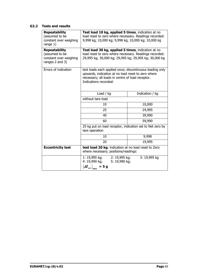## **G2.2 Tests and results**

| <b>Repeatability</b><br>(assumed to be<br>constant over weighing<br>range 1)        | Test load 10 kg, applied 5 times, indication at no<br>load reset to zero where necessary. Readings recorded:<br>9,998 kg; 10,000 kg; 9,998 kg; 10,000 kg; 10,000 kg                         |              |  |  |  |  |
|-------------------------------------------------------------------------------------|---------------------------------------------------------------------------------------------------------------------------------------------------------------------------------------------|--------------|--|--|--|--|
| <b>Repeatability</b><br>(assumed to be<br>constant over weighing<br>ranges 2 and 3) | Test load 30 kg, applied 5 times, indication at no<br>load reset to zero where necessary. Readings recorded:<br>29,995 kg; 30,000 kg; 29,995 kg; 29,995 kg; 30,000 kg                       |              |  |  |  |  |
| Errors of indication                                                                | test loads each applied once; discontinuous loading only<br>upwards, indication at no load reset to zero where<br>necessary; all loads in centre of load receptor.<br>Indications recorded: |              |  |  |  |  |
|                                                                                     | Indication / kg<br>Load / $kg$                                                                                                                                                              |              |  |  |  |  |
|                                                                                     | without tare load                                                                                                                                                                           |              |  |  |  |  |
|                                                                                     | 10,000<br>10                                                                                                                                                                                |              |  |  |  |  |
|                                                                                     | 25<br>24,995                                                                                                                                                                                |              |  |  |  |  |
|                                                                                     | 39,990<br>40                                                                                                                                                                                |              |  |  |  |  |
|                                                                                     | 59,990<br>60                                                                                                                                                                                |              |  |  |  |  |
|                                                                                     | 25 kg put on load receptor, indication set to Net zero by<br>tare operation                                                                                                                 |              |  |  |  |  |
|                                                                                     | 9,998<br>10                                                                                                                                                                                 |              |  |  |  |  |
|                                                                                     | 20<br>19,995                                                                                                                                                                                |              |  |  |  |  |
| <b>Eccentricity test</b>                                                            | test load 20 kg; indication at no load reset to Zero<br>where necessary; positions/readings:                                                                                                |              |  |  |  |  |
|                                                                                     | 1: 19,995 kg;<br>2: 19,995 kg;<br>4: 19,990 kg;<br>5: 19,990 kg;<br>$= 5 g$<br>$\bm{M}_{\mathit{ecc}}\big _{\max}$                                                                          | 3: 19,995 kg |  |  |  |  |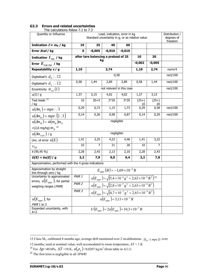| The calculations roller 7.1 to 7.5<br>Quantity or Influence        | Load, indication, error in kg<br>Standard uncertainty in g, or as relative value                                 |                                      |            |                                        |               | Distribution /<br>degrees of<br>freedom |          |
|--------------------------------------------------------------------|------------------------------------------------------------------------------------------------------------------|--------------------------------------|------------|----------------------------------------|---------------|-----------------------------------------|----------|
| Indication $I \approx m_N$ / kg                                    | 10<br>25<br>40<br>60                                                                                             |                                      |            |                                        |               |                                         |          |
| Error Ecal / kg                                                    | $\mathbf 0$                                                                                                      | $-0,005$                             | $-0,010$   | $-0,010$                               |               |                                         |          |
| Indication $I_{Net}$ / kg                                          |                                                                                                                  | after tare balancing a preload of 25 |            |                                        | 10            | 20                                      |          |
| Error $E_{\mathit{Cal},\mathit{Net}}$ / kg                         |                                                                                                                  | kg                                   |            |                                        | $-0,002$      | $-0,005$                                |          |
| Repeatability s / g                                                | 1,10                                                                                                             |                                      | 2,74       |                                        | 1,10          | 2,74                                    | norm/4   |
| Digitalisat'n $d_0/\sqrt{12}$                                      |                                                                                                                  |                                      | 0,58       |                                        |               |                                         | rect/100 |
| Digitalisat'n $d_{_I}/\sqrt{12}$                                   | 0,58                                                                                                             | 1,44                                 | 2,89       | 2,89                                   | 0,58          | 1,44                                    | rect/100 |
| Eccentricity $\hat{w}_{_{ecc}}(I)$                                 |                                                                                                                  |                                      |            | not relevant in this case              |               |                                         | rect/100 |
| $u(I)$   g                                                         | 1,37                                                                                                             | 3,15                                 | 4,02       | 4,02                                   | 1,37          | 3,15                                    |          |
| Test loads <sup>13</sup><br>/ kg                                   | 10                                                                                                               | $20 + 5$                             | $2*20$     | $3*20$                                 | $(25+)$<br>10 | $(25+)$<br>20                           |          |
| $u(\delta m_c) = mpe/\sqrt{3}$                                     | 0,29                                                                                                             | 0,72                                 | 1,15       | 1,73                                   | 0,29          | 0,58                                    | rect/100 |
| $u(\delta m_D) = mpe/(2\sqrt{3})$                                  | 0,14                                                                                                             | 0,36                                 | 0,58       | 0,87                                   | 0,14          | 0,29                                    | rect/100 |
| $u(\delta m_{R}) = \hat{w}(m_{R})m_{N}$                            | negligible                                                                                                       |                                      |            |                                        |               |                                         |          |
| =(2,6 mg/kg) $m_N^{14}$                                            |                                                                                                                  |                                      |            |                                        |               |                                         |          |
| $u(\delta m_{conv})$ / g                                           |                                                                                                                  |                                      | negligible |                                        |               |                                         |          |
| Unc. of error $u(E)$                                               | 1,41                                                                                                             | 3,25                                 | 4,22       | 4,46                                   | 1,41          | 3,22                                    |          |
| $v_{\text{eff}}$                                                   | 10                                                                                                               | $\overline{7}$                       | 21         | 26                                     | 10            | 7                                       |          |
| k(95, 45%)                                                         | 2,28                                                                                                             | 2,43                                 | 2,13       | 2,10                                   | 2,28          | 2,43                                    |          |
| $U(E) = ku(E) / g$                                                 | 3,2                                                                                                              | 7,9                                  | 9,0        | 9,4                                    | 3,2           | 7,8                                     |          |
| Approximation, performed with the 4 gross indications              |                                                                                                                  |                                      |            |                                        |               |                                         |          |
| Approximation by straight<br>line through zero / kg                |                                                                                                                  |                                      |            | $E_{appr}(R) = -1.69 \times 10^{-4} R$ |               |                                         |          |
| Uncertainty to approximated<br>errors, $u(E_{appr})$ , for partial | PWR 1<br>$u(E_{appr}) = \sqrt{(5.4 \times 10^{-8} \text{ g}^2 + 2.63 \times 10^{-9} \text{ R}^2)}$ <sup>15</sup> |                                      |            |                                        |               |                                         |          |
| weighing ranges (PWR)                                              | $u(E_{\text{appr}}) = \sqrt{(2.8 \times 10^{-7} \text{ g}^2 + 2.63 \times 10^{-9} \text{ R}^2)}$<br>PWR 2        |                                      |            |                                        |               |                                         |          |
|                                                                    | PWR 3<br>$u(E_{appr}) = \sqrt{(4.7 \times 10^{-7} \text{ g}^2 + 2.63 \times 10^{-9} \text{ R}^2)}$               |                                      |            |                                        |               |                                         |          |
| $u(E_{\textit{appr}})$ , for                                       | $u(E_{\text{untr}}) = 5.13 \times 10^{-5} R$                                                                     |                                      |            |                                        |               |                                         |          |
| PWR 1 to 3                                                         |                                                                                                                  |                                      |            |                                        |               |                                         |          |
| Expanded uncertainty, with<br>$k=2$                                | $U(E_{appr}) = 2u(E_{appr}) = 10,3 \times 10^{-5} R$                                                             |                                      |            |                                        |               |                                         |          |

## **G2.3 Errors and related uncertainties**

The calculations follow 7.1 to 7.3

 $\overline{a}$ 

<span id="page-70-0"></span><sup>13</sup> Class M<sub>1</sub>, calibrated 8 months ago, average drift monitored over 2 recalibrations:  $|D_{mc}| \leq mpe/2$ ; over

<sup>12</sup> months; used at nominal value; well accomodated to room temperature,  $\Delta T \leq 1$  K

<sup>&</sup>lt;sup>14</sup> For  $\Delta p$  =40 hPa,  $\Delta T$  =10 K,  $u(\rho_a)$  =0,0207 kg/m<sup>3</sup> (from table in A3.1)

<span id="page-70-2"></span><span id="page-70-1"></span><sup>15</sup> The first term is negligible in all 3*PWR!*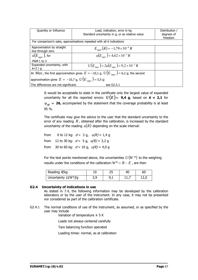| Quantity or Influence                                                                                 | Load, indication, error in kg                                         | Distribution / |  |  |  |  |
|-------------------------------------------------------------------------------------------------------|-----------------------------------------------------------------------|----------------|--|--|--|--|
|                                                                                                       | Standard uncertainty in q, or as relative value                       | degrees of     |  |  |  |  |
|                                                                                                       |                                                                       | freedom        |  |  |  |  |
|                                                                                                       | For comparison's sake, approximations repeated with all 6 indications |                |  |  |  |  |
| Approximation by straight                                                                             | $E_{appr}(R) = -1.79 \times 10^{-4} R$                                |                |  |  |  |  |
| line through zero                                                                                     |                                                                       |                |  |  |  |  |
| $u(E_{\textit{appr}})$ , for                                                                          | $u(E_{\text{untr}}) = 4.62 \times 10^{-5} R$                          |                |  |  |  |  |
| $PWR$ 1 to 3                                                                                          |                                                                       |                |  |  |  |  |
| Expanded uncertainty, with                                                                            | $U(E_{appr}) = 2u(E_{appr}) = 9.2 \times 10^{-5} R$                   |                |  |  |  |  |
| $k=2/a$                                                                                               |                                                                       |                |  |  |  |  |
| At <i>Max</i> , the first approximation gives $E = -10.1$ g, $U(E_{\tau_{annr}}) = 6.2$ g; the second |                                                                       |                |  |  |  |  |
| approximation gives $E = -10.7$ g, $U(E_{\tau_{anor}}) = 5.5$ g:                                      |                                                                       |                |  |  |  |  |
| see G2.5.1<br>The differences are not significant.                                                    |                                                                       |                |  |  |  |  |

It would be acceptable to state in the certificate only the largest value of expanded uncertainty for all the reported errors:  $U(E) = 9.4$  g, based on  $k = 2.1$  for  $v_{\text{eff}}$  = 26, accompanied by the statement that the coverage probability is at least 95 %.

The certificate may give the advice to the user that the standard uncertainty to the error of any reading  $R$ , obtained after the calibration, is increased by the standard uncertainty of the reading  $u(R)$  depending on the scale interval:

from 0 to 12 kg:  $d = 2$  g,  $u(R) = 1.4$  g from 12 to 30 kg:  $d = 5$  g,  $u(R) = 3.2$  g from 30 to 60 kg:  $d = 10$  g,  $u(R) = 4.0$  g

For the test points mentioned above, the uncertainties  $U(W^*)$  to the weighing results under the conditions of the calibration:  $W^* = R - E$ , are then

| Reading R/kg            |     | 25  | 40 | 60   |
|-------------------------|-----|-----|----|------|
| Uncertainty $U(W^*)$ /g | 3,9 | 9,1 | ++ | 12,0 |

#### **G2.4 Uncertainty of indications in use**

As stated in 7.4, the following information may be developed by the calibration laboratory or by the user of the instrument. In any case, it may not be presented nor considered as part of the calibration certificate.

G2.4.1 The normal conditions of use of the instrument, as assumed, or as specified by the user may include

Variation of temperature  $\pm$  5 K

Loads not always centered carefully

Tare balancing function operated

Loading times: normal, as at calibration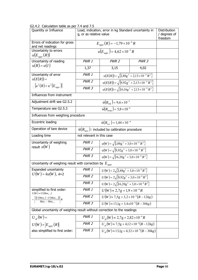| בר.אכ Calculation table as per<br>Quantity or Influence                                   | 7. J and 7. J<br>Load, indication, error in kg Standard uncertainty in<br>g, or as relative value | Distribution<br>/ degrees of<br>freedom                     |                  |  |  |  |
|-------------------------------------------------------------------------------------------|---------------------------------------------------------------------------------------------------|-------------------------------------------------------------|------------------|--|--|--|
| Errors of indication for gross<br>and net readings                                        |                                                                                                   | $E_{appr}(R) = -1.79 \times 10^{-4} R$                      |                  |  |  |  |
| Uncertainty to errors<br>$u(E_{appr}(R))$                                                 | $u(E_{anor}) = 4.62 \times 10^{-5} R$                                                             |                                                             |                  |  |  |  |
| Uncertainty of reading                                                                    | PWR 1                                                                                             | PWR <sub>2</sub>                                            | PWR <sub>3</sub> |  |  |  |
| $u(R) = u(I)$                                                                             | 1,37                                                                                              | 3,15                                                        | 4,02             |  |  |  |
| Uncertainty of error                                                                      | PWR 1                                                                                             | $u(E(R)) = \sqrt{\{1,88g^2 + 2,13 \times 10^{-9} R^2\}}$    |                  |  |  |  |
| $u(E(R))=$                                                                                | PWR <sub>2</sub>                                                                                  | $u(E(R)) = \sqrt{9.92g^2 + 2.13 \times 10^{-9} R^2}$        |                  |  |  |  |
| $\sqrt{\{u^2(R)+u^2(E_{appr})\}}$                                                         | PWR <sub>3</sub>                                                                                  | $u(E(R)) = \sqrt{\{16, 16g^2 + 2, 13 \times 10^{-9} R^2\}}$ |                  |  |  |  |
| Influences from instrument                                                                |                                                                                                   |                                                             |                  |  |  |  |
| Adjustment drift see G2.5.2                                                               |                                                                                                   | $\hat{w}(R_{adi}) = 9.6 \times 10^{-5}$                     |                  |  |  |  |
| Temperature see G2.5.3                                                                    |                                                                                                   | $\hat{w}(R_{temp}) = 5.8 \times 10^{-6}$                    |                  |  |  |  |
| Influences from weighing procedure                                                        |                                                                                                   |                                                             |                  |  |  |  |
| Eccentric loading                                                                         |                                                                                                   |                                                             |                  |  |  |  |
| Operation of tare device                                                                  | $\hat{w}(R_{\text{tare}})$ : included by calibration procedure                                    |                                                             |                  |  |  |  |
| Loading time                                                                              | not relevant in this case                                                                         |                                                             |                  |  |  |  |
| Uncertainty of weighing                                                                   | PWR 1                                                                                             | $u(W) = \sqrt{\{1,88g^2 + 3,0 \times 10^{-8} R^2\}}$        |                  |  |  |  |
| result $u(W)$                                                                             | PWR <sub>2</sub>                                                                                  |                                                             |                  |  |  |  |
|                                                                                           | PWR <sub>3</sub>                                                                                  |                                                             |                  |  |  |  |
| Uncertainty of weighing result with correction by $E_{\text{appr}}$                       |                                                                                                   |                                                             |                  |  |  |  |
| Expanded uncertainty                                                                      | PWR 1                                                                                             | $U(W) = 2\sqrt{1.88g^2 + 3.0 \times 10^{-8} R^2}$           |                  |  |  |  |
| $U(W) = ku(W)$ , k=2                                                                      | PWR <sub>2</sub>                                                                                  | $U(W) = 2\sqrt{9.92g^2 + 3.0 \times 10^{-8} R^2}$           |                  |  |  |  |
|                                                                                           | PWR <sub>3</sub>                                                                                  | $U(W) = 2\sqrt{16,20g^2 + 3,0 \times 10^{-8} R^2}$          |                  |  |  |  |
| simplified to first order:<br>$U(W) \approx U(Max_{i-1})$                                 | PWR 1                                                                                             | $U(W) \approx 2.7g + 1.9 \times 10^{-4} R$                  |                  |  |  |  |
| $+\Big\{\frac{\big[U\big(Max_i\big)-U\big(Max_{i-1}\big)\big]}{Max. - Max._{i-1}}\Big\}R$ | PWR <sub>2</sub>                                                                                  | $U(W) \approx 7.5g + 3.2 \times 10^{-4} (R - 12kg)$         |                  |  |  |  |
|                                                                                           | PWR <sub>3</sub>                                                                                  |                                                             |                  |  |  |  |
| Global uncertainty of weighing result without correction to the readings                  |                                                                                                   |                                                             |                  |  |  |  |
| $U_{gl}(W) =$                                                                             | PWR 1                                                                                             | $U_{el}(W) \approx 2.7g + 2.82 \times 10^{-4} R$            |                  |  |  |  |
| $U(W) + E_{appr}(R)$                                                                      | PWR 2                                                                                             | $U_{el}(W) \approx 7.5g + 4.12 \times 10^{-4} (R - 12kg)$   |                  |  |  |  |
| also simplified to first order:                                                           | PWR <sub>3</sub>                                                                                  | $U_{el}(W) \approx 13.1g + 4.32 \times 10^{-4} (R - 30kg)$  |                  |  |  |  |

G2.4.2 Calculation table as per 7.4 and 7.5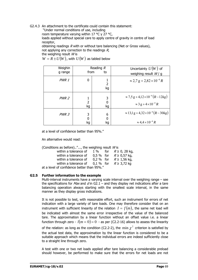## G2.4.3 An attachment to the certificate could contain this statement:

"Under normal conditions of use, including

room temperature varying within 17 °C y 27 °C,

loads applied without special care to apply centre of gravity in centre of load receptor,

obtaining readings  $R$  with or without tare balancing (Net or Gross values), not applying any correction to the readings  $R$ , the weighing result  $W$  is

 $W = R \pm U(W)$ , with  $U(W)$  as tabled below

| Weighin<br>g range | from                      | Reading $R$<br>to | Uncertainty $U(W)$ of<br>weighing result $W / g$                                                       |
|--------------------|---------------------------|-------------------|--------------------------------------------------------------------------------------------------------|
| PWR 1              | 0                         | 2<br>kg           | $\approx$ 2,7 g + 2,82 $\times$ 10 <sup>-4</sup> R                                                     |
| PWR <sub>2</sub>   | 1<br>$\overline{2}$<br>kg | 3<br>0<br>kg      | $\approx$ 7.5 g + 4.12 × 10 <sup>-4</sup> (R – 12 kg)<br>$\approx$ 3 g + 4 $\times$ 10 <sup>-4</sup> R |
| PWR 3              | 3<br>0<br>kg              | 6<br>0<br>kg      | $\approx$ 13,1 g + 4,32 × 10 <sup>-4</sup> (R – 30kg)<br>$\approx 4.4 \times 10^{-4} R$                |

at a level of confidence better than 95%."

An alternative would read:

| (Conditions as before)", the weighing result $W$ is |  |                            |
|-----------------------------------------------------|--|----------------------------|
| within a tolerance of                               |  | 1 % for $R \ge 0$ , 28 kg, |
| within a tolerance of                               |  | 0,5 % for $R \ge 0.57$ kg, |
| within a tolerance of                               |  | 0,2 % for $R \ge 1,56$ kg, |
| within a tolerance of                               |  | 0,1 % for $R \ge 3.72$ kg  |
| at a level of confidence better than 0504 "         |  |                            |

at a level of confidence better than 95%.

#### **G2.5 Further information to the example**

Multi-interval instruments have a varying scale interval over the weighing range – see the specifications for Max and d in G2.1 – and they display net indications after a tare balancing operation always starting with the smallest scale interval, in the same manner as they display gross indications.

It is not possible to test, with reasonable effort, such an instrument for errors of net indication with a large variety of tare loads. One may therefore consider that on an instrument with sufficient linearity of the relation  $I = f(m)$ , the same net load will be indicated with almost the same error irrespective of the value of the balanced tare. The approximation by a linear function without an offset value i.e. a linear function through zero -  $l(m = 0) = 0$  - as per (C2.2-16) allows to assess the linearity of the relation: as long as the condition (C2.2-2), the  $\min \gamma^2$  criterion is satisfied by the actual test data, the approximation by the linear function is considered to be a suitable approach which means that the individual errors are indeed sufficiently close to a straight line through zero.

A test with one or two net loads applied after tare balancing a considerable preload should however, be performed to make sure that the errors for net loads are not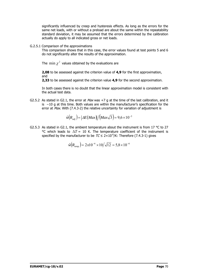significantly influenced by creep and hysteresis effects. As long as the errors for the same net loads, with or without a preload are about the same within the repeatability standard deviation, it may be assumed that the errors determined by the calibration actually do apply to all indicated gross or net loads.

G.2.5.1 Comparison of the approximations

This comparison shows that in this case, the error values found at test points 5 and 6 do not significantly alter the results of the approximation.

The min  $\chi^2$  values obtained by the evaluations are

**2,08** to be assessed against the criterion value of **4,9** for the first approximation, and

**2,33** to be assessed against the criterion value **4,9** for the second approximation.

In both cases there is no doubt that the linear approximation model is consistent with the actual test data.

G2.5.2 As stated in G2.1, the error at  $Max$  was  $+7$  g at the time of the last calibration, and it is −10 g at this time. Both values are within the manufacturer's specification for the error at *Max*. With (7.4.3-2) the relative uncertainty for variation of adjustment is

$$
\hat{w}(R_{adj}) = |\Delta E(Max)| / (Max\sqrt{3}) = 9.6 \times 10^{-5}
$$

G2.5.3 As stated in G2.1, the ambient temperature about the instrument is from 17 °C to 27 °C which leads to  $\Delta T = 10$  K. The temperature coefficient of the instrument is specified by the manufacturer to be  $TC \le 2 \times 10^{-6}/K$ : Therefore (7.4.3-1) gives

$$
\hat{w}(R_{temp}) = 2x10^{-6} \times 10/\sqrt{12} = 5.8 \times 10^{-6}
$$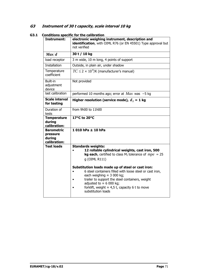# **G3 Instrument of 30 t capacity, scale interval 10 kg**

| Instrument:                                             | electronic weighing instrument, description and<br>identification, with OIML R76 (or EN 45501) Type approval but<br>not verified                                                                                                                                                                                         |
|---------------------------------------------------------|--------------------------------------------------------------------------------------------------------------------------------------------------------------------------------------------------------------------------------------------------------------------------------------------------------------------------|
| Max/d                                                   | 30 t / 10 kg                                                                                                                                                                                                                                                                                                             |
| load receptor                                           | 3 m wide, 10 m long, 4 points of support                                                                                                                                                                                                                                                                                 |
| <b>Installation</b>                                     | Outside, in plain air, under shadow                                                                                                                                                                                                                                                                                      |
| Temperature<br>coefficient                              | $TC \leq 2 \times 10^{-6}$ /K (manufacturer's manual)                                                                                                                                                                                                                                                                    |
| Built-in<br>adjustment<br>device                        | Not provided                                                                                                                                                                                                                                                                                                             |
| last calibration                                        | performed 10 months ago; error at $Max$ was -5 kg                                                                                                                                                                                                                                                                        |
| <b>Scale interval</b><br>for testing                    | Higher resolution (service mode), $dT = 1$ kg                                                                                                                                                                                                                                                                            |
| Duration of<br>tests                                    | from 9h00 to 11h00                                                                                                                                                                                                                                                                                                       |
| <b>Temperature</b><br>during<br>calibration:            | 17°C to 20°C                                                                                                                                                                                                                                                                                                             |
| <b>Barometric</b><br>pressure<br>during<br>calibration: | $1010$ hPa $\pm 10$ hPa                                                                                                                                                                                                                                                                                                  |
| <b>Test loads</b>                                       | <b>Standards weights:</b><br>12 rollable cylindrical weights, cast iron, 500<br><b>kg each</b> , certified to class $M_1$ tolerance of $mpe = 25$<br>g (OIML R111)                                                                                                                                                       |
|                                                         | Substitution loads made up of steel or cast iron:<br>6 steel containers filled with loose steel or cast iron,<br>each weighing $\approx$ 3 000 kg;<br>trailer to support the steel containers, weight<br>adjusted to $\approx$ 6 000 kg;<br>forklift, weight $\approx 4.5$ t, capacity 6 t to move<br>substitution loads |

**G3.1 Conditions specific for the calibration**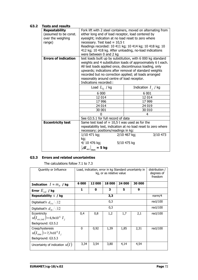# **G3.2 Tests and results**

| <b>Repeatability</b>        | Fork lift with 2 steel containers, moved on alternating from  |                                                             |  |  |  |  |
|-----------------------------|---------------------------------------------------------------|-------------------------------------------------------------|--|--|--|--|
| (assumed to be const.       | either long end of load receptor, load centered by            |                                                             |  |  |  |  |
| over the weighing           | eyesight; indication at no load reset to zero where           |                                                             |  |  |  |  |
| range)                      | necessary. Test load $\approx 10.5$ t                         |                                                             |  |  |  |  |
|                             | Readings recorded: 10 411 kg; 10 414 kg; 10 418 kg; 10        |                                                             |  |  |  |  |
|                             | 412 kg; 10 418 kg. After unloading, no-load indications       |                                                             |  |  |  |  |
|                             | were between 0 and 2 kg                                       |                                                             |  |  |  |  |
| <b>Errors of indication</b> |                                                               | test loads built up by substitution, with 6 000 kg standard |  |  |  |  |
|                             |                                                               | weights and 4 substitution loads of approximately 6 t each. |  |  |  |  |
|                             | All test loads applied once, discontinuous loading, only      |                                                             |  |  |  |  |
|                             | upwards; indications after removal of standard weights        |                                                             |  |  |  |  |
|                             | recorded but no correction applied; all loads arranged        |                                                             |  |  |  |  |
|                             | reasonably around centre of load receptor.                    |                                                             |  |  |  |  |
|                             | Indications recorded::                                        |                                                             |  |  |  |  |
|                             | Load $L_{T_i}$ / kg<br>Indication $I_i$ / kg                  |                                                             |  |  |  |  |
|                             | 6 000                                                         | 6 0 0 1                                                     |  |  |  |  |
|                             | 12 014                                                        | 12 014                                                      |  |  |  |  |
|                             | 17 996<br>17 999                                              |                                                             |  |  |  |  |
|                             | 24 014<br>24 019                                              |                                                             |  |  |  |  |
|                             | 30 001                                                        | 30 010                                                      |  |  |  |  |
|                             |                                                               | 4                                                           |  |  |  |  |
|                             | See G3.5.1 for full record of data                            |                                                             |  |  |  |  |
| <b>Eccentricity test</b>    | Same test load of $\approx 10,5$ t was used as for the        |                                                             |  |  |  |  |
|                             | repeatability test, indication at no load reset to zero where |                                                             |  |  |  |  |
|                             | necessary; positions/readings in kg:                          |                                                             |  |  |  |  |
|                             | 3/10 473<br>2/10 467 kg;<br>1/10 471 kg;                      |                                                             |  |  |  |  |
|                             | kg;                                                           |                                                             |  |  |  |  |
|                             | 4/ 10 476 kg;                                                 | 5/10 475 kg                                                 |  |  |  |  |
|                             | $\left. \Delta I \right _{ecc}\right _{\rm max} =$ 5 kg       |                                                             |  |  |  |  |

# **G3.3 Errors and related uncertainties**

The calculations follow 7.1 to 7.3

| Quantity or Influence                                                              |          | Load, indication, error in kg Standard uncertainty in<br>kg, or as relative value |        |        |        |          |  |
|------------------------------------------------------------------------------------|----------|-----------------------------------------------------------------------------------|--------|--------|--------|----------|--|
| <b>Indication</b> $I \approx m_N$ / kg                                             | 6000     | 12000                                                                             | 18 000 | 24 000 | 30 000 |          |  |
| Error $E_{cal}$ / kg                                                               | 1        | 0                                                                                 | 3      | 5      | 9      |          |  |
| Repeatability $s$ / kg                                                             |          |                                                                                   | 3,3    |        |        | norm/4   |  |
| Digitalisat'n $d_{\tau}$ /12                                                       |          | 0,3                                                                               |        |        |        |          |  |
| Digitalisat'n $d_{\tau}$ / $\sqrt{12}$                                             |          |                                                                                   | 0,3    |        |        | rect/100 |  |
| Eccentricity<br>$u(I_{ecc~ind}) = 6,9 \times 10^{-5} I_{i}$<br>Background: G3.5.2  | 0,4      | 0,8<br>1,2<br>1,7<br>2,1                                                          |        |        |        |          |  |
| Creep/hysteresis<br>$u(I_{time}) = 7,7 \times 10^{-5} I_{i}$<br>Background: G3.5.3 | $\Omega$ | rect/100                                                                          |        |        |        |          |  |
| Uncertainty of indication $u(I)$                                                   | 3,34     | 3,54                                                                              | 3,80   | 4,14   | 4,54   |          |  |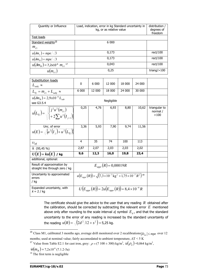| Quantity or Influence                          | Load, indication, error in kg Standard uncertainty in<br>kg, or as relative value | distribution /<br>degrees of<br>freedom |
|------------------------------------------------|-----------------------------------------------------------------------------------|-----------------------------------------|
| Test loads                                     |                                                                                   |                                         |
| Standard weights <sup>16</sup>                 | 6 000                                                                             |                                         |
| $m_{c1}$                                       |                                                                                   |                                         |
| $u(\delta m_c) = mpe/\sqrt{3}$                 | 0,173                                                                             | rect/100                                |
| $u(\delta m_p) = mpe/\sqrt{3}$                 | 0,173                                                                             | rect/100                                |
| $u(\delta m_{R}) = 7{,}2x10^{-6} m_{c1}^{-17}$ | 0,043                                                                             | rect/100                                |
| $u(m_{c1})$                                    | 0,25                                                                              | triang/ $>100$                          |

| <b>Substitution loads</b>                                                                                         |                                                                                                   |            |                                                           |        |        |                                   |  |  |  |  |
|-------------------------------------------------------------------------------------------------------------------|---------------------------------------------------------------------------------------------------|------------|-----------------------------------------------------------|--------|--------|-----------------------------------|--|--|--|--|
| $L_{subj} \approx$                                                                                                | 0                                                                                                 | 6 0 0 0    | 12 000                                                    | 18 000 | 24 000 |                                   |  |  |  |  |
| $L_{Ti} = m_{c1} + L_{subi} \approx$                                                                              | 6 000                                                                                             | 12 000     | 18 000                                                    | 24 000 | 30 000 |                                   |  |  |  |  |
| $u(\delta m_{R}) = 2.9x10^{-6} L_{\rm sub}$                                                                       |                                                                                                   | Negligible |                                                           |        |        |                                   |  |  |  |  |
| see G3.5.4                                                                                                        |                                                                                                   |            |                                                           |        |        |                                   |  |  |  |  |
| $u(L_{Tj}) = \sqrt{\left\{\n \begin{matrix}\n j^2 u^2(m_{c1}) \\ + 2 \sum u^2(I_{i-1})\n \end{matrix}\n \right\}$ | 0,25                                                                                              | 4,76       | 6,93                                                      | 8,80   | 10,62  | triangular to<br>normal /<br>>100 |  |  |  |  |
| Unc. of error                                                                                                     | 3,36                                                                                              | 5,93       | 7,90                                                      | 9,74   | 11,56  |                                   |  |  |  |  |
| $u(E) = \sqrt{u^2(I_i) + u^2(L_i)}$                                                                               |                                                                                                   |            |                                                           |        |        |                                   |  |  |  |  |
| $U_{\text{eff}}$                                                                                                  | 4                                                                                                 | 35         | 74                                                        | 100    | 113    |                                   |  |  |  |  |
| $k$ (95,45 %)                                                                                                     | 2,87                                                                                              | 2,07       | 2,03                                                      | 2,03   | 2,02   |                                   |  |  |  |  |
| $U(E)$ = $ku(E)$ / kg                                                                                             | 9,6                                                                                               | 12,3       | 16,0                                                      | 19,8   | 23,4   |                                   |  |  |  |  |
| additional, optional:                                                                                             |                                                                                                   |            |                                                           |        |        |                                   |  |  |  |  |
| Result of approximation by<br>straight line through zero / kg                                                     | $E_{\text{anor}}(R) = 0,00019R$                                                                   |            |                                                           |        |        |                                   |  |  |  |  |
| Uncertainty to approximated<br>errors<br>/ kg                                                                     | $u(E_{\text{app}}(R)) = \sqrt{(7.3 \times 10^{-7} \text{ kg}^2 + 1.75 \times 10^{-7} R^2})^{18}}$ |            |                                                           |        |        |                                   |  |  |  |  |
| Expanded uncertainty, with<br>$k = 2 / kq$                                                                        |                                                                                                   |            | $U(E_{anpr}(R)) = 2u(E_{anpr}(R)) = 8.4 \times 10^{-4} R$ |        |        |                                   |  |  |  |  |

The certificate should give the advice to the user that any reading *R* obtained after the calibration, should be corrected by subtracting the relevant error *E* mentioned above only after rounding to the scale interval  $d$ , symbol  $E_d$ , and that the standard uncertainty to the error of any reading is increased by the standard uncertainty of the reading  $\,u(R)\!=\!\sqrt{(2d^{\,2}/12+s^2\,)}\!=\!5$ ,25 kg.

<span id="page-77-0"></span><sup>16</sup> Class M1, calibrated 3 months ago, average drift monitored over 2 recalibrations  $|D_{mc}| \leq mpe$  over 12 months; used at nominal value; fairly accomodated to ambient temperature,  $\Delta T < 5$  K

 $\overline{a}$ 

<span id="page-77-1"></span><sup>&</sup>lt;sup>17</sup> Value from Table E2.1 for cast iron, grey:  $\rho = (7 \ 100 \pm 300) \text{ kg/m}^3$ ,  $u(\rho_a) = 0.064 \text{ kg/m}^3$ ,

 $\hat{w}(m_B) = 7,2 \times 10^{-6}$  (7.1.2-5a)

<span id="page-77-2"></span> $18$  The first term is negligible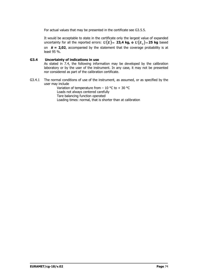For actual values that may be presented in the certificate see G3.5.5.

It would be acceptable to state in the certificate only the largest value of expanded uncertainty for all the reported errors:  $U(E) = 23.4$  kg, o  $U(E_A) = 25$  kg based on  $k = 2.02$ , accompanied by the statement that the coverage probability is at least 95 %.

## **G3.4 Uncertainty of indications in use**

As stated in 7.4, the following information may be developed by the calibration laboratory or by the user of the instrument. In any case, it may not be presented nor considered as part of the calibration certificate.

G3.4.1 The normal conditions of use of the instrument, as assumed, or as specified by the user may include

Variation of temperature from  $-10$  °C to  $+30$  °C Loads not always centered carefully Tare balancing function operated Loading times: normal, that is shorter than at calibration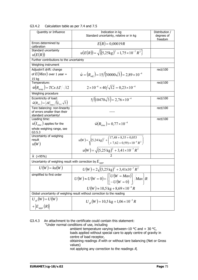| Quantity or Influence                                                 | Indication in kg<br>Standard uncertainty, relative or in kg                                                            | Distribution /<br>degrees of<br>freedom |
|-----------------------------------------------------------------------|------------------------------------------------------------------------------------------------------------------------|-----------------------------------------|
| Errors determined by<br>calibration                                   | $E(R) = 0,00019R$                                                                                                      |                                         |
| Standard uncertainty<br>u(E(R))                                       | $u(E(R)) = \sqrt{\{(5,25\text{kg})^2 + 1,75 \times 10^{-7} R^2\}}$                                                     |                                         |
| Further contributions to the uncertainty                              |                                                                                                                        |                                         |
| Weighing instrument                                                   |                                                                                                                        |                                         |
| Adjustm't drift: change                                               |                                                                                                                        | rect/100                                |
| of $E(Max)$ over 1 year =<br>15 kg                                    | $\hat{w} = (R_{adi}) = 15/(30000\sqrt{3}) = 2{,}89 \times 10^{-4}$                                                     |                                         |
| Temperature:                                                          |                                                                                                                        | rect/100                                |
| $\hat{w}(R_{t_{\text{remn}}}) = TCx \Delta T / \sqrt{12}$             | $2 \times 10^{-6} \times 40/\sqrt{12} = 0.23 \times 10^{-4}$                                                           |                                         |
| Weighing procedure                                                    |                                                                                                                        |                                         |
| Eccentricity of load:                                                 | $\sqrt{5/(10470\sqrt{3})} = 2{,}76 \times 10^{-4}$                                                                     | rect/100                                |
| $\hat{w}(R_{ecc}) =  \Delta I _{max}/(L_{ecc}\sqrt{3})$               |                                                                                                                        |                                         |
| Tare balancing: non-linearity<br>of errors smaller than their         |                                                                                                                        | rect/100                                |
| standard uncertainty!                                                 |                                                                                                                        |                                         |
| Loading time:                                                         |                                                                                                                        | rect/100                                |
| $u(I_{time})$ applies for the                                         | $\hat{w}(R_{\dots}) = 0.77 \times 10^{-4}$                                                                             |                                         |
| whole weighing range, see<br>G3.5.3                                   |                                                                                                                        |                                         |
| Uncertainty of weighing                                               |                                                                                                                        |                                         |
| result                                                                | $u(W) = \sqrt{(5,24 \text{ kg})^2 + \left(\frac{17,48 + 8,35 + 0,053}{+7,62 + 0,59) \times 10^{-8} R^2}\right)}$       |                                         |
| u(W)                                                                  |                                                                                                                        |                                         |
|                                                                       | $u(W) = \sqrt{(5,25 \text{ kg})^2 + 3,41 \times 10^{-7} R^2}$                                                          |                                         |
| k ( $\approx$ 95%)                                                    |                                                                                                                        |                                         |
| Uncertainty of weighing result with correction by $E_{\textit{appr}}$ |                                                                                                                        |                                         |
| $U(W) = ku(W)$                                                        | $U(W) = 2\sqrt{(5,25 \text{ kg})^2 + 3,41 \text{x} 10^{-7} R^2}$                                                       |                                         |
| simplified to first order                                             | $U(W) \approx U(W = 0) + \left\{ \left[ \begin{array}{l} U(W = Max) \\ -U(W = 0) \end{array} \right] / Max \right\} R$ |                                         |
|                                                                       |                                                                                                                        |                                         |
|                                                                       | $U(W) \approx 10.5$ kg + 8.69 × 10 <sup>-4</sup> R                                                                     |                                         |
|                                                                       | Global uncertainty of weighing result without correction to the reading                                                |                                         |
| $U_{gl}(W) = U(W)$                                                    | $U_{el}(W) = 10.5$ kg + 1,06 × 10 <sup>-3</sup> R                                                                      |                                         |
|                                                                       |                                                                                                                        |                                         |
| $+ \left  E_{\it appr}\left(R\right) \right $                         |                                                                                                                        |                                         |

# G3.4.2 Calculation table as per 7.4 and 7.5

G3.4.3 An attachment to the certificate could contain this statement:

"Under normal conditions of use, including

ambient temperature varying between–10 °C and + 30 °C, loads applied without special care to apply centre of gravity in centre of load receptor, obtaining readings  $R$  with or without tare balancing (Net or Gross

values)

not applying any correction to the readings  $R$ ,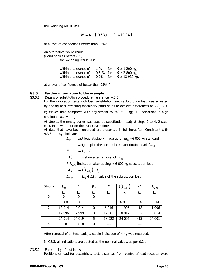the weighing result  $W$  is

$$
W = R \pm (10.5 \text{ kg} + 1.06 \times 10^{-4} R)
$$

at a level of confidence f better than 95%"

An alternative would read: (Conditions as before).."., the weighing result  $W$  is

| within a tolerance of |  | 1 % for $R \ge 1200$ kg,   |
|-----------------------|--|----------------------------|
| within a tolerance of |  | 0.5 % for $R \ge 2800$ kg, |
| within a tolerance of |  | 0.2% for $R \ge 13930$ kg, |

at a level of confidence of better than 95%."

#### **G3.5 Further information to the example**

G3.5.1 Details of substitution procedure; reference: 4.3.3 For the calibration tests with load substitution, each substitution load was adjusted by adding or subtracting machinery parts so as to achieve differences of Δ*I <sup>j</sup>* ≤ 20

> kg (saves time compared with adjustment to  $\Delta I \leq 1$  kg). All indications in high resolution  $d<sub>r</sub> = 1$  kg.

> At step 1, the empty trailer was used as substitution load; at steps 2 to 4, 2 steel containers were put on the trailer each time.

> All data that have been recorded are presented in full hereafter. Consistent with 4.3.3, the symbols are

> > $L_{\text{tri}}$  test load at step *j*, made up of  $m_{\text{tri}}$  =6 000 kg standard

weights plus the accumulated substitution load  $L_{T_{i-1}}$ 

$$
E_{j} = I_{j} - L_{Tj}
$$

 $I'_{i}$  indication alter removal of  $m_{c1}$ 

 $I\big( L_{\textit{\tiny subj}}\big)$ indication alter adding ≈ 6 000 kg substitution load

$$
\Delta I_{j} = I(L_{\text{subj}}) - I_{j}
$$

 $L_{subj}$  =  $L_{Ti}$  +  $\Delta I$ <sub>*i*</sub>, value of the substitution load

| Step $j$       | $L_{\scriptscriptstyle Tj}$ |         | $E_{i}$ |         | $(L_{subj}$ ) | $\Delta I$ | $\bm{L}_{subj}$ |
|----------------|-----------------------------|---------|---------|---------|---------------|------------|-----------------|
|                | kg                          | kg      | kg      | kg      | kg            | kg         | kg              |
| 0              | 0                           | 0       | 0       |         |               |            |                 |
|                | 6 0 0 0                     | 6 0 0 1 |         |         | 6 0 1 5       | 14         | 6 0 1 4         |
| $\overline{2}$ | 12 014                      | 12 014  | 0       | 6 0 1 6 | 11 996        | -18        | 11 996          |
| 3              | 17 996                      | 17 999  | 3       | 12 001  | 18 017        | 18         | 18 0 14         |
| 4              | 24 014                      | 24 019  | 5       | 18 0 22 | 24 006        | $-13$      | 24 001          |
| 5              | 30 001                      | 30 010  | 9       | ---     |               |            |                 |

After removal of all test loads, a stable indication of 4 kg was recorded.

In G3.3, all indications are quoted as the nominal values, as per 6.2.1.

G3.5.2 Eccentricity of test loads

Positions of load for eccentricity test: distances from centre of load receptor were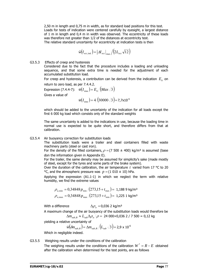2,50 m in length and 0,75 m in width, as for standard load positions for this test. Loads for tests of indication were centered carefully by eyesight, a largest distance of 1 m in length and 0,4 m in width was observed. The eccentricity of these loads was therefore not greater than 1/2 of the distances at eccentricity test. The relative standard uncertainty for eccentricity at indication tests is then

$$
\hat{w}(I_{\text{ecc},\text{ind}}) = \left| \Delta I_{\text{ecc}} \right|_{\text{max}} / (2L_{\text{ecc}}\sqrt{12})
$$

G3.5.3 Effects of creep and hysteresis

Considered due to the fact that the procedure includes a loading and unloading sequence, and that some extra time is needed for the adjustment of each accumulated substitution load.

For creep and hysteresis, a contribution can be derived from the indication  $E_0$  on return to zero load, as per 7.4.4.2.

Expression (7.4.4-7):  $\hat{w}(I_{time}) = E_0 / (Max\sqrt{3})$ 

Gives a value of

$$
\hat{w}(I_{time}) = 4/(30000\sqrt{3}) = 7{,}7 \times 10^{-5}
$$

which should be added to the uncertainty of the indication for all loads except the first 6 000 kg load which consists only of the standard weights

The same uncertainty is added to the indications in use, because the loading time in normal use is expected to be quite short, and therefore differs from that at calibration.

## G3.5.4 Air buoyancy correction for substitution loads

The substitution loads were a trailer and steel containers filled with waste machinery parts (steel or cast iron).

For the density of the filled containers,  $\rho = (7\,500 \pm 400)$  kg/m<sup>3</sup> is assumed (base don the information given in Appendix E).

For the trailer, the same density may be assumed for simplicity's sake (made mostly of steel, except for the tyres and some parts of the brake system).

Over the duration of the calibration, the air temperature  $t$  varied from 17 °C to 20 °C, and the atmospheric pressure was  $p = (1\ 010 \pm 10)$  hPa.

Applying the expression (A1.1-1) in which we neglect the term with relative humidity, we find the extreme values

$$
\rho_{a,\min} = 0.34848 p_{\min} / (273.15 + t_{\max}) = 1.1889 \text{ kg/m}^3
$$
  

$$
\rho_{a,\max} = 0.34848 p_{\max} / (273.15 + t_{\min}) = 1.2251 \text{ kg/m}^3
$$

With a difference  $\Delta \rho_a = 0.036$  2 kg/m<sup>3</sup>

A maximum change of the air buoyancy of the substitution loads would therefore be  $\Delta m_{subB} \approx L_{sub} \Delta \rho_a / \rho = 24\,000 \times 0.036\,2 / 7\,500 = 0.12\,kg$ 

yielding a relative uncertainty of

$$
\hat{w}(\delta m_{sub,B}) = \Delta m_{sub,B}/(L_{sub}\sqrt{3}) = 2.9 \times 10^{-6}
$$

Which in negligible indeed.

## G3.5.5 Weighing results under the conditions of the calibration The weighing results under the conditions of the calibration  $W^* = R - E$  obtained after the calibration when determined for the test points, are as follows